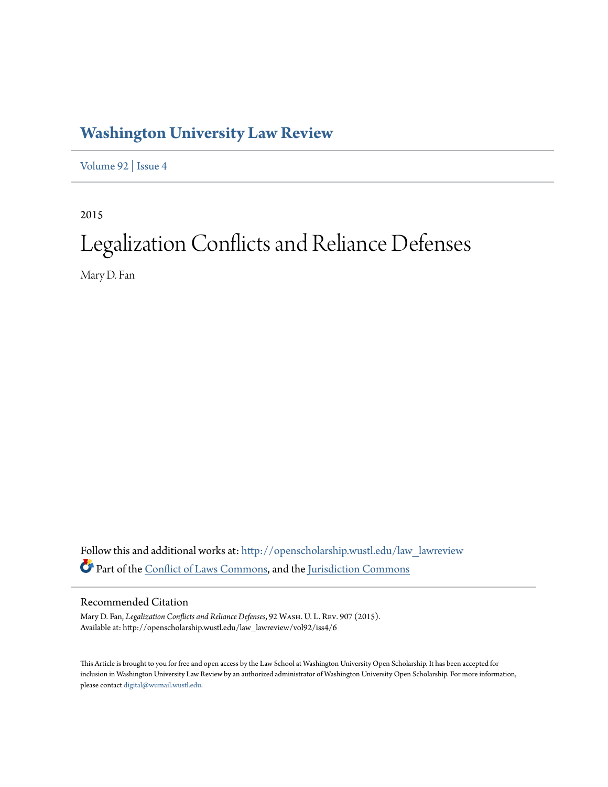# **[Washington University Law Review](http://openscholarship.wustl.edu/law_lawreview?utm_source=openscholarship.wustl.edu%2Flaw_lawreview%2Fvol92%2Fiss4%2F6&utm_medium=PDF&utm_campaign=PDFCoverPages)**

[Volume 92](http://openscholarship.wustl.edu/law_lawreview/vol92?utm_source=openscholarship.wustl.edu%2Flaw_lawreview%2Fvol92%2Fiss4%2F6&utm_medium=PDF&utm_campaign=PDFCoverPages) | [Issue 4](http://openscholarship.wustl.edu/law_lawreview/vol92/iss4?utm_source=openscholarship.wustl.edu%2Flaw_lawreview%2Fvol92%2Fiss4%2F6&utm_medium=PDF&utm_campaign=PDFCoverPages)

2015

# Legalization Conflicts and Reliance Defenses

Mary D. Fan

Follow this and additional works at: [http://openscholarship.wustl.edu/law\\_lawreview](http://openscholarship.wustl.edu/law_lawreview?utm_source=openscholarship.wustl.edu%2Flaw_lawreview%2Fvol92%2Fiss4%2F6&utm_medium=PDF&utm_campaign=PDFCoverPages) Part of the [Conflict of Laws Commons,](http://network.bepress.com/hgg/discipline/588?utm_source=openscholarship.wustl.edu%2Flaw_lawreview%2Fvol92%2Fiss4%2F6&utm_medium=PDF&utm_campaign=PDFCoverPages) and the [Jurisdiction Commons](http://network.bepress.com/hgg/discipline/850?utm_source=openscholarship.wustl.edu%2Flaw_lawreview%2Fvol92%2Fiss4%2F6&utm_medium=PDF&utm_campaign=PDFCoverPages)

## Recommended Citation

Mary D. Fan, *Legalization Conflicts and Reliance Defenses*, 92 Wash. U. L. Rev. 907 (2015). Available at: http://openscholarship.wustl.edu/law\_lawreview/vol92/iss4/6

This Article is brought to you for free and open access by the Law School at Washington University Open Scholarship. It has been accepted for inclusion in Washington University Law Review by an authorized administrator of Washington University Open Scholarship. For more information, please contact [digital@wumail.wustl.edu.](mailto:digital@wumail.wustl.edu)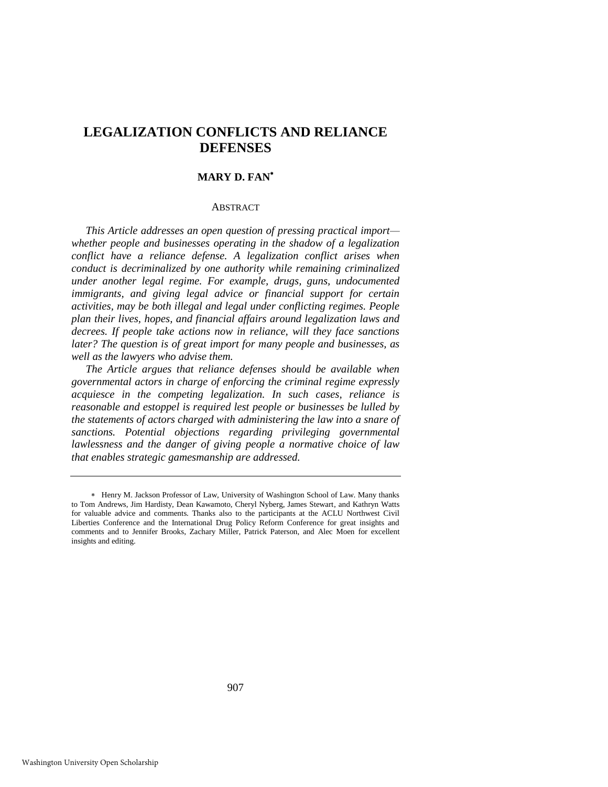# **LEGALIZATION CONFLICTS AND RELIANCE DEFENSES**

#### **MARY D. FAN**

#### ABSTRACT

*This Article addresses an open question of pressing practical import whether people and businesses operating in the shadow of a legalization conflict have a reliance defense. A legalization conflict arises when conduct is decriminalized by one authority while remaining criminalized under another legal regime. For example, drugs, guns, undocumented immigrants, and giving legal advice or financial support for certain activities, may be both illegal and legal under conflicting regimes. People plan their lives, hopes, and financial affairs around legalization laws and decrees. If people take actions now in reliance, will they face sanctions later? The question is of great import for many people and businesses, as well as the lawyers who advise them.* 

*The Article argues that reliance defenses should be available when governmental actors in charge of enforcing the criminal regime expressly acquiesce in the competing legalization. In such cases, reliance is reasonable and estoppel is required lest people or businesses be lulled by the statements of actors charged with administering the law into a snare of sanctions. Potential objections regarding privileging governmental lawlessness and the danger of giving people a normative choice of law that enables strategic gamesmanship are addressed.* 

Henry M. Jackson Professor of Law, University of Washington School of Law. Many thanks to Tom Andrews, Jim Hardisty, Dean Kawamoto, Cheryl Nyberg, James Stewart, and Kathryn Watts for valuable advice and comments. Thanks also to the participants at the ACLU Northwest Civil Liberties Conference and the International Drug Policy Reform Conference for great insights and comments and to Jennifer Brooks, Zachary Miller, Patrick Paterson, and Alec Moen for excellent insights and editing.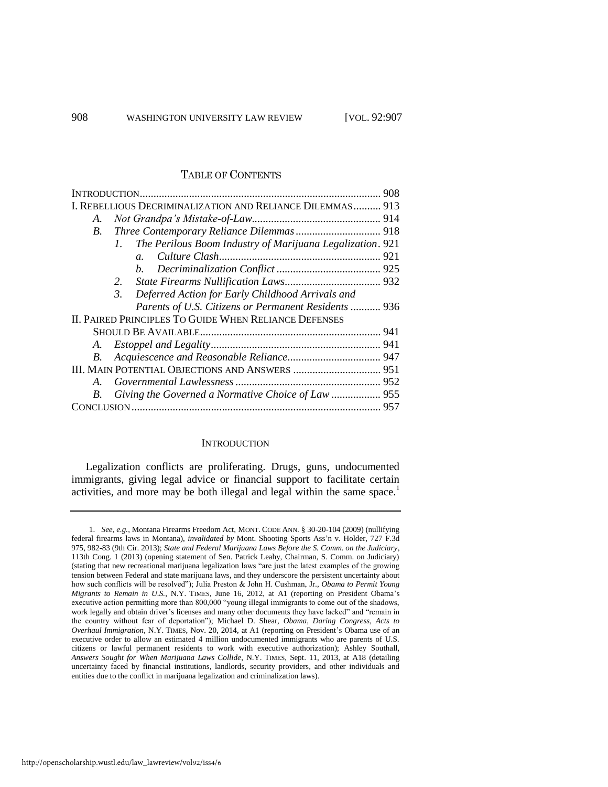### TABLE OF CONTENTS

|                                                       | I. REBELLIOUS DECRIMINALIZATION AND RELIANCE DILEMMAS 913                |  |
|-------------------------------------------------------|--------------------------------------------------------------------------|--|
| А.                                                    |                                                                          |  |
| B.                                                    |                                                                          |  |
|                                                       | The Perilous Boom Industry of Marijuana Legalization. 921<br>$l_{\cdot}$ |  |
|                                                       | $\mathfrak{a}$ .                                                         |  |
|                                                       |                                                                          |  |
|                                                       | 2.                                                                       |  |
|                                                       | 3. Deferred Action for Early Childhood Arrivals and                      |  |
|                                                       | Parents of U.S. Citizens or Permanent Residents  936                     |  |
| II. PAIRED PRINCIPLES TO GUIDE WHEN RELIANCE DEFENSES |                                                                          |  |
|                                                       |                                                                          |  |
|                                                       |                                                                          |  |
| В.                                                    |                                                                          |  |
|                                                       |                                                                          |  |
| $A_{-}$                                               |                                                                          |  |
| B.                                                    | Giving the Governed a Normative Choice of Law  955                       |  |
|                                                       |                                                                          |  |
|                                                       |                                                                          |  |

#### <span id="page-2-0"></span>**INTRODUCTION**

Legalization conflicts are proliferating. Drugs, guns, undocumented immigrants, giving legal advice or financial support to facilitate certain activities, and more may be both illegal and legal within the same space.<sup>1</sup>

<sup>1.</sup> *See, e.g.*, Montana Firearms Freedom Act, MONT. CODE ANN. § 30-20-104 (2009) (nullifying federal firearms laws in Montana), *invalidated by* Mont. Shooting Sports Ass'n v. Holder, 727 F.3d 975, 982-83 (9th Cir. 2013); *State and Federal Marijuana Laws Before the S. Comm. on the Judiciary*, 113th Cong. 1 (2013) (opening statement of Sen. Patrick Leahy, Chairman, S. Comm. on Judiciary) (stating that new recreational marijuana legalization laws "are just the latest examples of the growing tension between Federal and state marijuana laws, and they underscore the persistent uncertainty about how such conflicts will be resolved"); Julia Preston & John H. Cushman, Jr., *Obama to Permit Young Migrants to Remain in U.S.*, N.Y. TIMES, June 16, 2012, at A1 (reporting on President Obama's executive action permitting more than 800,000 "young illegal immigrants to come out of the shadows, work legally and obtain driver's licenses and many other documents they have lacked" and "remain in the country without fear of deportation"); Michael D. Shear, *Obama, Daring Congress, Acts to Overhaul Immigration*, N.Y. TIMES, Nov. 20, 2014, at A1 (reporting on President's Obama use of an executive order to allow an estimated 4 million undocumented immigrants who are parents of U.S. citizens or lawful permanent residents to work with executive authorization); Ashley Southall, *Answers Sought for When Marijuana Laws Collide*, N.Y. TIMES, Sept. 11, 2013, at A18 (detailing uncertainty faced by financial institutions, landlords, security providers, and other individuals and entities due to the conflict in marijuana legalization and criminalization laws).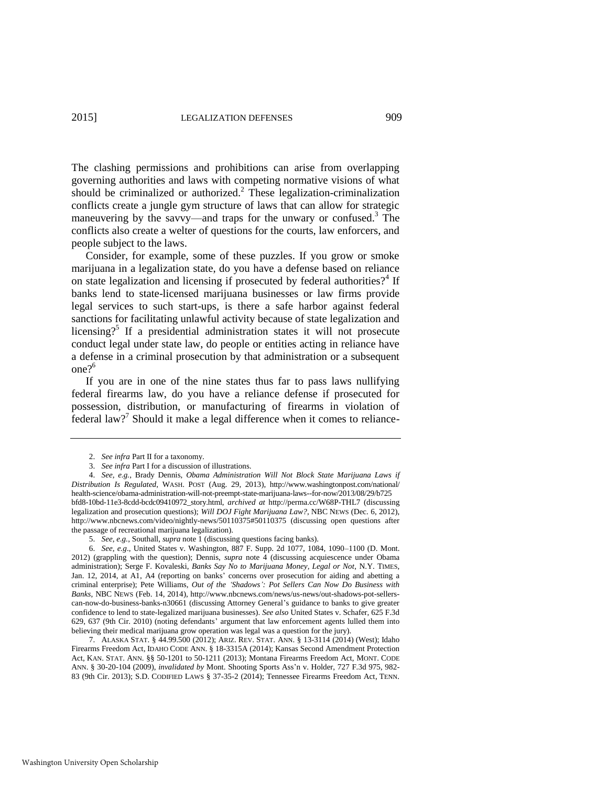The clashing permissions and prohibitions can arise from overlapping governing authorities and laws with competing normative visions of what should be criminalized or authorized.<sup>2</sup> These legalization-criminalization conflicts create a jungle gym structure of laws that can allow for strategic maneuvering by the savvy—and traps for the unwary or confused.<sup>3</sup> The conflicts also create a welter of questions for the courts, law enforcers, and people subject to the laws.

<span id="page-3-0"></span>Consider, for example, some of these puzzles. If you grow or smoke marijuana in a legalization state, do you have a defense based on reliance on state legalization and licensing if prosecuted by federal authorities?<sup>4</sup> If banks lend to state-licensed marijuana businesses or law firms provide legal services to such start-ups, is there a safe harbor against federal sanctions for facilitating unlawful activity because of state legalization and licensing?<sup>5</sup> If a presidential administration states it will not prosecute conduct legal under state law, do people or entities acting in reliance have a defense in a criminal prosecution by that administration or a subsequent one $2^6$ 

<span id="page-3-1"></span>If you are in one of the nine states thus far to pass laws nullifying federal firearms law, do you have a reliance defense if prosecuted for possession, distribution, or manufacturing of firearms in violation of federal law?<sup>7</sup> Should it make a legal difference when it comes to reliance-

<span id="page-3-2"></span><sup>2.</sup> *See infra* Part II for a taxonomy.

<sup>3.</sup> *See infra* Part I for a discussion of illustrations.

<sup>4.</sup> *See, e.g.*, Brady Dennis, *Obama Administration Will Not Block State Marijuana Laws if Distribution Is Regulated*, WASH. POST (Aug. 29, 2013), http://www.washingtonpost.com/national/ health-science/obama-administration-will-not-preempt-state-marijuana-laws--for-now/2013/08/29/b725 bfd8-10bd-11e3-8cdd-bcdc09410972\_story.html, *archived at* http://perma.cc/W68P-THL7 (discussing legalization and prosecution questions); *Will DOJ Fight Marijuana Law?*, NBC NEWS (Dec. 6, 2012), http://www.nbcnews.com/video/nightly-news/50110375#50110375 (discussing open questions after the passage of recreational marijuana legalization).

<sup>5.</sup> *See, e.g.*, Southall, *supra* not[e 1 \(](#page-2-0)discussing questions facing banks).

<sup>6.</sup> *See, e.g*., United States v. Washington, 887 F. Supp. 2d 1077, 1084, 1090–1100 (D. Mont. 2012) (grappling with the question); Dennis, *supra* note [4](#page-3-0) (discussing acquiescence under Obama administration); Serge F. Kovaleski, *Banks Say No to Marijuana Money, Legal or Not*, N.Y. TIMES, Jan. 12, 2014, at A1, A4 (reporting on banks' concerns over prosecution for aiding and abetting a criminal enterprise); Pete Williams, *Out of the 'Shadows': Pot Sellers Can Now Do Business with Banks*, NBC NEWS (Feb. 14, 2014), http://www.nbcnews.com/news/us-news/out-shadows-pot-sellerscan-now-do-business-banks-n30661 (discussing Attorney General's guidance to banks to give greater confidence to lend to state-legalized marijuana businesses). *See also* United States v. Schafer, 625 F.3d 629, 637 (9th Cir. 2010) (noting defendants' argument that law enforcement agents lulled them into believing their medical marijuana grow operation was legal was a question for the jury).

<sup>7.</sup> ALASKA STAT. § 44.99.500 (2012); ARIZ. REV. STAT. ANN. § 13-3114 (2014) (West); Idaho Firearms Freedom Act, IDAHO CODE ANN. § 18-3315A (2014); Kansas Second Amendment Protection Act, KAN. STAT. ANN. §§ 50-1201 to 50-1211 (2013); Montana Firearms Freedom Act, MONT. CODE ANN. § 30-20-104 (2009), *invalidated by* Mont. Shooting Sports Ass'n v. Holder, 727 F.3d 975, 982- 83 (9th Cir. 2013); S.D. CODIFIED LAWS § 37-35-2 (2014); Tennessee Firearms Freedom Act, TENN.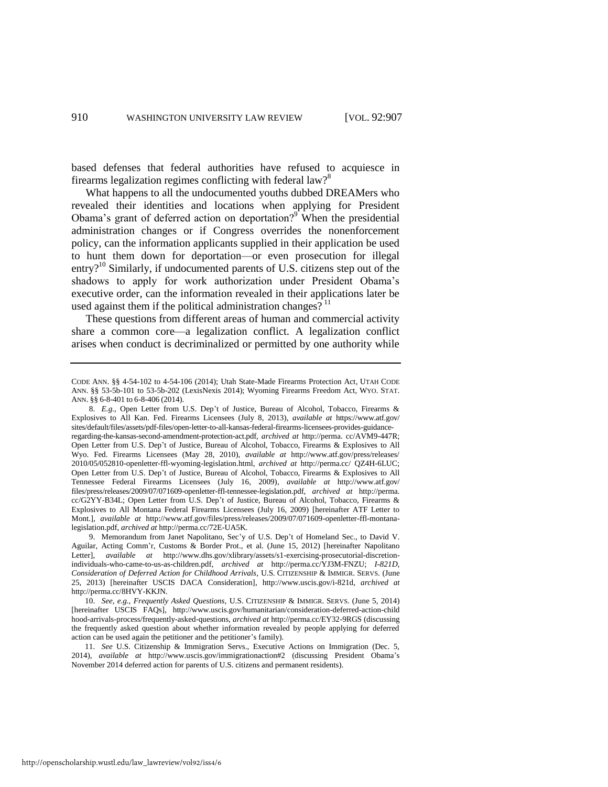<span id="page-4-1"></span>based defenses that federal authorities have refused to acquiesce in firearms legalization regimes conflicting with federal law?<sup>8</sup>

<span id="page-4-2"></span>What happens to all the undocumented youths dubbed DREAMers who revealed their identities and locations when applying for President Obama's grant of deferred action on deportation?<sup>9</sup> When the presidential administration changes or if Congress overrides the nonenforcement policy, can the information applicants supplied in their application be used to hunt them down for deportation—or even prosecution for illegal entry?<sup>10</sup> Similarly, if undocumented parents of U.S. citizens step out of the shadows to apply for work authorization under President Obama's executive order, can the information revealed in their applications later be used against them if the political administration changes?  $11$ 

<span id="page-4-0"></span>These questions from different areas of human and commercial activity share a common core—a legalization conflict. A legalization conflict arises when conduct is decriminalized or permitted by one authority while

http://openscholarship.wustl.edu/law\_lawreview/vol92/iss4/6

CODE ANN. §§ 4-54-102 to 4-54-106 (2014); Utah State-Made Firearms Protection Act, UTAH CODE ANN. §§ 53-5b-101 to 53-5b-202 (LexisNexis 2014); Wyoming Firearms Freedom Act, WYO. STAT. ANN. §§ 6-8-401 to 6-8-406 (2014).

<sup>8.</sup> *E.g.*, Open Letter from U.S. Dep't of Justice, Bureau of Alcohol, Tobacco, Firearms & Explosives to All Kan. Fed. Firearms Licensees (July 8, 2013), *available at* https://www.atf.gov/ sites/default/files/assets/pdf-files/open-letter-to-all-kansas-federal-firearms-licensees-provides-guidanceregarding-the-kansas-second-amendment-protection-act.pdf, *archived at* http://perma. cc/AVM9-447R; Open Letter from U.S. Dep't of Justice, Bureau of Alcohol, Tobacco, Firearms & Explosives to All Wyo. Fed. Firearms Licensees (May 28, 2010), *available at* http://www.atf.gov/press/releases/ 2010/05/052810-openletter-ffl-wyoming-legislation.html, *archived at* http://perma.cc/ QZ4H-6LUC; Open Letter from U.S. Dep't of Justice, Bureau of Alcohol, Tobacco, Firearms & Explosives to All Tennessee Federal Firearms Licensees (July 16, 2009), *available at* http://www.atf.gov/ files/press/releases/2009/07/071609-openletter-ffl-tennessee-legislation.pdf, *archived at* http://perma. cc/G2YY-B34L; Open Letter from U.S. Dep't of Justice, Bureau of Alcohol, Tobacco, Firearms & Explosives to All Montana Federal Firearms Licensees (July 16, 2009) [hereinafter ATF Letter to Mont.], *available at* http://www.atf.gov/files/press/releases/2009/07/071609-openletter-ffl-montanalegislation.pdf, *archived at* http://perma.cc/72E-UA5K.

<sup>9.</sup> Memorandum from Janet Napolitano, Sec'y of U.S. Dep't of Homeland Sec., to David V. Aguilar, Acting Comm'r, Customs & Border Prot., et al. (June 15, 2012) [hereinafter Napolitano Letter], *available at* http://www.dhs.gov/xlibrary/assets/s1-exercising-prosecutorial-discretionindividuals-who-came-to-us-as-children.pdf, *archived at* http://perma.cc/YJ3M-FNZU; *I-821D, Consideration of Deferred Action for Childhood Arrivals*, U.S. CITIZENSHIP & IMMIGR. SERVS. (June 25, 2013) [hereinafter USCIS DACA Consideration], http://www.uscis.gov/i-821d, *archived at*  http://perma.cc/8HVY-KKJN.

<sup>10.</sup> *See, e.g.*, *Frequently Asked Questions*, U.S. CITIZENSHIP & IMMIGR. SERVS. (June 5, 2014) [hereinafter USCIS FAQs], http://www.uscis.gov/humanitarian/consideration-deferred-action-child hood-arrivals-process/frequently-asked-questions, *archived at* http://perma.cc/EY32-9RGS (discussing the frequently asked question about whether information revealed by people applying for deferred action can be used again the petitioner and the petitioner's family).

<sup>11.</sup> *See* U.S. Citizenship & Immigration Servs., Executive Actions on Immigration (Dec. 5, 2014), *available at* http://www.uscis.gov/immigrationaction#2 (discussing President Obama's November 2014 deferred action for parents of U.S. citizens and permanent residents).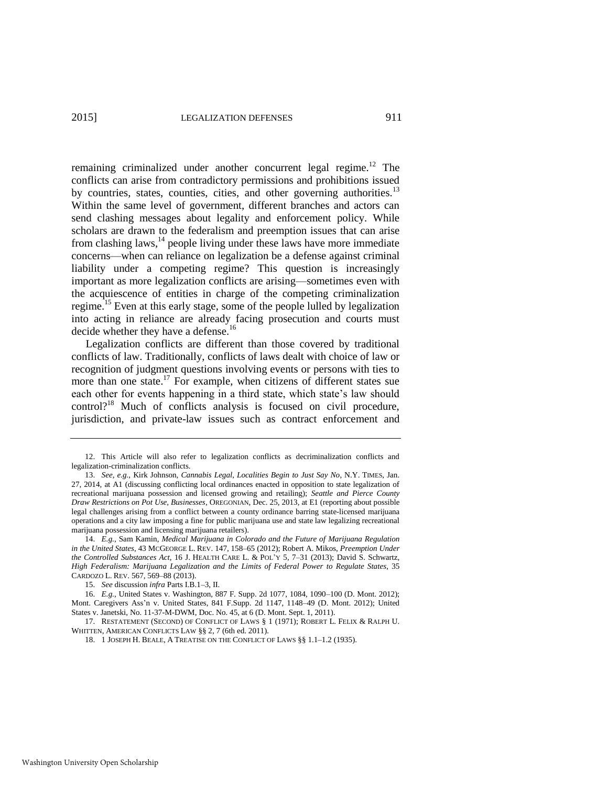remaining criminalized under another concurrent legal regime.<sup>12</sup> The conflicts can arise from contradictory permissions and prohibitions issued by countries, states, counties, cities, and other governing authorities.<sup>13</sup> Within the same level of government, different branches and actors can send clashing messages about legality and enforcement policy. While scholars are drawn to the federalism and preemption issues that can arise from clashing laws, $^{14}$  people living under these laws have more immediate concerns—when can reliance on legalization be a defense against criminal liability under a competing regime? This question is increasingly important as more legalization conflicts are arising—sometimes even with the acquiescence of entities in charge of the competing criminalization regime.<sup>15</sup> Even at this early stage, some of the people lulled by legalization into acting in reliance are already facing prosecution and courts must decide whether they have a defense.<sup>16</sup>

<span id="page-5-2"></span><span id="page-5-1"></span>Legalization conflicts are different than those covered by traditional conflicts of law. Traditionally, conflicts of laws dealt with choice of law or recognition of judgment questions involving events or persons with ties to more than one state.<sup>17</sup> For example, when citizens of different states sue each other for events happening in a third state, which state's law should control?<sup>18</sup> Much of conflicts analysis is focused on civil procedure, jurisdiction, and private-law issues such as contract enforcement and

<span id="page-5-0"></span><sup>12.</sup> This Article will also refer to legalization conflicts as decriminalization conflicts and legalization-criminalization conflicts.

<sup>13.</sup> *See, e.g.*, Kirk Johnson, *Cannabis Legal, Localities Begin to Just Say No*, N.Y. TIMES, Jan. 27, 2014, at A1 (discussing conflicting local ordinances enacted in opposition to state legalization of recreational marijuana possession and licensed growing and retailing); *Seattle and Pierce County Draw Restrictions on Pot Use, Businesses*, OREGONIAN, Dec. 25, 2013, at E1 (reporting about possible legal challenges arising from a conflict between a county ordinance barring state-licensed marijuana operations and a city law imposing a fine for public marijuana use and state law legalizing recreational marijuana possession and licensing marijuana retailers).

<sup>14.</sup> *E.g.*, Sam Kamin, *Medical Marijuana in Colorado and the Future of Marijuana Regulation in the United States*, 43 MCGEORGE L. REV. 147, 158–65 (2012); Robert A. Mikos, *Preemption Under the Controlled Substances Act*, 16 J. HEALTH CARE L. & POL'Y 5, 7–31 (2013); David S. Schwartz, *High Federalism: Marijuana Legalization and the Limits of Federal Power to Regulate States*, 35 CARDOZO L. REV. 567, 569–88 (2013).

<sup>15.</sup> *See* discussion *infra* Parts I.B.1–3, II.

<sup>16.</sup> *E.g.*, United States v. Washington, 887 F. Supp. 2d 1077, 1084, 1090–100 (D. Mont. 2012); Mont. Caregivers Ass'n v. United States, 841 F.Supp. 2d 1147, 1148–49 (D. Mont. 2012); United States v. Janetski, No. 11-37-M-DWM, Doc. No. 45, at 6 (D. Mont. Sept. 1, 2011).

<sup>17.</sup> RESTATEMENT (SECOND) OF CONFLICT OF LAWS § 1 (1971); ROBERT L. FELIX & RALPH U. WHITTEN, AMERICAN CONFLICTS LAW §§ 2, 7 (6th ed. 2011).

<sup>18. 1</sup> JOSEPH H. BEALE, A TREATISE ON THE CONFLICT OF LAWS §§ 1.1–1.2 (1935).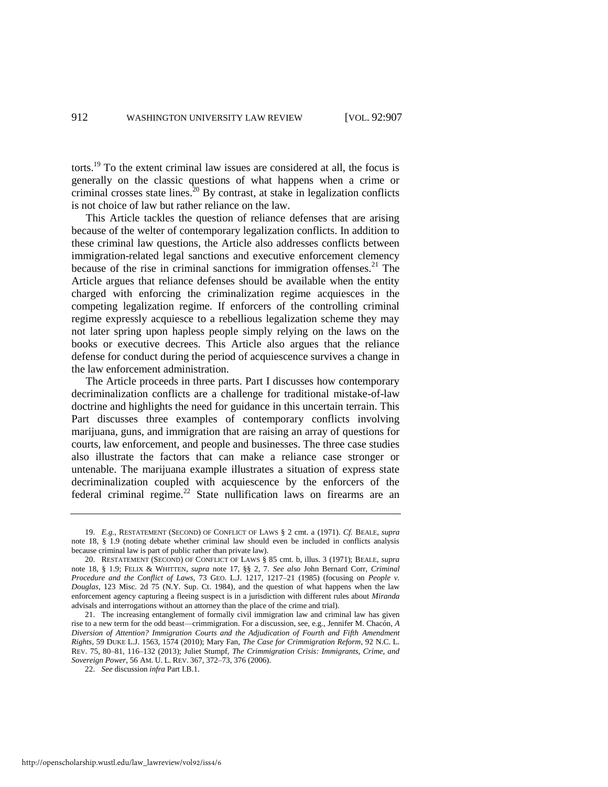torts.<sup>19</sup> To the extent criminal law issues are considered at all, the focus is generally on the classic questions of what happens when a crime or criminal crosses state lines. $20$  By contrast, at stake in legalization conflicts is not choice of law but rather reliance on the law.

This Article tackles the question of reliance defenses that are arising because of the welter of contemporary legalization conflicts. In addition to these criminal law questions, the Article also addresses conflicts between immigration-related legal sanctions and executive enforcement clemency because of the rise in criminal sanctions for immigration offenses. $21$  The Article argues that reliance defenses should be available when the entity charged with enforcing the criminalization regime acquiesces in the competing legalization regime. If enforcers of the controlling criminal regime expressly acquiesce to a rebellious legalization scheme they may not later spring upon hapless people simply relying on the laws on the books or executive decrees. This Article also argues that the reliance defense for conduct during the period of acquiescence survives a change in the law enforcement administration.

The Article proceeds in three parts. Part I discusses how contemporary decriminalization conflicts are a challenge for traditional mistake-of-law doctrine and highlights the need for guidance in this uncertain terrain. This Part discusses three examples of contemporary conflicts involving marijuana, guns, and immigration that are raising an array of questions for courts, law enforcement, and people and businesses. The three case studies also illustrate the factors that can make a reliance case stronger or untenable. The marijuana example illustrates a situation of express state decriminalization coupled with acquiescence by the enforcers of the federal criminal regime.<sup>22</sup> State nullification laws on firearms are an

<sup>19.</sup> *E.g.*, RESTATEMENT (SECOND) OF CONFLICT OF LAWS § 2 cmt. a (1971). *Cf.* BEALE, *supra* note [18,](#page-5-0) § 1.9 (noting debate whether criminal law should even be included in conflicts analysis because criminal law is part of public rather than private law).

<sup>20.</sup> RESTATEMENT (SECOND) OF CONFLICT OF LAWS § 85 cmt. b, illus. 3 (1971); BEALE, *supra*  note [18,](#page-5-0) § 1.9; FELIX & WHITTEN, *supra* note [17,](#page-5-1) §§ 2, 7. *See also* John Bernard Corr, *Criminal Procedure and the Conflict of Laws*, 73 GEO. L.J. 1217, 1217–21 (1985) (focusing on *People v. Douglas*, 123 Misc. 2d 75 (N.Y. Sup. Ct. 1984), and the question of what happens when the law enforcement agency capturing a fleeing suspect is in a jurisdiction with different rules about *Miranda* advisals and interrogations without an attorney than the place of the crime and trial).

<sup>21.</sup> The increasing entanglement of formally civil immigration law and criminal law has given rise to a new term for the odd beast—crimmigration. For a discussion, see, e.g., Jennifer M. Chacón, *A Diversion of Attention? Immigration Courts and the Adjudication of Fourth and Fifth Amendment Rights*, 59 DUKE L.J. 1563, 1574 (2010); Mary Fan, *The Case for Crimmigration Reform*, 92 N.C. L. REV. 75, 80–81, 116–132 (2013); Juliet Stumpf, *The Crimmigration Crisis: Immigrants, Crime, and Sovereign Power*, 56 AM. U. L. REV. 367, 372–73, 376 (2006).

<sup>22.</sup> *See* discussion *infra* Part I.B.1.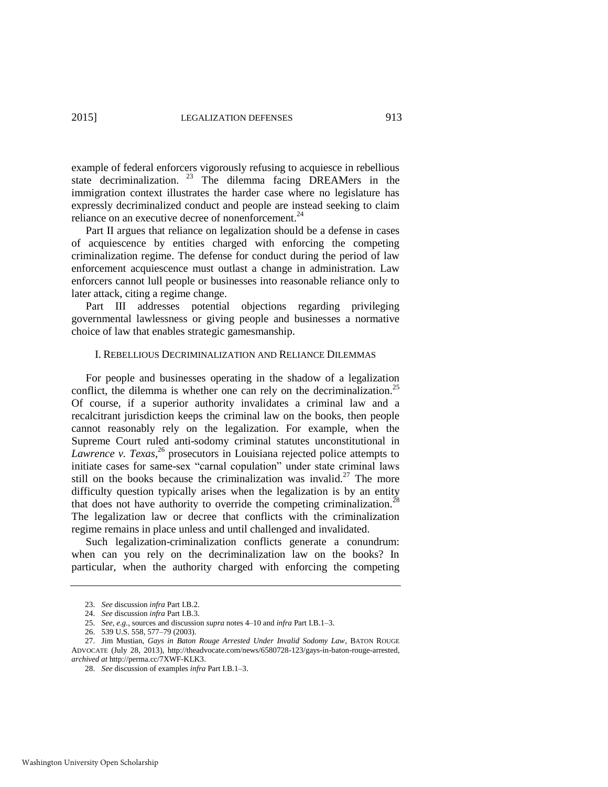example of federal enforcers vigorously refusing to acquiesce in rebellious state decriminalization. <sup>23</sup> The dilemma facing DREAMers in the immigration context illustrates the harder case where no legislature has expressly decriminalized conduct and people are instead seeking to claim reliance on an executive decree of nonenforcement.<sup>24</sup>

Part II argues that reliance on legalization should be a defense in cases of acquiescence by entities charged with enforcing the competing criminalization regime. The defense for conduct during the period of law enforcement acquiescence must outlast a change in administration. Law enforcers cannot lull people or businesses into reasonable reliance only to later attack, citing a regime change.

Part III addresses potential objections regarding privileging governmental lawlessness or giving people and businesses a normative choice of law that enables strategic gamesmanship.

#### I. REBELLIOUS DECRIMINALIZATION AND RELIANCE DILEMMAS

For people and businesses operating in the shadow of a legalization conflict, the dilemma is whether one can rely on the decriminalization.<sup>25</sup> Of course, if a superior authority invalidates a criminal law and a recalcitrant jurisdiction keeps the criminal law on the books, then people cannot reasonably rely on the legalization. For example, when the Supreme Court ruled anti-sodomy criminal statutes unconstitutional in *Lawrence v. Texas*, <sup>26</sup> prosecutors in Louisiana rejected police attempts to initiate cases for same-sex "carnal copulation" under state criminal laws still on the books because the criminalization was invalid.<sup>27</sup> The more difficulty question typically arises when the legalization is by an entity that does not have authority to override the competing criminalization.<sup>28</sup> The legalization law or decree that conflicts with the criminalization regime remains in place unless and until challenged and invalidated.

Such legalization-criminalization conflicts generate a conundrum: when can you rely on the decriminalization law on the books? In particular, when the authority charged with enforcing the competing

<sup>23.</sup> *See* discussion *infra* Part I.B.2.

<sup>24.</sup> *See* discussion *infra* Part I.B.3.

<sup>25.</sup> *See, e.g.*, sources and discussion *supra* notes [4–](#page-3-0)[10](#page-4-0) and *infra* Part I.B.1–3.

<sup>26. 539</sup> U.S. 558, 577–79 (2003).

<sup>27.</sup> Jim Mustian, *Gays in Baton Rouge Arrested Under Invalid Sodomy Law*, BATON ROUGE ADVOCATE (July 28, 2013), http://theadvocate.com/news/6580728-123/gays-in-baton-rouge-arrested, *archived at* http://perma.cc/7XWF-KLK3.

<sup>28.</sup> *See* discussion of examples *infra* Part I.B.1–3.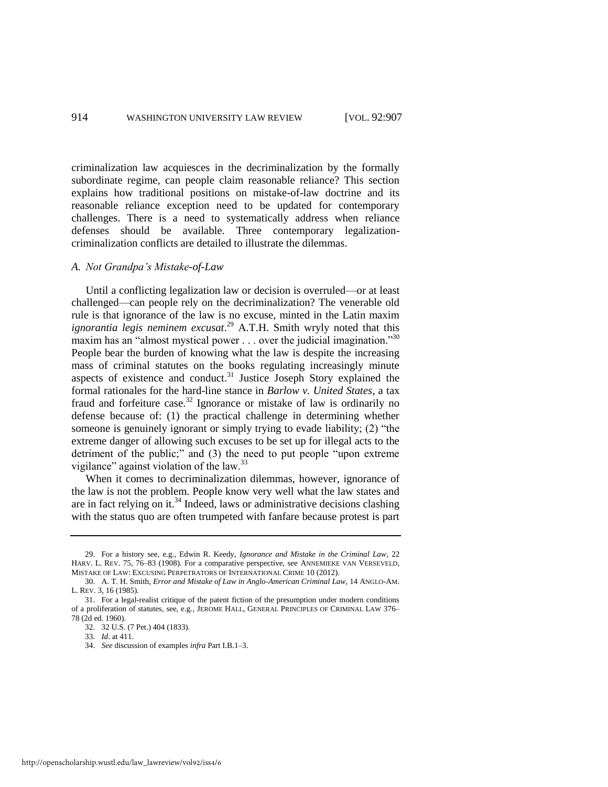criminalization law acquiesces in the decriminalization by the formally subordinate regime, can people claim reasonable reliance? This section explains how traditional positions on mistake-of-law doctrine and its reasonable reliance exception need to be updated for contemporary challenges. There is a need to systematically address when reliance defenses should be available. Three contemporary legalizationcriminalization conflicts are detailed to illustrate the dilemmas.

#### *A. Not Grandpa's Mistake-of-Law*

Until a conflicting legalization law or decision is overruled—or at least challenged—can people rely on the decriminalization? The venerable old rule is that ignorance of the law is no excuse, minted in the Latin maxim *ignorantia legis neminem excusat*. <sup>29</sup> A.T.H. Smith wryly noted that this maxim has an "almost mystical power . . . over the judicial imagination."<sup>30</sup> People bear the burden of knowing what the law is despite the increasing mass of criminal statutes on the books regulating increasingly minute aspects of existence and conduct.<sup>31</sup> Justice Joseph Story explained the formal rationales for the hard-line stance in *Barlow v. United States*, a tax fraud and forfeiture case.<sup>32</sup> Ignorance or mistake of law is ordinarily no defense because of: (1) the practical challenge in determining whether someone is genuinely ignorant or simply trying to evade liability; (2) "the extreme danger of allowing such excuses to be set up for illegal acts to the detriment of the public;" and (3) the need to put people "upon extreme vigilance" against violation of the law. $33$ 

When it comes to decriminalization dilemmas, however, ignorance of the law is not the problem. People know very well what the law states and are in fact relying on it.<sup>34</sup> Indeed, laws or administrative decisions clashing with the status quo are often trumpeted with fanfare because protest is part

<sup>29.</sup> For a history see, e.g., Edwin R. Keedy, *Ignorance and Mistake in the Criminal Law*, 22 HARV. L. REV. 75, 76–83 (1908). For a comparative perspective, see ANNEMIEKE VAN VERSEVELD, MISTAKE OF LAW: EXCUSING PERPETRATORS OF INTERNATIONAL CRIME 10 (2012).

<sup>30.</sup> A. T. H. Smith, *Error and Mistake of Law in Anglo-American Criminal Law*, 14 ANGLO-AM. L. REV. 3, 16 (1985).

<sup>31.</sup> For a legal-realist critique of the patent fiction of the presumption under modern conditions of a proliferation of statutes, see, e.g., JEROME HALL, GENERAL PRINCIPLES OF CRIMINAL LAW 376– 78 (2d ed. 1960).

<sup>32. 32</sup> U.S. (7 Pet.) 404 (1833).

<sup>33.</sup> *Id*. at 411.

<sup>34.</sup> *See* discussion of examples *infra* Part I.B.1–3.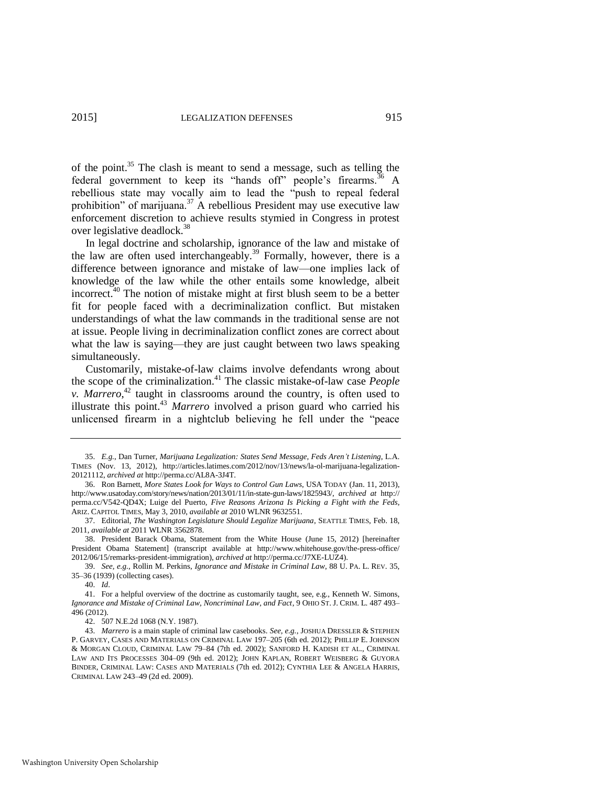of the point.<sup>35</sup> The clash is meant to send a message, such as telling the federal government to keep its "hands off" people's firearms.<sup>36</sup> A rebellious state may vocally aim to lead the "push to repeal federal prohibition" of marijuana.<sup>37</sup> A rebellious President may use executive law enforcement discretion to achieve results stymied in Congress in protest over legislative deadlock.<sup>38</sup>

<span id="page-9-0"></span>In legal doctrine and scholarship, ignorance of the law and mistake of the law are often used interchangeably.<sup>39</sup> Formally, however, there is a difference between ignorance and mistake of law—one implies lack of knowledge of the law while the other entails some knowledge, albeit incorrect.<sup>40</sup> The notion of mistake might at first blush seem to be a better fit for people faced with a decriminalization conflict. But mistaken understandings of what the law commands in the traditional sense are not at issue. People living in decriminalization conflict zones are correct about what the law is saying—they are just caught between two laws speaking simultaneously.

Customarily, mistake-of-law claims involve defendants wrong about the scope of the criminalization.<sup>41</sup> The classic mistake-of-law case *People v. Marrero*, <sup>42</sup> taught in classrooms around the country, is often used to illustrate this point.<sup>43</sup> *Marrero* involved a prison guard who carried his unlicensed firearm in a nightclub believing he fell under the "peace

<sup>35.</sup> *E.g.*, Dan Turner, *Marijuana Legalization: States Send Message, Feds Aren't Listening*, L.A. TIMES (Nov. 13, 2012), http://articles.latimes.com/2012/nov/13/news/la-ol-marijuana-legalization-20121112, *archived at* http://perma.cc/AL8A-3J4T.

<sup>36.</sup> Ron Barnett, *More States Look for Ways to Control Gun Laws*, USA TODAY (Jan. 11, 2013), http://www.usatoday.com/story/news/nation/2013/01/11/in-state-gun-laws/1825943/, *archived at* http:// perma.cc/V542-QD4X; Luige del Puerto, *Five Reasons Arizona Is Picking a Fight with the Feds*, ARIZ. CAPITOL TIMES, May 3, 2010, *available at* 2010 WLNR 9632551.

<sup>37.</sup> Editorial, *The Washington Legislature Should Legalize Marijuana*, SEATTLE TIMES, Feb. 18, 2011, *available at* 2011 WLNR 3562878.

<sup>38.</sup> President Barack Obama, Statement from the White House (June 15, 2012) [hereinafter President Obama Statement] (transcript available at http://www.whitehouse.gov/the-press-office/ 2012/06/15/remarks-president-immigration), *archived at* http://perma.cc/J7XE-LUZ4).

<sup>39.</sup> *See, e.g.*, Rollin M. Perkins, *Ignorance and Mistake in Criminal Law*, 88 U. PA. L. REV. 35, 35–36 (1939) (collecting cases).

<sup>40.</sup> *Id*.

<sup>41.</sup> For a helpful overview of the doctrine as customarily taught, see, e.g., Kenneth W. Simons, *Ignorance and Mistake of Criminal Law, Noncriminal Law, and Fact*, 9 OHIO ST. J. CRIM. L. 487 493– 496 (2012).

<sup>42. 507</sup> N.E.2d 1068 (N.Y. 1987).

<sup>43.</sup> *Marrero* is a main staple of criminal law casebooks. *See, e.g.*, JOSHUA DRESSLER & STEPHEN P. GARVEY, CASES AND MATERIALS ON CRIMINAL LAW 197–205 (6th ed. 2012); PHILLIP E. JOHNSON & MORGAN CLOUD, CRIMINAL LAW 79–84 (7th ed. 2002); SANFORD H. KADISH ET AL., CRIMINAL LAW AND ITS PROCESSES 304–09 (9th ed. 2012); JOHN KAPLAN, ROBERT WEISBERG & GUYORA BINDER, CRIMINAL LAW: CASES AND MATERIALS (7th ed. 2012); CYNTHIA LEE & ANGELA HARRIS, CRIMINAL LAW 243–49 (2d ed. 2009).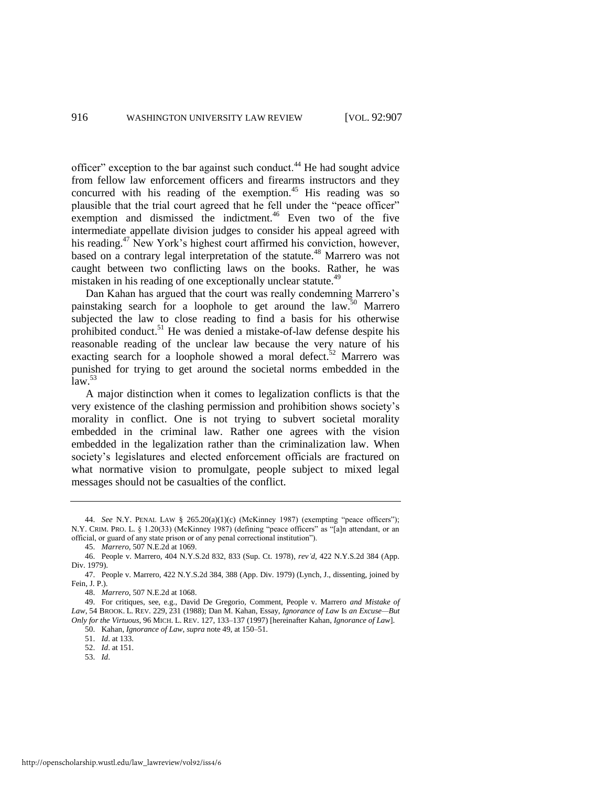officer" exception to the bar against such conduct.<sup>44</sup> He had sought advice from fellow law enforcement officers and firearms instructors and they concurred with his reading of the exemption.<sup>45</sup> His reading was so plausible that the trial court agreed that he fell under the "peace officer" exemption and dismissed the indictment.<sup>46</sup> Even two of the five intermediate appellate division judges to consider his appeal agreed with his reading.<sup>47</sup> New York's highest court affirmed his conviction, however, based on a contrary legal interpretation of the statute.<sup>48</sup> Marrero was not caught between two conflicting laws on the books. Rather, he was mistaken in his reading of one exceptionally unclear statute.<sup>49</sup>

<span id="page-10-0"></span>Dan Kahan has argued that the court was really condemning Marrero's painstaking search for a loophole to get around the law.<sup>50</sup> Marrero subjected the law to close reading to find a basis for his otherwise prohibited conduct.<sup>51</sup> He was denied a mistake-of-law defense despite his reasonable reading of the unclear law because the very nature of his exacting search for a loophole showed a moral defect.<sup>52</sup> Marrero was punished for trying to get around the societal norms embedded in the  $\mathrm{law}$ <sup>53</sup>

A major distinction when it comes to legalization conflicts is that the very existence of the clashing permission and prohibition shows society's morality in conflict. One is not trying to subvert societal morality embedded in the criminal law. Rather one agrees with the vision embedded in the legalization rather than the criminalization law. When society's legislatures and elected enforcement officials are fractured on what normative vision to promulgate, people subject to mixed legal messages should not be casualties of the conflict.

53. *Id*.

<sup>44.</sup> *See* N.Y. PENAL LAW § 265.20(a)(1)(c) (McKinney 1987) (exempting "peace officers"); N.Y. CRIM. PRO. L. § 1.20(33) (McKinney 1987) (defining "peace officers" as "[a]n attendant, or an official, or guard of any state prison or of any penal correctional institution").

<sup>45.</sup> *Marrero*, 507 N.E.2d at 1069.

<sup>46.</sup> People v. Marrero, 404 N.Y.S.2d 832, 833 (Sup. Ct. 1978), *rev'd*, 422 N.Y.S.2d 384 (App. Div. 1979).

<sup>47.</sup> People v. Marrero, 422 N.Y.S.2d 384, 388 (App. Div. 1979) (Lynch, J., dissenting, joined by Fein, J. P.).

<sup>48.</sup> *Marrero*, 507 N.E.2d at 1068.

<sup>49.</sup> For critiques, see, e.g., David De Gregorio, Comment, People v. Marrero *and Mistake of Law*, 54 BROOK. L. REV. 229, 231 (1988); Dan M. Kahan, Essay, *Ignorance of Law* Is *an Excuse—But Only for the Virtuous*, 96 MICH. L. REV. 127, 133–137 (1997) [hereinafter Kahan, *Ignorance of Law*]. 50. Kahan, *Ignorance of Law*, *supra* not[e 49,](#page-10-0) at 150–51.

<sup>51.</sup> *Id*. at 133.

<sup>52.</sup> *Id*. at 151.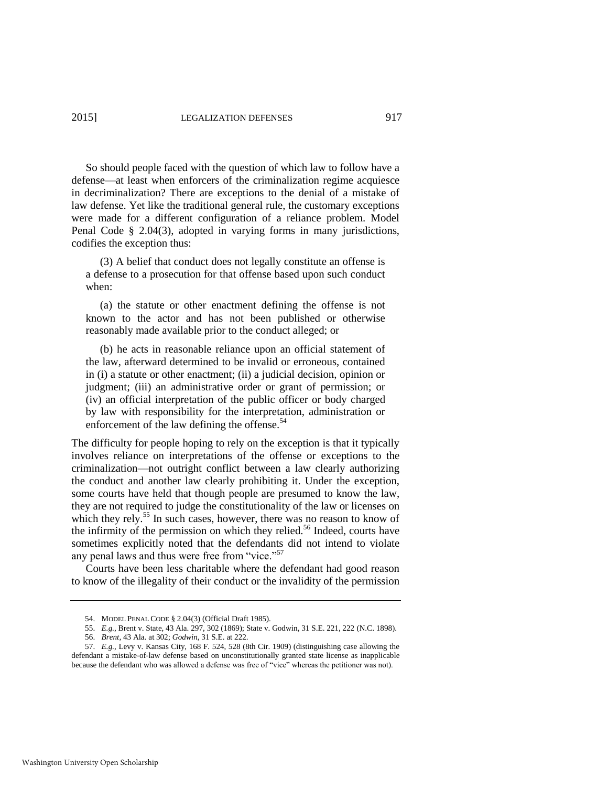So should people faced with the question of which law to follow have a defense—at least when enforcers of the criminalization regime acquiesce in decriminalization? There are exceptions to the denial of a mistake of law defense. Yet like the traditional general rule, the customary exceptions were made for a different configuration of a reliance problem. Model Penal Code § 2.04(3), adopted in varying forms in many jurisdictions, codifies the exception thus:

 (3) A belief that conduct does not legally constitute an offense is a defense to a prosecution for that offense based upon such conduct when:

 (a) the statute or other enactment defining the offense is not known to the actor and has not been published or otherwise reasonably made available prior to the conduct alleged; or

 (b) he acts in reasonable reliance upon an official statement of the law, afterward determined to be invalid or erroneous, contained in (i) a statute or other enactment; (ii) a judicial decision, opinion or judgment; (iii) an administrative order or grant of permission; or (iv) an official interpretation of the public officer or body charged by law with responsibility for the interpretation, administration or enforcement of the law defining the offense. $54$ 

The difficulty for people hoping to rely on the exception is that it typically involves reliance on interpretations of the offense or exceptions to the criminalization—not outright conflict between a law clearly authorizing the conduct and another law clearly prohibiting it. Under the exception, some courts have held that though people are presumed to know the law, they are not required to judge the constitutionality of the law or licenses on which they rely.<sup>55</sup> In such cases, however, there was no reason to know of the infirmity of the permission on which they relied.<sup>56</sup> Indeed, courts have sometimes explicitly noted that the defendants did not intend to violate any penal laws and thus were free from "vice."<sup>57</sup>

Courts have been less charitable where the defendant had good reason to know of the illegality of their conduct or the invalidity of the permission

<sup>54.</sup> MODEL PENAL CODE § 2.04(3) (Official Draft 1985).

<sup>55.</sup> *E.g.*, Brent v. State, 43 Ala. 297, 302 (1869); State v. Godwin, 31 S.E. 221, 222 (N.C. 1898).

<sup>56.</sup> *Brent*, 43 Ala. at 302; *Godwin*, 31 S.E. at 222.

<sup>57.</sup> *E.g.*, Levy v. Kansas City, 168 F. 524, 528 (8th Cir. 1909) (distinguishing case allowing the defendant a mistake-of-law defense based on unconstitutionally granted state license as inapplicable because the defendant who was allowed a defense was free of "vice" whereas the petitioner was not).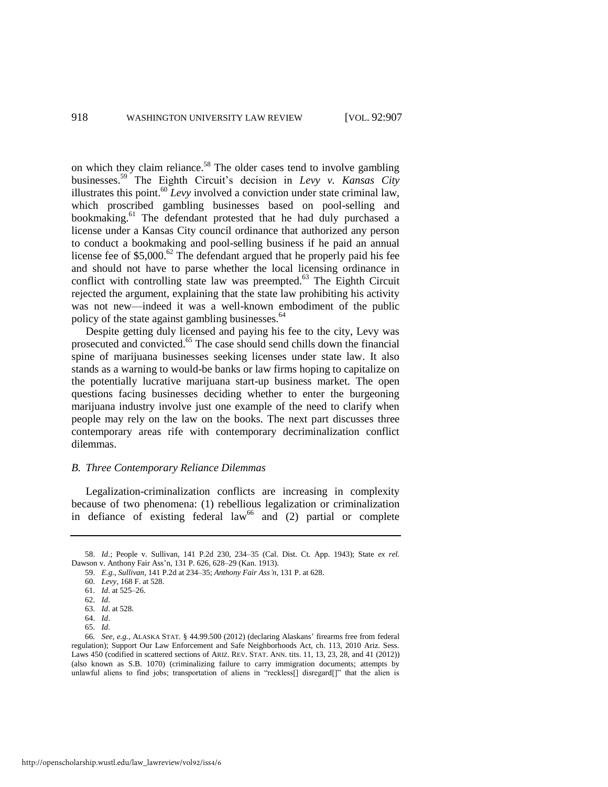on which they claim reliance.<sup>58</sup> The older cases tend to involve gambling businesses.<sup>59</sup> The Eighth Circuit's decision in *Levy v. Kansas City* illustrates this point.<sup>60</sup> *Levy* involved a conviction under state criminal law, which proscribed gambling businesses based on pool-selling and bookmaking.<sup>61</sup> The defendant protested that he had duly purchased a license under a Kansas City council ordinance that authorized any person to conduct a bookmaking and pool-selling business if he paid an annual license fee of  $$5,000$ .<sup>62</sup> The defendant argued that he properly paid his fee and should not have to parse whether the local licensing ordinance in conflict with controlling state law was preempted. $63$  The Eighth Circuit rejected the argument, explaining that the state law prohibiting his activity was not new—indeed it was a well-known embodiment of the public policy of the state against gambling businesses.<sup>64</sup>

Despite getting duly licensed and paying his fee to the city, Levy was prosecuted and convicted.<sup>65</sup> The case should send chills down the financial spine of marijuana businesses seeking licenses under state law. It also stands as a warning to would-be banks or law firms hoping to capitalize on the potentially lucrative marijuana start-up business market. The open questions facing businesses deciding whether to enter the burgeoning marijuana industry involve just one example of the need to clarify when people may rely on the law on the books. The next part discusses three contemporary areas rife with contemporary decriminalization conflict dilemmas.

#### *B. Three Contemporary Reliance Dilemmas*

Legalization-criminalization conflicts are increasing in complexity because of two phenomena: (1) rebellious legalization or criminalization in defiance of existing federal  $law<sup>66</sup>$  and (2) partial or complete

<sup>58.</sup> *Id*.; People v. Sullivan, 141 P.2d 230, 234–35 (Cal. Dist. Ct. App. 1943); State *ex rel.* Dawson v. Anthony Fair Ass'n, 131 P. 626, 628–29 (Kan. 1913).

<sup>59.</sup> *E.g.*, *Sullivan*, 141 P.2d at 234–35; *Anthony Fair Ass'n*, 131 P. at 628.

<sup>60.</sup> *Levy*, 168 F. at 528.

<sup>61.</sup> *Id*. at 525–26.

<sup>62.</sup> *Id*.

<sup>63.</sup> *Id*. at 528.

<sup>64.</sup> *Id*.

<sup>65.</sup> *Id*.

<sup>66</sup>*. See, e.g.*, ALASKA STAT. § 44.99.500 (2012) (declaring Alaskans' firearms free from federal regulation); Support Our Law Enforcement and Safe Neighborhoods Act, ch. 113, 2010 Ariz. Sess. Laws 450 (codified in scattered sections of ARIZ. REV. STAT. ANN. tits. 11, 13, 23, 28, and 41 (2012)) (also known as S.B. 1070) (criminalizing failure to carry immigration documents; attempts by unlawful aliens to find jobs; transportation of aliens in "reckless[] disregard[]" that the alien is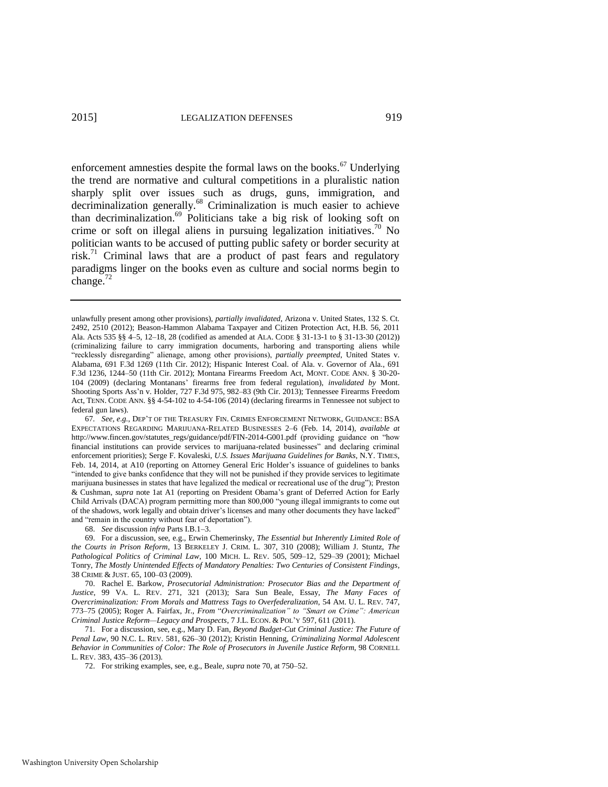<span id="page-13-1"></span><span id="page-13-0"></span>enforcement amnesties despite the formal laws on the books.<sup>67</sup> Underlying the trend are normative and cultural competitions in a pluralistic nation sharply split over issues such as drugs, guns, immigration, and decriminalization generally.<sup>68</sup> Criminalization is much easier to achieve than decriminalization.<sup>69</sup> Politicians take a big risk of looking soft on crime or soft on illegal aliens in pursuing legalization initiatives.<sup>70</sup> No politician wants to be accused of putting public safety or border security at risk.<sup>71</sup> Criminal laws that are a product of past fears and regulatory paradigms linger on the books even as culture and social norms begin to change. $^{72}$ 

68. *See* discussion *infra* Parts I.B.1–3.

69. For a discussion, see, e.g., Erwin Chemerinsky, *The Essential but Inherently Limited Role of the Courts in Prison Reform*, 13 BERKELEY J. CRIM. L. 307, 310 (2008); William J. Stuntz, *The Pathological Politics of Criminal Law*, 100 MICH. L. REV. 505, 509–12, 529–39 (2001); Michael Tonry, *The Mostly Unintended Effects of Mandatory Penalties: Two Centuries of Consistent Findings*, 38 CRIME & JUST. 65, 100–03 (2009).

unlawfully present among other provisions), *partially invalidated,* Arizona v. United States, 132 S. Ct. 2492, 2510 (2012); Beason-Hammon Alabama Taxpayer and Citizen Protection Act, H.B. 56, 2011 Ala. Acts 535 §§ 4–5, 12–18, 28 (codified as amended at ALA. CODE § 31-13-1 to § 31-13-30 (2012)) (criminalizing failure to carry immigration documents, harboring and transporting aliens while "recklessly disregarding" alienage, among other provisions), *partially preempted*, United States v. Alabama, 691 F.3d 1269 (11th Cir. 2012); Hispanic Interest Coal. of Ala. v. Governor of Ala., 691 F.3d 1236, 1244–50 (11th Cir. 2012); Montana Firearms Freedom Act, MONT. CODE ANN. § 30-20- 104 (2009) (declaring Montanans' firearms free from federal regulation), *invalidated by* Mont. Shooting Sports Ass'n v. Holder, 727 F.3d 975, 982–83 (9th Cir. 2013); Tennessee Firearms Freedom Act, TENN. CODE ANN. §§ 4-54-102 to 4-54-106 (2014) (declaring firearms in Tennessee not subject to federal gun laws).

<sup>67</sup>*. See, e.g.*, DEP'T OF THE TREASURY FIN. CRIMES ENFORCEMENT NETWORK, GUIDANCE: BSA EXPECTATIONS REGARDING MARIJUANA-RELATED BUSINESSES 2–6 (Feb. 14, 2014), *available at* http://www.fincen.gov/statutes\_regs/guidance/pdf/FIN-2014-G001.pdf (providing guidance on "how financial institutions can provide services to marijuana-related businesses" and declaring criminal enforcement priorities); Serge F. Kovaleski, *U.S. Issues Marijuana Guidelines for Banks*, N.Y. TIMES, Feb. 14, 2014, at A10 (reporting on Attorney General Eric Holder's issuance of guidelines to banks "intended to give banks confidence that they will not be punished if they provide services to legitimate marijuana businesses in states that have legalized the medical or recreational use of the drug"); Preston & Cushman, *supra* note [1a](#page-2-0)t A1 (reporting on President Obama's grant of Deferred Action for Early Child Arrivals (DACA) program permitting more than 800,000 "young illegal immigrants to come out of the shadows, work legally and obtain driver's licenses and many other documents they have lacked" and "remain in the country without fear of deportation").

<sup>70.</sup> Rachel E. Barkow, *Prosecutorial Administration: Prosecutor Bias and the Department of Justice*, 99 VA. L. REV. 271, 321 (2013); Sara Sun Beale, Essay, *The Many Faces of Overcriminalization: From Morals and Mattress Tags to Overfederalization*, 54 AM. U. L. REV. 747, 773–75 (2005); Roger A. Fairfax, Jr., *From* "*Overcriminalization" to "Smart on Crime": American Criminal Justice Reform—Legacy and Prospects*, 7 J.L. ECON. & POL'Y 597, 611 (2011).

<sup>71.</sup> For a discussion, see, e.g., Mary D. Fan, *Beyond Budget-Cut Criminal Justice: The Future of Penal Law*, 90 N.C. L. REV. 581, 626–30 (2012); Kristin Henning, *Criminalizing Normal Adolescent Behavior in Communities of Color: The Role of Prosecutors in Juvenile Justice Reform*, 98 CORNELL L. REV. 383, 435–36 (2013).

<sup>72.</sup> For striking examples, see, e.g., Beale, *supra* not[e 70,](#page-13-0) at 750–52.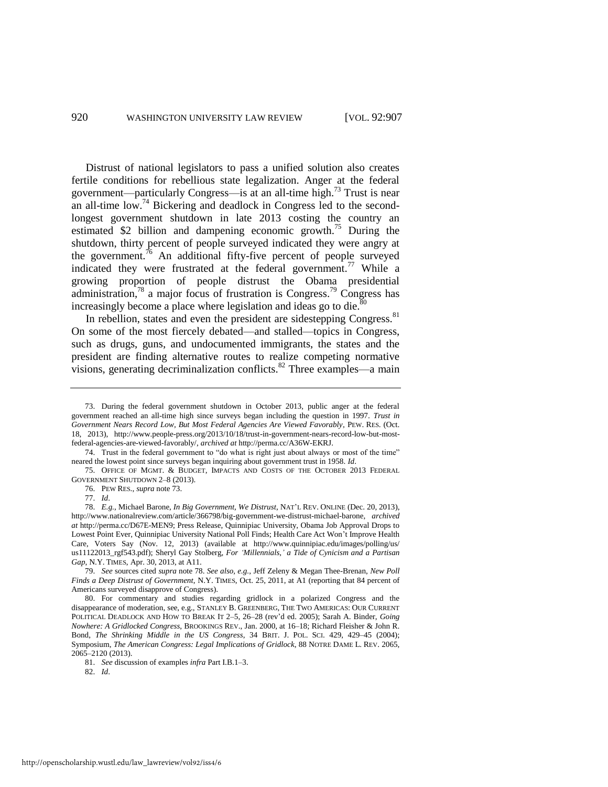<span id="page-14-0"></span>Distrust of national legislators to pass a unified solution also creates fertile conditions for rebellious state legalization. Anger at the federal government—particularly Congress—is at an all-time high.<sup>73</sup> Trust is near an all-time low.<sup>74</sup> Bickering and deadlock in Congress led to the secondlongest government shutdown in late 2013 costing the country an estimated \$2 billion and dampening economic growth.<sup>75</sup> During the shutdown, thirty percent of people surveyed indicated they were angry at the government.<sup>76</sup> An additional fifty-five percent of people surveyed indicated they were frustrated at the federal government.<sup>77</sup> While a growing proportion of people distrust the Obama presidential administration, $78$  a major focus of frustration is Congress.<sup>79</sup> Congress has increasingly become a place where legislation and ideas go to die. $\frac{8}{3}$ 

<span id="page-14-1"></span>In rebellion, states and even the president are sidestepping Congress.<sup>81</sup> On some of the most fiercely debated—and stalled—topics in Congress, such as drugs, guns, and undocumented immigrants, the states and the president are finding alternative routes to realize competing normative visions, generating decriminalization conflicts.<sup>82</sup> Three examples—a main

74. Trust in the federal government to "do what is right just about always or most of the time" neared the lowest point since surveys began inquiring about government trust in 1958. *Id*.

75. OFFICE OF MGMT. & BUDGET, IMPACTS AND COSTS OF THE OCTOBER 2013 FEDERAL GOVERNMENT SHUTDOWN 2–8 (2013).

79. *See* sources cited *supra* not[e 78.](#page-14-1) *See also, e.g.*, Jeff Zeleny & Megan Thee-Brenan, *New Poll Finds a Deep Distrust of Government*, N.Y. TIMES, Oct. 25, 2011, at A1 (reporting that 84 percent of Americans surveyed disapprove of Congress).

80. For commentary and studies regarding gridlock in a polarized Congress and the disappearance of moderation, see, e.g., STANLEY B. GREENBERG, THE TWO AMERICAS: OUR CURRENT POLITICAL DEADLOCK AND HOW TO BREAK IT 2–5, 26–28 (rev'd ed. 2005); Sarah A. Binder, *Going Nowhere: A Gridlocked Congress*, BROOKINGS REV., Jan. 2000, at 16–18; Richard Fleisher & John R. Bond, *The Shrinking Middle in the US Congress*, 34 BRIT. J. POL. SCI. 429, 429–45 (2004); Symposium, *The American Congress: Legal Implications of Gridlock*, 88 NOTRE DAME L. REV. 2065, 2065–2120 (2013).

81. *See* discussion of examples *infra* Part I.B.1–3.

82. *Id*.

<sup>73.</sup> During the federal government shutdown in October 2013, public anger at the federal government reached an all-time high since surveys began including the question in 1997. *Trust in Government Nears Record Low, But Most Federal Agencies Are Viewed Favorably*, PEW. RES. (Oct. 18, 2013), http://www.people-press.org/2013/10/18/trust-in-government-nears-record-low-but-mostfederal-agencies-are-viewed-favorably/, *archived at* http://perma.cc/A36W-EKRJ.

<sup>76.</sup> PEW RES., *supra* not[e 73.](#page-14-0) 

<sup>77.</sup> *Id*.

<sup>78.</sup> *E.g.*, Michael Barone, *In Big Government, We Distrust*, NAT'L REV. ONLINE (Dec. 20, 2013), http://www.nationalreview.com/article/366798/big-government-we-distrust-michael-barone, *archived at* http://perma.cc/D67E-MEN9; Press Release, Quinnipiac University, Obama Job Approval Drops to Lowest Point Ever, Quinnipiac University National Poll Finds; Health Care Act Won't Improve Health Care, Voters Say (Nov. 12, 2013) (available at http://www.quinnipiac.edu/images/polling/us/ us11122013\_rgf543.pdf); Sheryl Gay Stolberg, *For 'Millennials,' a Tide of Cynicism and a Partisan Gap*, N.Y. TIMES, Apr. 30, 2013, at A11.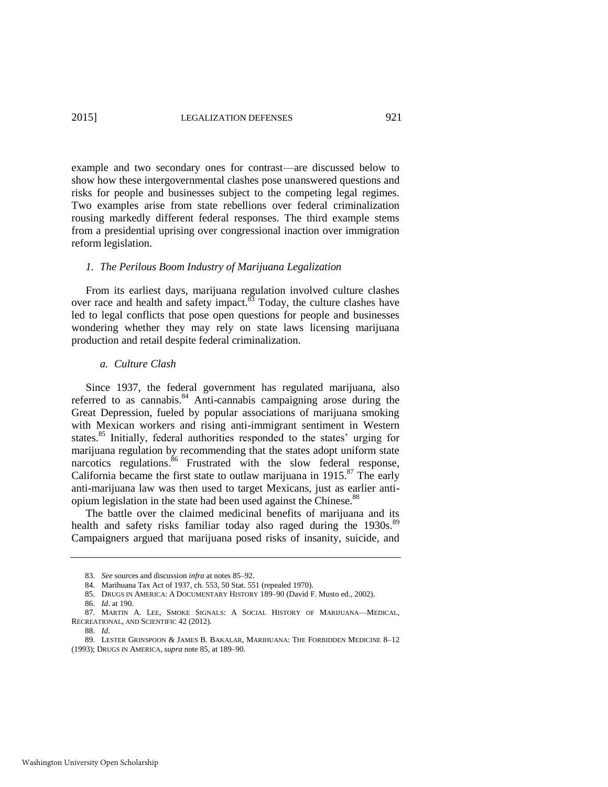example and two secondary ones for contrast—are discussed below to show how these intergovernmental clashes pose unanswered questions and risks for people and businesses subject to the competing legal regimes. Two examples arise from state rebellions over federal criminalization rousing markedly different federal responses. The third example stems from a presidential uprising over congressional inaction over immigration reform legislation.

#### *1. The Perilous Boom Industry of Marijuana Legalization*

From its earliest days, marijuana regulation involved culture clashes over race and health and safety impact.<sup>83</sup> Today, the culture clashes have led to legal conflicts that pose open questions for people and businesses wondering whether they may rely on state laws licensing marijuana production and retail despite federal criminalization.

#### *a. Culture Clash*

<span id="page-15-0"></span>Since 1937, the federal government has regulated marijuana, also referred to as cannabis.<sup>84</sup> Anti-cannabis campaigning arose during the Great Depression, fueled by popular associations of marijuana smoking with Mexican workers and rising anti-immigrant sentiment in Western states.<sup>85</sup> Initially, federal authorities responded to the states' urging for marijuana regulation by recommending that the states adopt uniform state narcotics regulations. <sup>86</sup> Frustrated with the slow federal response, California became the first state to outlaw marijuana in  $1915$ .<sup>87</sup> The early anti-marijuana law was then used to target Mexicans, just as earlier antiopium legislation in the state had been used against the Chinese.<sup>88</sup>

The battle over the claimed medicinal benefits of marijuana and its health and safety risks familiar today also raged during the 1930s.<sup>89</sup> Campaigners argued that marijuana posed risks of insanity, suicide, and

<span id="page-15-1"></span><sup>83.</sup> *See* sources and discussion *infra* at note[s 85](#page-15-0)[–92.](#page-16-0) 

<sup>84.</sup> Marihuana Tax Act of 1937, ch. 553, 50 Stat. 551 (repealed 1970).

<sup>85.</sup> DRUGS IN AMERICA: A DOCUMENTARY HISTORY 189–90 (David F. Musto ed., 2002).

<sup>86.</sup> *Id*. at 190.

<sup>87.</sup> MARTIN A. LEE, SMOKE SIGNALS: A SOCIAL HISTORY OF MARIJUANA—MEDICAL, RECREATIONAL, AND SCIENTIFIC 42 (2012).

<sup>88.</sup> *Id*.

<sup>89.</sup> LESTER GRINSPOON & JAMES B. BAKALAR, MARIHUANA: THE FORBIDDEN MEDICINE 8–12 (1993); DRUGS IN AMERICA, *supra* not[e 85,](#page-15-0) at 189–90.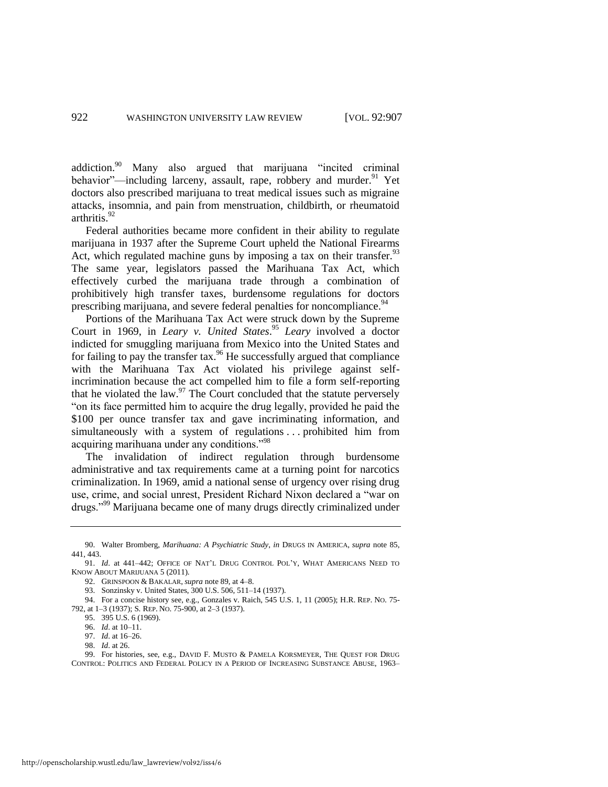<span id="page-16-1"></span>addiction. $90$  Many also argued that marijuana "incited criminal behavior"—including larceny, assault, rape, robbery and murder.<sup>91</sup> Yet doctors also prescribed marijuana to treat medical issues such as migraine attacks, insomnia, and pain from menstruation, childbirth, or rheumatoid arthritis.<sup>92</sup>

<span id="page-16-0"></span>Federal authorities became more confident in their ability to regulate marijuana in 1937 after the Supreme Court upheld the National Firearms Act, which regulated machine guns by imposing a tax on their transfer.  $93$ The same year, legislators passed the Marihuana Tax Act, which effectively curbed the marijuana trade through a combination of prohibitively high transfer taxes, burdensome regulations for doctors prescribing marijuana, and severe federal penalties for noncompliance.<sup>94</sup>

Portions of the Marihuana Tax Act were struck down by the Supreme Court in 1969, in *Leary v. United States*. <sup>95</sup> *Leary* involved a doctor indicted for smuggling marijuana from Mexico into the United States and for failing to pay the transfer tax. $96$  He successfully argued that compliance with the Marihuana Tax Act violated his privilege against selfincrimination because the act compelled him to file a form self-reporting that he violated the law. $97$  The Court concluded that the statute perversely "on its face permitted him to acquire the drug legally, provided he paid the \$100 per ounce transfer tax and gave incriminating information, and simultaneously with a system of regulations ... prohibited him from acquiring marihuana under any conditions."<sup>98</sup>

The invalidation of indirect regulation through burdensome administrative and tax requirements came at a turning point for narcotics criminalization. In 1969, amid a national sense of urgency over rising drug use, crime, and social unrest, President Richard Nixon declared a "war on drugs."<sup>99</sup> Marijuana became one of many drugs directly criminalized under

<sup>90.</sup> Walter Bromberg, *Marihuana: A Psychiatric Study*, *in* DRUGS IN AMERICA, *supra* note [85,](#page-15-0)  441, 443.

<sup>91.</sup> *Id*. at 441–442; OFFICE OF NAT'L DRUG CONTROL POL'Y, WHAT AMERICANS NEED TO KNOW ABOUT MARIJUANA 5 (2011).

<sup>92.</sup> GRINSPOON & BAKALAR, *supra* not[e 89,](#page-15-1) at 4–8.

<sup>93.</sup> Sonzinsky v. United States, 300 U.S. 506, 511–14 (1937).

<sup>94.</sup> For a concise history see, e.g., Gonzales v. Raich, 545 U.S. 1, 11 (2005); H.R. REP. NO. 75- 792, at 1–3 (1937); S. REP. NO. 75-900, at 2–3 (1937).

<sup>95. 395</sup> U.S. 6 (1969).

<sup>96.</sup> *Id*. at 10–11.

<sup>97.</sup> *Id*. at 16–26.

<sup>98.</sup> *Id*. at 26.

<sup>99.</sup> For histories, see, e.g., DAVID F. MUSTO & PAMELA KORSMEYER, THE QUEST FOR DRUG CONTROL: POLITICS AND FEDERAL POLICY IN A PERIOD OF INCREASING SUBSTANCE ABUSE, 1963–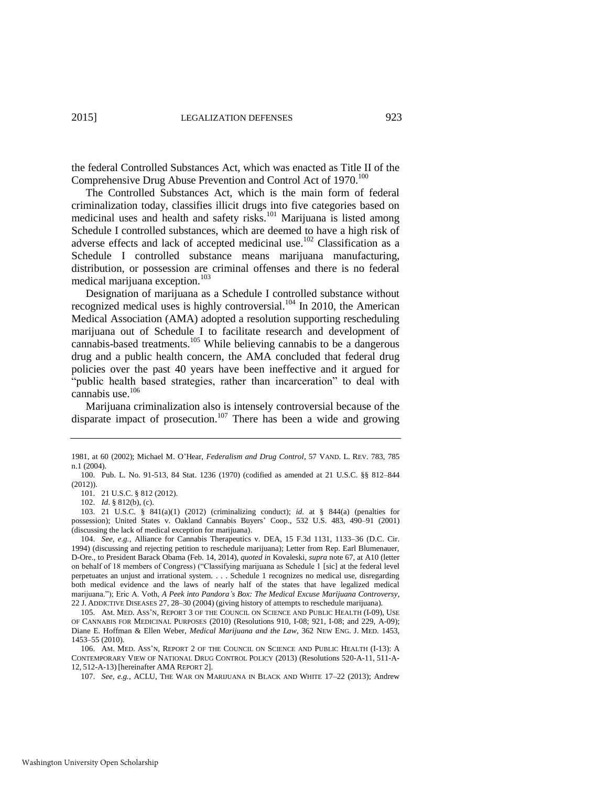the federal Controlled Substances Act, which was enacted as Title II of the Comprehensive Drug Abuse Prevention and Control Act of 1970.<sup>100</sup>

The Controlled Substances Act, which is the main form of federal criminalization today, classifies illicit drugs into five categories based on medicinal uses and health and safety risks.<sup>101</sup> Marijuana is listed among Schedule I controlled substances, which are deemed to have a high risk of adverse effects and lack of accepted medicinal use.<sup>102</sup> Classification as a Schedule I controlled substance means marijuana manufacturing, distribution, or possession are criminal offenses and there is no federal medical marijuana exception.<sup>103</sup>

Designation of marijuana as a Schedule I controlled substance without recognized medical uses is highly controversial.<sup>104</sup> In 2010, the American Medical Association (AMA) adopted a resolution supporting rescheduling marijuana out of Schedule I to facilitate research and development of cannabis-based treatments.<sup>105</sup> While believing cannabis to be a dangerous drug and a public health concern, the AMA concluded that federal drug policies over the past 40 years have been ineffective and it argued for "public health based strategies, rather than incarceration" to deal with cannabis use.<sup>106</sup>

<span id="page-17-1"></span><span id="page-17-0"></span>Marijuana criminalization also is intensely controversial because of the disparate impact of prosecution.<sup>107</sup> There has been a wide and growing

101. 21 U.S.C. § 812 (2012).

102. *Id*. § 812(b), (c).

103. 21 U.S.C. § 841(a)(1) (2012) (criminalizing conduct); *id*. at § 844(a) (penalties for possession); United States v. Oakland Cannabis Buyers' Coop., 532 U.S. 483, 490–91 (2001) (discussing the lack of medical exception for marijuana).

106. AM. MED. ASS'N, REPORT 2 OF THE COUNCIL ON SCIENCE AND PUBLIC HEALTH (I-13): A CONTEMPORARY VIEW OF NATIONAL DRUG CONTROL POLICY (2013) (Resolutions 520-A-11, 511-A-12, 512-A-13) [hereinafter AMA REPORT 2].

107. *See, e.g.*, ACLU, THE WAR ON MARIJUANA IN BLACK AND WHITE 17–22 (2013); Andrew

<sup>1981,</sup> at 60 (2002); Michael M. O'Hear, *Federalism and Drug Control*, 57 VAND. L. REV. 783, 785 n.1 (2004).

<sup>100.</sup> Pub. L. No. 91-513, 84 Stat. 1236 (1970) (codified as amended at 21 U.S.C. §§ 812–844 (2012)).

<sup>104.</sup> *See, e.g.*, Alliance for Cannabis Therapeutics v. DEA, 15 F.3d 1131, 1133–36 (D.C. Cir. 1994) (discussing and rejecting petition to reschedule marijuana); Letter from Rep. Earl Blumenauer, D-Ore., to President Barack Obama (Feb. 14, 2014), *quoted in* Kovaleski, *supra* not[e 67,](#page-13-1) at A10 (letter on behalf of 18 members of Congress) ("Classifying marijuana as Schedule 1 [sic] at the federal level perpetuates an unjust and irrational system. . . . Schedule 1 recognizes no medical use, disregarding both medical evidence and the laws of nearly half of the states that have legalized medical marijuana."); Eric A. Voth, *A Peek into Pandora's Box: The Medical Excuse Marijuana Controversy*, 22 J. ADDICTIVE DISEASES 27, 28–30 (2004) (giving history of attempts to reschedule marijuana).

<sup>105.</sup> AM. MED. ASS'N, REPORT 3 OF THE COUNCIL ON SCIENCE AND PUBLIC HEALTH (I-09), USE OF CANNABIS FOR MEDICINAL PURPOSES (2010) (Resolutions 910, I-08; 921, I-08; and 229, A-09); Diane E. Hoffman & Ellen Weber, *Medical Marijuana and the Law*, 362 NEW ENG. J. MED. 1453, 1453–55 (2010).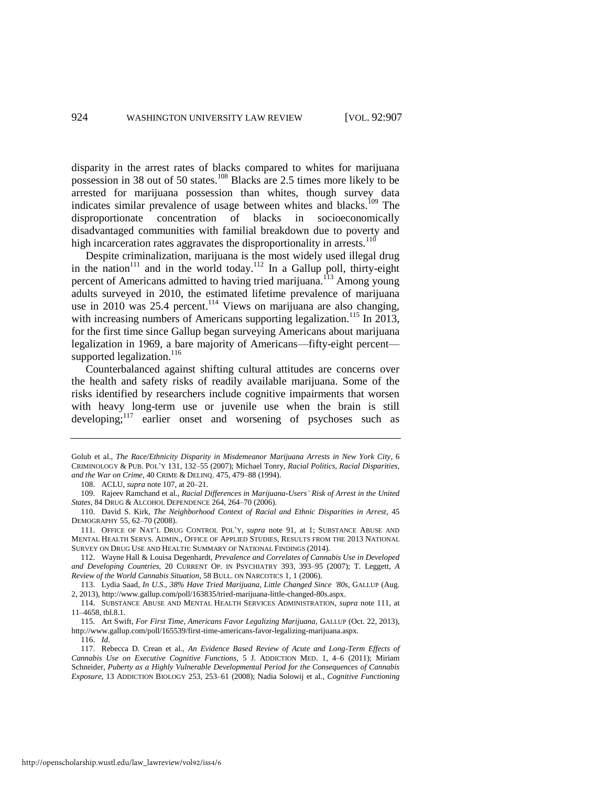disparity in the arrest rates of blacks compared to whites for marijuana possession in 38 out of 50 states.<sup>108</sup> Blacks are 2.5 times more likely to be arrested for marijuana possession than whites, though survey data indicates similar prevalence of usage between whites and blacks.<sup>109</sup> The disproportionate concentration of blacks in socioeconomically disadvantaged communities with familial breakdown due to poverty and high incarceration rates aggravates the disproportionality in arrests.<sup>110</sup>

<span id="page-18-0"></span>Despite criminalization, marijuana is the most widely used illegal drug in the nation<sup>111</sup> and in the world today.<sup>112</sup> In a Gallup poll, thirty-eight percent of Americans admitted to having tried marijuana.<sup>113</sup> Among young adults surveyed in 2010, the estimated lifetime prevalence of marijuana use in 2010 was 25.4 percent.<sup>114</sup> Views on marijuana are also changing, with increasing numbers of Americans supporting legalization.<sup>115</sup> In 2013, for the first time since Gallup began surveying Americans about marijuana legalization in 1969, a bare majority of Americans—fifty-eight percent supported legalization. $^{116}$ 

Counterbalanced against shifting cultural attitudes are concerns over the health and safety risks of readily available marijuana. Some of the risks identified by researchers include cognitive impairments that worsen with heavy long-term use or juvenile use when the brain is still developing;<sup>117</sup> earlier onset and worsening of psychoses such as

Golub et al., *The Race/Ethnicity Disparity in Misdemeanor Marijuana Arrests in New York City*, 6 CRIMINOLOGY & PUB. POL'Y 131, 132–55 (2007); Michael Tonry, *Racial Politics, Racial Disparities, and the War on Crime*, 40 CRIME & DELINQ. 475, 479–88 (1994).

<sup>108.</sup> ACLU, *supra* not[e 107,](#page-17-0) at 20–21.

<sup>109.</sup> Rajeev Ramchand et al., *Racial Differences in Marijuana-Users' Risk of Arrest in the United States*, 84 DRUG & ALCOHOL DEPENDENCE 264, 264–70 (2006).

<sup>110.</sup> David S. Kirk, *The Neighborhood Context of Racial and Ethnic Disparities in Arrest*, 45 DEMOGRAPHY 55, 62–70 (2008).

<sup>111.</sup> OFFICE OF NAT'L DRUG CONTROL POL'Y, *supra* note [91,](#page-16-1) at 1; SUBSTANCE ABUSE AND MENTAL HEALTH SERVS. ADMIN., OFFICE OF APPLIED STUDIES, RESULTS FROM THE 2013 NATIONAL SURVEY ON DRUG USE AND HEALTH: SUMMARY OF NATIONAL FINDINGS (2014).

<sup>112.</sup> Wayne Hall & Louisa Degenhardt, *Prevalence and Correlates of Cannabis Use in Developed and Developing Countries*, 20 CURRENT OP. IN PSYCHIATRY 393, 393–95 (2007); T. Leggett, *A Review of the World Cannabis Situation*, 58 BULL. ON NARCOTICS 1, 1 (2006).

<sup>113.</sup> Lydia Saad, *In U.S., 38% Have Tried Marijuana, Little Changed Since '80s*, GALLUP (Aug. 2, 2013), http://www.gallup.com/poll/163835/tried-marijuana-little-changed-80s.aspx.

<sup>114.</sup> SUBSTANCE ABUSE AND MENTAL HEALTH SERVICES ADMINISTRATION, *supra* note [111,](#page-18-0) at 11–4658, tbl.8.1.

<sup>115.</sup> Art Swift, *For First Time, Americans Favor Legalizing Marijuana*, GALLUP (Oct. 22, 2013), http://www.gallup.com/poll/165539/first-time-americans-favor-legalizing-marijuana.aspx. 116. *Id*.

<sup>117.</sup> Rebecca D. Crean et al., *An Evidence Based Review of Acute and Long-Term Effects of Cannabis Use on Executive Cognitive Functions*, 5 J. ADDICTION MED. 1, 4–6 (2011); Miriam Schneider, *Puberty as a Highly Vulnerable Developmental Period for the Consequences of Cannabis Exposure*, 13 ADDICTION BIOLOGY 253, 253–61 (2008); Nadia Solowij et al., *Cognitive Functioning*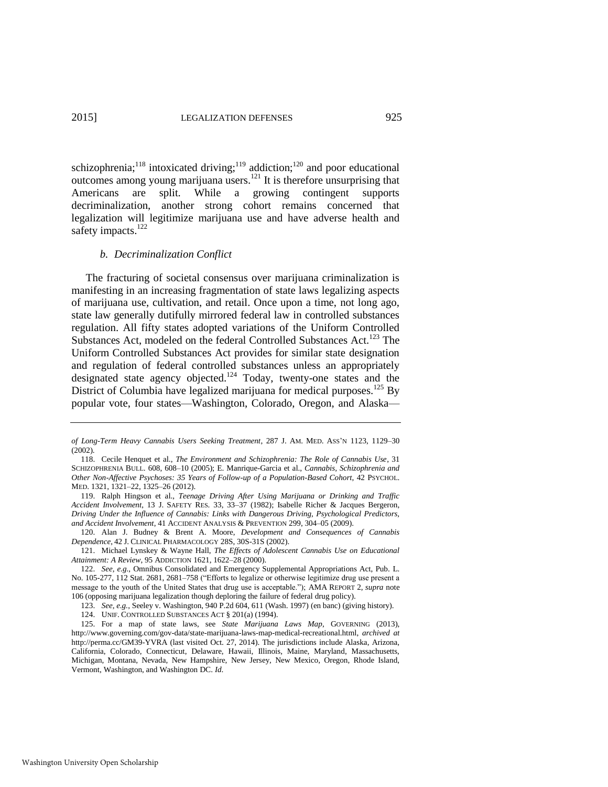schizophrenia;<sup>118</sup> intoxicated driving;<sup>119</sup> addiction;<sup>120</sup> and poor educational outcomes among young marijuana users.<sup>121</sup> It is therefore unsurprising that Americans are split. While a growing contingent supports decriminalization, another strong cohort remains concerned that legalization will legitimize marijuana use and have adverse health and safety impacts.<sup>122</sup>

#### *b. Decriminalization Conflict*

The fracturing of societal consensus over marijuana criminalization is manifesting in an increasing fragmentation of state laws legalizing aspects of marijuana use, cultivation, and retail. Once upon a time, not long ago, state law generally dutifully mirrored federal law in controlled substances regulation. All fifty states adopted variations of the Uniform Controlled Substances Act, modeled on the federal Controlled Substances Act.<sup>123</sup> The Uniform Controlled Substances Act provides for similar state designation and regulation of federal controlled substances unless an appropriately designated state agency objected.<sup>124</sup> Today, twenty-one states and the District of Columbia have legalized marijuana for medical purposes.<sup>125</sup> By popular vote, four states—Washington, Colorado, Oregon, and Alaska—

*of Long-Term Heavy Cannabis Users Seeking Treatment*, 287 J. AM. MED. ASS'N 1123, 1129–30 (2002).

<sup>118.</sup> Cecile Henquet et al., *The Environment and Schizophrenia: The Role of Cannabis Use*, 31 SCHIZOPHRENIA BULL. 608, 608–10 (2005); E. Manrique-Garcia et al., *Cannabis, Schizophrenia and Other Non-Affective Psychoses: 35 Years of Follow-up of a Population-Based Cohort*, 42 PSYCHOL. MED. 1321, 1321–22, 1325–26 (2012).

<sup>119.</sup> Ralph Hingson et al., *Teenage Driving After Using Marijuana or Drinking and Traffic Accident Involvement*, 13 J. SAFETY RES. 33, 33–37 (1982); Isabelle Richer & Jacques Bergeron, *Driving Under the Influence of Cannabis: Links with Dangerous Driving, Psychological Predictors, and Accident Involvement*, 41 ACCIDENT ANALYSIS & PREVENTION 299, 304–05 (2009).

<sup>120.</sup> Alan J. Budney & Brent A. Moore, *Development and Consequences of Cannabis Dependence*, 42 J. CLINICAL PHARMACOLOGY 28S, 30S-31S (2002).

<sup>121.</sup> Michael Lynskey & Wayne Hall, *The Effects of Adolescent Cannabis Use on Educational Attainment: A Review*, 95 ADDICTION 1621, 1622–28 (2000).

<sup>122.</sup> *See, e.g.*, Omnibus Consolidated and Emergency Supplemental Appropriations Act, Pub. L. No. 105-277, 112 Stat. 2681, 2681–758 ("Efforts to legalize or otherwise legitimize drug use present a message to the youth of the United States that drug use is acceptable."); AMA REPORT 2, *supra* note [106](#page-17-1) (opposing marijuana legalization though deploring the failure of federal drug policy).

<sup>123.</sup> *See, e.g.*, Seeley v. Washington, 940 P.2d 604, 611 (Wash. 1997) (en banc) (giving history).

<sup>124.</sup> UNIF. CONTROLLED SUBSTANCES ACT § 201(a) (1994).

<sup>125.</sup> For a map of state laws, see *State Marijuana Laws Map*, GOVERNING (2013), http://www.governing.com/gov-data/state-marijuana-laws-map-medical-recreational.html, *archived at* http://perma.cc/GM39-YVRA (last visited Oct. 27, 2014). The jurisdictions include Alaska, Arizona, California, Colorado, Connecticut, Delaware, Hawaii, Illinois, Maine, Maryland, Massachusetts, Michigan, Montana, Nevada, New Hampshire, New Jersey, New Mexico, Oregon, Rhode Island, Vermont, Washington, and Washington DC. *Id*.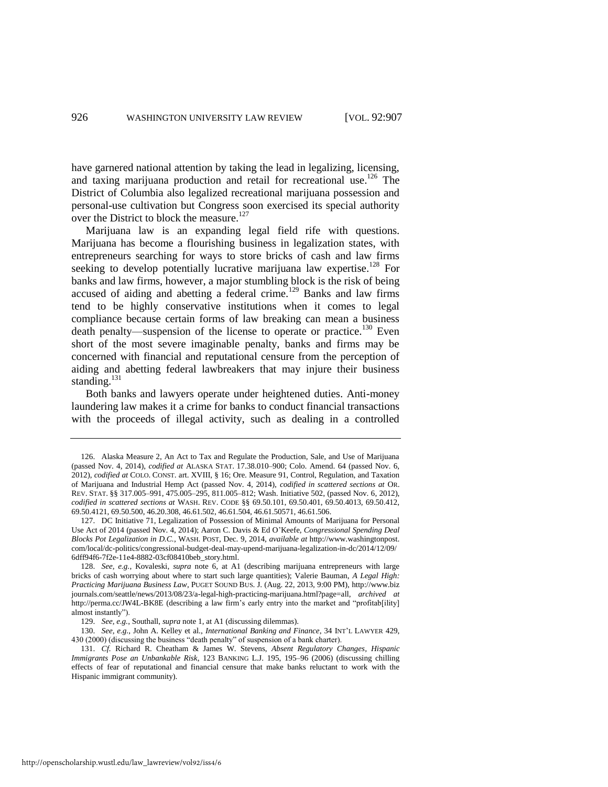<span id="page-20-0"></span>have garnered national attention by taking the lead in legalizing, licensing, and taxing marijuana production and retail for recreational use.<sup>126</sup> The District of Columbia also legalized recreational marijuana possession and personal-use cultivation but Congress soon exercised its special authority over the District to block the measure.<sup>127</sup>

Marijuana law is an expanding legal field rife with questions. Marijuana has become a flourishing business in legalization states, with entrepreneurs searching for ways to store bricks of cash and law firms seeking to develop potentially lucrative marijuana law expertise.<sup>128</sup> For banks and law firms, however, a major stumbling block is the risk of being accused of aiding and abetting a federal crime.<sup>129</sup> Banks and law firms tend to be highly conservative institutions when it comes to legal compliance because certain forms of law breaking can mean a business death penalty—suspension of the license to operate or practice.<sup>130</sup> Even short of the most severe imaginable penalty, banks and firms may be concerned with financial and reputational censure from the perception of aiding and abetting federal lawbreakers that may injure their business standing. $131$ 

Both banks and lawyers operate under heightened duties. Anti-money laundering law makes it a crime for banks to conduct financial transactions with the proceeds of illegal activity, such as dealing in a controlled

<sup>126.</sup> Alaska Measure 2, An Act to Tax and Regulate the Production, Sale, and Use of Marijuana (passed Nov. 4, 2014), *codified at* ALASKA STAT. 17.38.010–900; Colo. Amend. 64 (passed Nov. 6, 2012), *codified at* COLO. CONST. art. XVIII, § 16; Ore. Measure 91, Control, Regulation, and Taxation of Marijuana and Industrial Hemp Act (passed Nov. 4, 2014), *codified in scattered sections at* OR. REV. STAT. §§ 317.005–991, 475.005–295, 811.005–812; Wash. Initiative 502, (passed Nov. 6, 2012), *codified in scattered sections at* WASH. REV. CODE §§ 69.50.101, 69.50.401, 69.50.4013, 69.50.412, 69.50.4121, 69.50.500, 46.20.308, 46.61.502, 46.61.504, 46.61.50571, 46.61.506.

<sup>127.</sup> DC Initiative 71, Legalization of Possession of Minimal Amounts of Marijuana for Personal Use Act of 2014 (passed Nov. 4, 2014); Aaron C. Davis & Ed O'Keefe, *Congressional Spending Deal Blocks Pot Legalization in D.C.*, WASH. POST, Dec. 9, 2014, *available at* http://www.washingtonpost. com/local/dc-politics/congressional-budget-deal-may-upend-marijuana-legalization-in-dc/2014/12/09/ 6dff94f6-7f2e-11e4-8882-03cf08410beb\_story.html.

<sup>128.</sup> *See, e.g.*, Kovaleski, *supra* note [6,](#page-3-1) at A1 (describing marijuana entrepreneurs with large bricks of cash worrying about where to start such large quantities); Valerie Bauman, *A Legal High: Practicing Marijuana Business Law*, PUGET SOUND BUS. J. (Aug. 22, 2013, 9:00 PM), http://www.biz journals.com/seattle/news/2013/08/23/a-legal-high-practicing-marijuana.html?page=all, *archived at* http://perma.cc/JW4L-BK8E (describing a law firm's early entry into the market and "profitab[ility] almost instantly").

<sup>129.</sup> *See, e.g.*, Southall, *supra* not[e 1,](#page-2-0) at A1 (discussing dilemmas).

<sup>130.</sup> *See, e.g.*, John A. Kelley et al., *International Banking and Finance*, 34 INT'L LAWYER 429, 430 (2000) (discussing the business "death penalty" of suspension of a bank charter).

<sup>131.</sup> *Cf.* Richard R. Cheatham & James W. Stevens, *Absent Regulatory Changes, Hispanic Immigrants Pose an Unbankable Risk*, 123 BANKING L.J. 195, 195–96 (2006) (discussing chilling effects of fear of reputational and financial censure that make banks reluctant to work with the Hispanic immigrant community).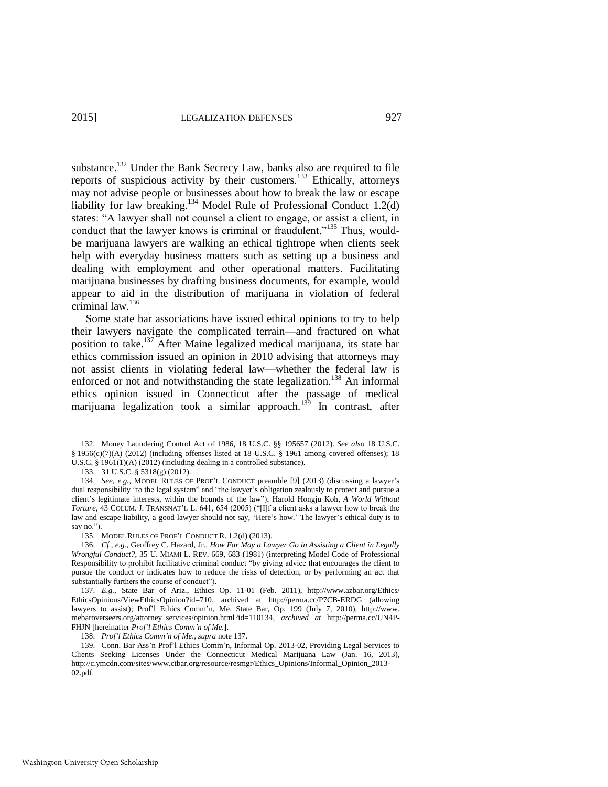substance.<sup>132</sup> Under the Bank Secrecy Law, banks also are required to file reports of suspicious activity by their customers.<sup>133</sup> Ethically, attorneys may not advise people or businesses about how to break the law or escape liability for law breaking.<sup>134</sup> Model Rule of Professional Conduct 1.2(d) states: "A lawyer shall not counsel a client to engage, or assist a client, in conduct that the lawyer knows is criminal or fraudulent."<sup>135</sup> Thus, wouldbe marijuana lawyers are walking an ethical tightrope when clients seek help with everyday business matters such as setting up a business and dealing with employment and other operational matters. Facilitating marijuana businesses by drafting business documents, for example, would appear to aid in the distribution of marijuana in violation of federal criminal law.<sup>136</sup>

<span id="page-21-0"></span>Some state bar associations have issued ethical opinions to try to help their lawyers navigate the complicated terrain—and fractured on what position to take.<sup>137</sup> After Maine legalized medical marijuana, its state bar ethics commission issued an opinion in 2010 advising that attorneys may not assist clients in violating federal law—whether the federal law is enforced or not and notwithstanding the state legalization.<sup>138</sup> An informal ethics opinion issued in Connecticut after the passage of medical marijuana legalization took a similar approach.<sup>139</sup> In contrast, after

<sup>132.</sup> Money Laundering Control Act of 1986, 18 U.S.C. §§ 195657 (2012). *See also* 18 U.S.C. § 1956(c)(7)(A) (2012) (including offenses listed at 18 U.S.C. § 1961 among covered offenses); 18 U.S.C. § 1961(1)(A) (2012) (including dealing in a controlled substance).

<sup>133. 31</sup> U.S.C. § 5318(g) (2012).

<sup>134.</sup> *See, e.g.*, MODEL RULES OF PROF'L CONDUCT preamble [9] (2013) (discussing a lawyer's dual responsibility "to the legal system" and "the lawyer's obligation zealously to protect and pursue a client's legitimate interests, within the bounds of the law"); Harold Hongju Koh, *A World Without Torture*, 43 COLUM. J. TRANSNAT'L L. 641, 654 (2005) ("[I]f a client asks a lawyer how to break the law and escape liability, a good lawyer should not say, 'Here's how.' The lawyer's ethical duty is to say no.").

<sup>135.</sup> MODEL RULES OF PROF'L CONDUCT R. 1.2(d) (2013).

<sup>136.</sup> *Cf., e.g.*, Geoffrey C. Hazard, Jr., *How Far May a Lawyer Go in Assisting a Client in Legally Wrongful Conduct?*, 35 U. MIAMI L. REV. 669, 683 (1981) (interpreting Model Code of Professional Responsibility to prohibit facilitative criminal conduct "by giving advice that encourages the client to pursue the conduct or indicates how to reduce the risks of detection, or by performing an act that substantially furthers the course of conduct").

<sup>137.</sup> *E.g.*, State Bar of Ariz., Ethics Op. 11-01 (Feb. 2011), http://www.azbar.org/Ethics/ EthicsOpinions/ViewEthicsOpinion?id=710, archived at http://perma.cc/P7CB-ERDG (allowing lawyers to assist); Prof'l Ethics Comm'n, Me. State Bar, Op. 199 (July 7, 2010), http://www. mebaroverseers.org/attorney\_services/opinion.html?id=110134, *archived at* http://perma.cc/UN4P-FHJN [hereinafter *Prof'l Ethics Comm'n of Me.*].

<sup>138.</sup> *Prof'l Ethics Comm'n of Me*., *supra* not[e 137.](#page-21-0) 

<sup>139.</sup> Conn. Bar Ass'n Prof'l Ethics Comm'n, Informal Op. 2013-02, Providing Legal Services to Clients Seeking Licenses Under the Connecticut Medical Marijuana Law (Jan. 16, 2013), http://c.ymcdn.com/sites/www.ctbar.org/resource/resmgr/Ethics\_Opinions/Informal\_Opinion\_2013- 02.pdf.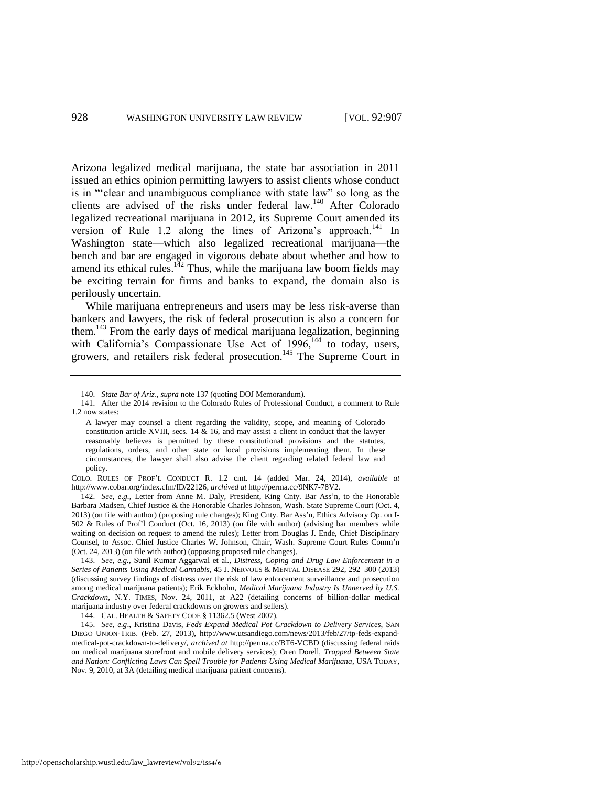Arizona legalized medical marijuana, the state bar association in 2011 issued an ethics opinion permitting lawyers to assist clients whose conduct is in "'clear and unambiguous compliance with state law" so long as the clients are advised of the risks under federal law.<sup>140</sup> After Colorado legalized recreational marijuana in 2012, its Supreme Court amended its version of Rule 1.2 along the lines of Arizona's approach.<sup>141</sup> In Washington state—which also legalized recreational marijuana—the bench and bar are engaged in vigorous debate about whether and how to amend its ethical rules.<sup>142</sup> Thus, while the marijuana law boom fields may be exciting terrain for firms and banks to expand, the domain also is perilously uncertain.

While marijuana entrepreneurs and users may be less risk-averse than bankers and lawyers, the risk of federal prosecution is also a concern for them.<sup>143</sup> From the early days of medical marijuana legalization, beginning with California's Compassionate Use Act of 1996,<sup>144</sup> to today, users, growers, and retailers risk federal prosecution.<sup>145</sup> The Supreme Court in

<sup>140.</sup> *State Bar of Ariz*., *supra* note [137 \(](#page-21-0)quoting DOJ Memorandum).

<sup>141.</sup> After the 2014 revision to the Colorado Rules of Professional Conduct, a comment to Rule 1.2 now states:

A lawyer may counsel a client regarding the validity, scope, and meaning of Colorado constitution article XVIII, secs. 14  $\&$  16, and may assist a client in conduct that the lawyer reasonably believes is permitted by these constitutional provisions and the statutes, regulations, orders, and other state or local provisions implementing them. In these circumstances, the lawyer shall also advise the client regarding related federal law and policy.

COLO. RULES OF PROF'L CONDUCT R. 1.2 cmt. 14 (added Mar. 24, 2014), *available at* http://www.cobar.org/index.cfm/ID/22126, *archived at* http://perma.cc/9NK7-78V2.

<sup>142.</sup> *See, e.g.*, Letter from Anne M. Daly, President, King Cnty. Bar Ass'n, to the Honorable Barbara Madsen, Chief Justice & the Honorable Charles Johnson, Wash. State Supreme Court (Oct. 4, 2013) (on file with author) (proposing rule changes); King Cnty. Bar Ass'n, Ethics Advisory Op. on I-502 & Rules of Prof'l Conduct (Oct. 16, 2013) (on file with author) (advising bar members while waiting on decision on request to amend the rules); Letter from Douglas J. Ende, Chief Disciplinary Counsel, to Assoc. Chief Justice Charles W. Johnson, Chair, Wash. Supreme Court Rules Comm'n (Oct. 24, 2013) (on file with author) (opposing proposed rule changes).

<sup>143.</sup> *See, e.g.*, Sunil Kumar Aggarwal et al., *Distress, Coping and Drug Law Enforcement in a Series of Patients Using Medical Cannabis*, 45 J. NERVOUS & MENTAL DISEASE 292, 292–300 (2013) (discussing survey findings of distress over the risk of law enforcement surveillance and prosecution among medical marijuana patients); Erik Eckholm, *Medical Marijuana Industry Is Unnerved by U.S. Crackdown*, N.Y. TIMES, Nov. 24, 2011, at A22 (detailing concerns of billion-dollar medical marijuana industry over federal crackdowns on growers and sellers).

<sup>144.</sup> CAL. HEALTH & SAFETY CODE § 11362.5 (West 2007).

<sup>145.</sup> *See, e.g*., Kristina Davis, *Feds Expand Medical Pot Crackdown to Delivery Services*, SAN DIEGO UNION-TRIB. (Feb. 27, 2013), http://www.utsandiego.com/news/2013/feb/27/tp-feds-expandmedical-pot-crackdown-to-delivery/, *archived at* http://perma.cc/BT6-VCBD (discussing federal raids on medical marijuana storefront and mobile delivery services); Oren Dorell, *Trapped Between State and Nation: Conflicting Laws Can Spell Trouble for Patients Using Medical Marijuana*, USA TODAY, Nov. 9, 2010, at 3A (detailing medical marijuana patient concerns).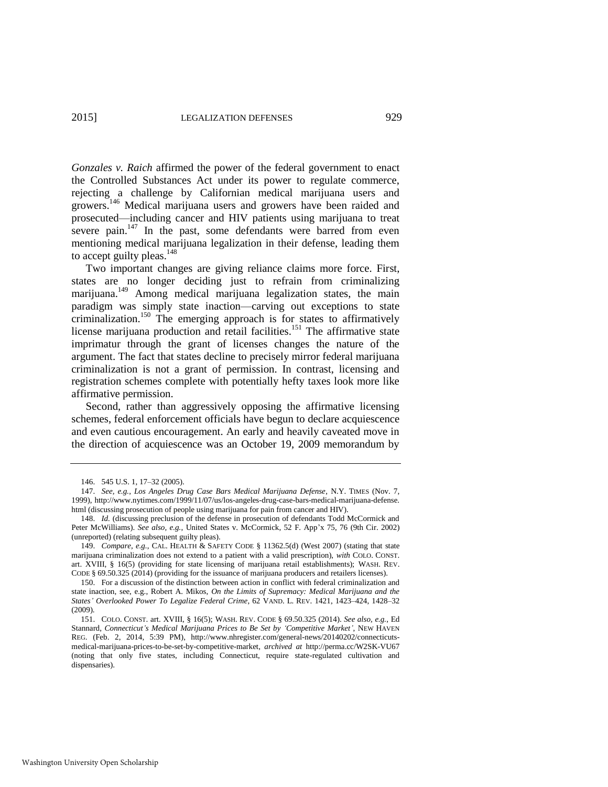*Gonzales v. Raich* affirmed the power of the federal government to enact the Controlled Substances Act under its power to regulate commerce, rejecting a challenge by Californian medical marijuana users and growers.<sup>146</sup> Medical marijuana users and growers have been raided and prosecuted—including cancer and HIV patients using marijuana to treat severe pain.<sup>147</sup> In the past, some defendants were barred from even mentioning medical marijuana legalization in their defense, leading them to accept guilty pleas. $148$ 

<span id="page-23-1"></span><span id="page-23-0"></span>Two important changes are giving reliance claims more force. First, states are no longer deciding just to refrain from criminalizing marijuana.<sup>149</sup> Among medical marijuana legalization states, the main paradigm was simply state inaction—carving out exceptions to state criminalization.<sup>150</sup> The emerging approach is for states to affirmatively license marijuana production and retail facilities.<sup>151</sup> The affirmative state imprimatur through the grant of licenses changes the nature of the argument. The fact that states decline to precisely mirror federal marijuana criminalization is not a grant of permission. In contrast, licensing and registration schemes complete with potentially hefty taxes look more like affirmative permission.

Second, rather than aggressively opposing the affirmative licensing schemes, federal enforcement officials have begun to declare acquiescence and even cautious encouragement. An early and heavily caveated move in the direction of acquiescence was an October 19, 2009 memorandum by

<sup>146. 545</sup> U.S. 1, 17–32 (2005).

<sup>147.</sup> *See, e.g.*, *Los Angeles Drug Case Bars Medical Marijuana Defense*, N.Y. TIMES (Nov. 7, 1999), http://www.nytimes.com/1999/11/07/us/los-angeles-drug-case-bars-medical-marijuana-defense. html (discussing prosecution of people using marijuana for pain from cancer and HIV).

<sup>148.</sup> *Id.* (discussing preclusion of the defense in prosecution of defendants Todd McCormick and Peter McWilliams). *See also, e.g.*, United States v. McCormick, 52 F. App'x 75, 76 (9th Cir. 2002) (unreported) (relating subsequent guilty pleas).

<sup>149.</sup> *Compare, e.g.*, CAL. HEALTH & SAFETY CODE § 11362.5(d) (West 2007) (stating that state marijuana criminalization does not extend to a patient with a valid prescription), *with* COLO. CONST. art. XVIII, § 16(5) (providing for state licensing of marijuana retail establishments); WASH. REV. CODE § 69.50.325 (2014) (providing for the issuance of marijuana producers and retailers licenses).

<sup>150.</sup> For a discussion of the distinction between action in conflict with federal criminalization and state inaction, see, e.g., Robert A. Mikos, *On the Limits of Supremacy: Medical Marijuana and the States' Overlooked Power To Legalize Federal Crime*, 62 VAND. L. REV. 1421, 1423–424, 1428–32 (2009).

<sup>151.</sup> COLO. CONST. art. XVIII, § 16(5); WASH. REV. CODE § 69.50.325 (2014). *See also, e.g.*, Ed Stannard, *Connecticut's Medical Marijuana Prices to Be Set by 'Competitive Market'*, NEW HAVEN REG. (Feb. 2, 2014, 5:39 PM), http://www.nhregister.com/general-news/20140202/connecticutsmedical-marijuana-prices-to-be-set-by-competitive-market, *archived at* http://perma.cc/W2SK-VU67 (noting that only five states, including Connecticut, require state-regulated cultivation and dispensaries).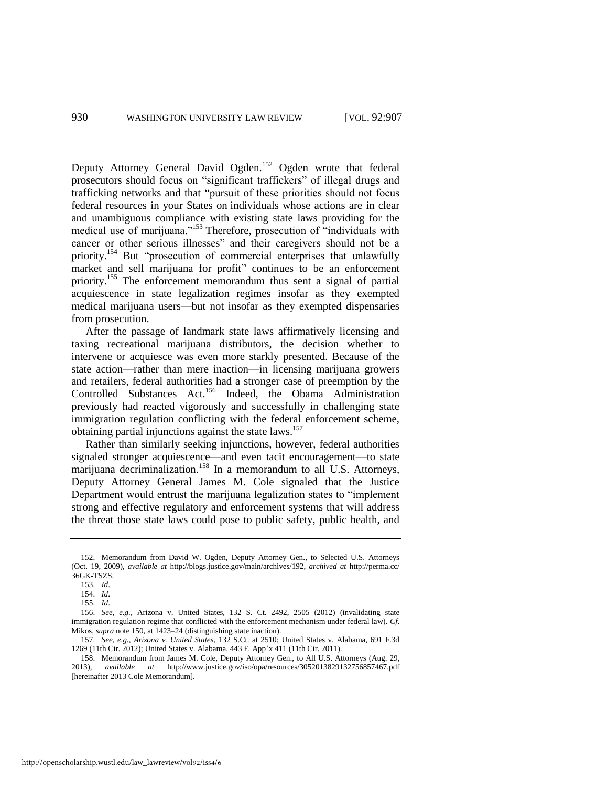<span id="page-24-0"></span>Deputy Attorney General David Ogden.<sup>152</sup> Ogden wrote that federal prosecutors should focus on "significant traffickers" of illegal drugs and trafficking networks and that "pursuit of these priorities should not focus federal resources in your States on individuals whose actions are in clear and unambiguous compliance with existing state laws providing for the medical use of marijuana."<sup>153</sup> Therefore, prosecution of "individuals with cancer or other serious illnesses" and their caregivers should not be a priority.<sup>154</sup> But "prosecution of commercial enterprises that unlawfully market and sell marijuana for profit" continues to be an enforcement priority.<sup>155</sup> The enforcement memorandum thus sent a signal of partial acquiescence in state legalization regimes insofar as they exempted medical marijuana users—but not insofar as they exempted dispensaries from prosecution.

After the passage of landmark state laws affirmatively licensing and taxing recreational marijuana distributors, the decision whether to intervene or acquiesce was even more starkly presented. Because of the state action—rather than mere inaction—in licensing marijuana growers and retailers, federal authorities had a stronger case of preemption by the Controlled Substances Act.<sup>156</sup> Indeed, the Obama Administration previously had reacted vigorously and successfully in challenging state immigration regulation conflicting with the federal enforcement scheme, obtaining partial injunctions against the state laws.<sup>157</sup>

<span id="page-24-1"></span>Rather than similarly seeking injunctions, however, federal authorities signaled stronger acquiescence—and even tacit encouragement—to state marijuana decriminalization.<sup>158</sup> In a memorandum to all U.S. Attorneys, Deputy Attorney General James M. Cole signaled that the Justice Department would entrust the marijuana legalization states to "implement strong and effective regulatory and enforcement systems that will address the threat those state laws could pose to public safety, public health, and

157. *See, e.g.*, *Arizona v. United States*, 132 S.Ct. at 2510; United States v. Alabama, 691 F.3d 1269 (11th Cir. 2012); United States v. Alabama, 443 F. App'x 411 (11th Cir. 2011).

158. Memorandum from James M. Cole, Deputy Attorney Gen., to All U.S. Attorneys (Aug. 29, 2013), *available at* http://www.justice.gov/iso/opa/resources/3052013829132756857467.pdf [hereinafter 2013 Cole Memorandum].

<sup>152.</sup> Memorandum from David W. Ogden, Deputy Attorney Gen., to Selected U.S. Attorneys (Oct. 19, 2009), *available at* http://blogs.justice.gov/main/archives/192, *archived at* http://perma.cc/ 36GK-TSZS.

<sup>153.</sup> *Id*.

<sup>154.</sup> *Id*.

<sup>155.</sup> *Id*.

<sup>156.</sup> *See, e.g.*, Arizona v. United States, 132 S. Ct. 2492, 2505 (2012) (invalidating state immigration regulation regime that conflicted with the enforcement mechanism under federal law). *Cf*. Mikos, *supra* not[e 150,](#page-23-0) at 1423–24 (distinguishing state inaction).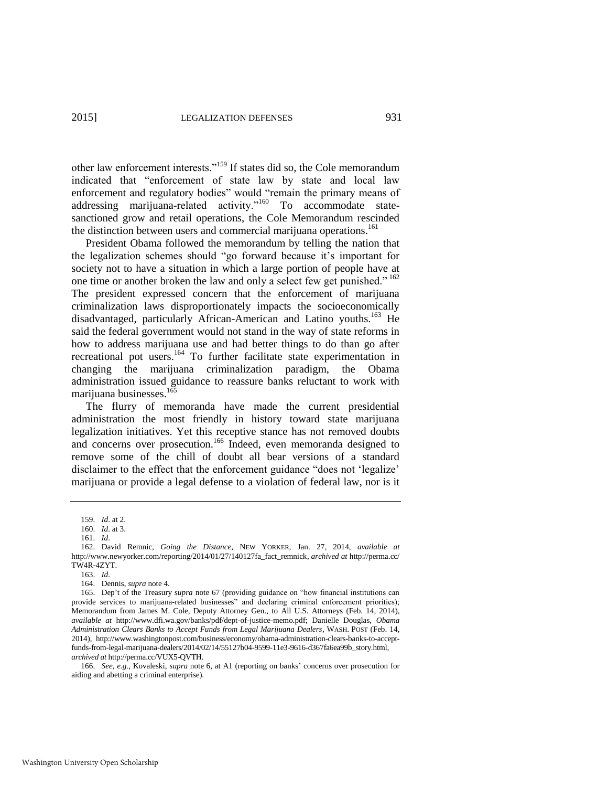other law enforcement interests."<sup>159</sup> If states did so, the Cole memorandum indicated that "enforcement of state law by state and local law enforcement and regulatory bodies" would "remain the primary means of addressing marijuana-related activity."<sup>160</sup> To accommodate statesanctioned grow and retail operations, the Cole Memorandum rescinded the distinction between users and commercial marijuana operations.<sup>161</sup>

<span id="page-25-0"></span>President Obama followed the memorandum by telling the nation that the legalization schemes should "go forward because it's important for society not to have a situation in which a large portion of people have at one time or another broken the law and only a select few get punished." <sup>162</sup> The president expressed concern that the enforcement of marijuana criminalization laws disproportionately impacts the socioeconomically disadvantaged, particularly African-American and Latino youths.<sup>163</sup> He said the federal government would not stand in the way of state reforms in how to address marijuana use and had better things to do than go after recreational pot users.<sup>164</sup> To further facilitate state experimentation in changing the marijuana criminalization paradigm, the Obama administration issued guidance to reassure banks reluctant to work with marijuana businesses.<sup>165</sup>

<span id="page-25-1"></span>The flurry of memoranda have made the current presidential administration the most friendly in history toward state marijuana legalization initiatives. Yet this receptive stance has not removed doubts and concerns over prosecution.<sup>166</sup> Indeed, even memoranda designed to remove some of the chill of doubt all bear versions of a standard disclaimer to the effect that the enforcement guidance "does not 'legalize' marijuana or provide a legal defense to a violation of federal law, nor is it

<sup>159.</sup> *Id*. at 2.

<sup>160.</sup> *Id*. at 3. 161. *Id*.

<sup>162.</sup> David Remnic, *Going the Distance*, NEW YORKER, Jan. 27, 2014, *available at*  http://www.newyorker.com/reporting/2014/01/27/140127fa\_fact\_remnick, *archived at* http://perma.cc/ TW4R-4ZYT.

<sup>163.</sup> *Id*.

<sup>164.</sup> Dennis, *supra* not[e 4.](#page-3-0) 

<sup>165.</sup> Dep't of the Treasury *supra* note [67](#page-13-1) (providing guidance on "how financial institutions can provide services to marijuana-related businesses" and declaring criminal enforcement priorities); Memorandum from James M. Cole, Deputy Attorney Gen., to All U.S. Attorneys (Feb. 14, 2014), *available at* http://www.dfi.wa.gov/banks/pdf/dept-of-justice-memo.pdf; Danielle Douglas, *Obama Administration Clears Banks to Accept Funds from Legal Marijuana Dealers*, WASH. POST (Feb. 14, 2014), http://www.washingtonpost.com/business/economy/obama-administration-clears-banks-to-acceptfunds-from-legal-marijuana-dealers/2014/02/14/55127b04-9599-11e3-9616-d367fa6ea99b\_story.html, *archived at* http://perma.cc/VUX5-QVTH.

<sup>166.</sup> *See, e.g.*, Kovaleski, *supra* note [6,](#page-3-1) at A1 (reporting on banks' concerns over prosecution for aiding and abetting a criminal enterprise).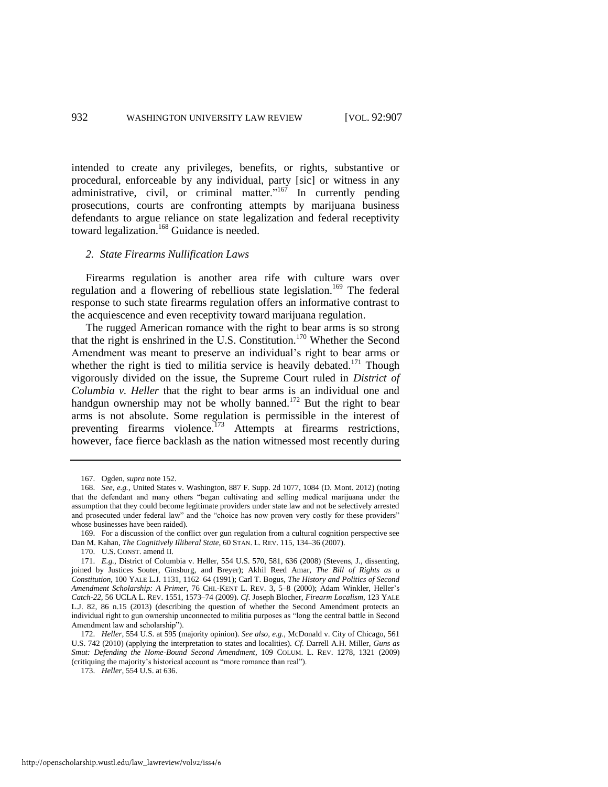intended to create any privileges, benefits, or rights, substantive or procedural, enforceable by any individual, party [sic] or witness in any administrative, civil, or criminal matter." $167$  In currently pending prosecutions, courts are confronting attempts by marijuana business defendants to argue reliance on state legalization and federal receptivity toward legalization.<sup>168</sup> Guidance is needed.

#### *2. State Firearms Nullification Laws*

Firearms regulation is another area rife with culture wars over regulation and a flowering of rebellious state legislation.<sup>169</sup> The federal response to such state firearms regulation offers an informative contrast to the acquiescence and even receptivity toward marijuana regulation.

The rugged American romance with the right to bear arms is so strong that the right is enshrined in the U.S. Constitution.<sup>170</sup> Whether the Second Amendment was meant to preserve an individual's right to bear arms or whether the right is tied to militia service is heavily debated.<sup>171</sup> Though vigorously divided on the issue, the Supreme Court ruled in *District of Columbia v. Heller* that the right to bear arms is an individual one and handgun ownership may not be wholly banned.<sup>172</sup> But the right to bear arms is not absolute. Some regulation is permissible in the interest of preventing firearms violence.<sup>173</sup> Attempts at firearms restrictions, however, face fierce backlash as the nation witnessed most recently during

<sup>167.</sup> Ogden, *supra* not[e 152.](#page-24-0) 

<sup>168.</sup> *See, e.g.*, United States v. Washington, 887 F. Supp. 2d 1077, 1084 (D. Mont. 2012) (noting that the defendant and many others "began cultivating and selling medical marijuana under the assumption that they could become legitimate providers under state law and not be selectively arrested and prosecuted under federal law" and the "choice has now proven very costly for these providers" whose businesses have been raided).

<sup>169.</sup> For a discussion of the conflict over gun regulation from a cultural cognition perspective see Dan M. Kahan, *The Cognitively Illiberal State*, 60 STAN. L. REV. 115, 134–36 (2007).

<sup>170.</sup> U.S. CONST. amend II.

<sup>171.</sup> *E.g.*, District of Columbia v. Heller, 554 U.S. 570, 581, 636 (2008) (Stevens, J., dissenting, joined by Justices Souter, Ginsburg, and Breyer); Akhil Reed Amar, *The Bill of Rights as a Constitution*, 100 YALE L.J. 1131, 1162–64 (1991); Carl T. Bogus, *The History and Politics of Second Amendment Scholarship: A Primer*, 76 CHI.-KENT L. REV. 3, 5–8 (2000); Adam Winkler, Heller's *Catch-22*, 56 UCLA L. REV. 1551, 1573–74 (2009). *Cf*. Joseph Blocher, *Firearm Localism*, 123 YALE L.J. 82, 86 n.15 (2013) (describing the question of whether the Second Amendment protects an individual right to gun ownership unconnected to militia purposes as "long the central battle in Second Amendment law and scholarship").

<sup>172.</sup> *Heller*, 554 U.S. at 595 (majority opinion). *See also, e.g.*, McDonald v. City of Chicago, 561 U.S. 742 (2010) (applying the interpretation to states and localities). *Cf*. Darrell A.H. Miller, *Guns as Smut: Defending the Home-Bound Second Amendment*, 109 COLUM. L. REV. 1278, 1321 (2009) (critiquing the majority's historical account as "more romance than real").

<sup>173.</sup> *Heller*, 554 U.S. at 636.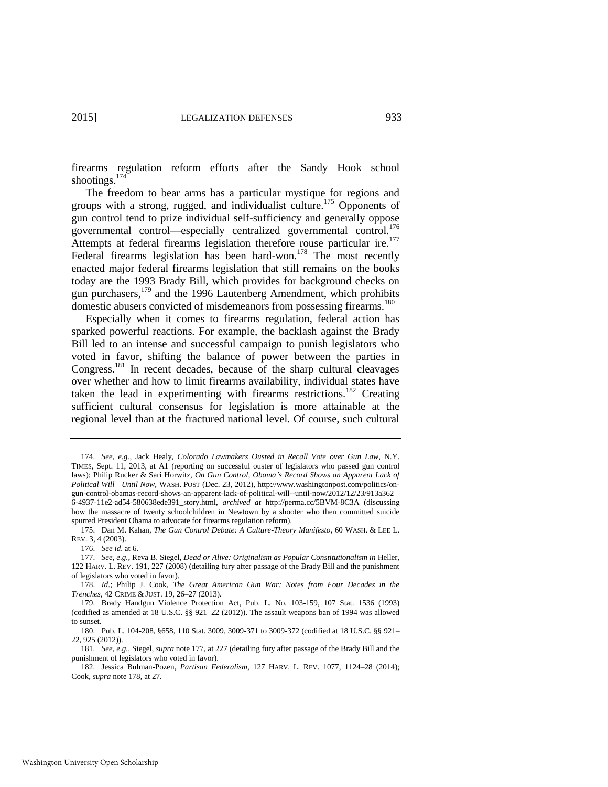firearms regulation reform efforts after the Sandy Hook school shootings.<sup>174</sup>

<span id="page-27-1"></span><span id="page-27-0"></span>The freedom to bear arms has a particular mystique for regions and groups with a strong, rugged, and individualist culture.<sup>175</sup> Opponents of gun control tend to prize individual self-sufficiency and generally oppose governmental control—especially centralized governmental control.<sup>176</sup> Attempts at federal firearms legislation therefore rouse particular ire.<sup>177</sup> Federal firearms legislation has been hard-won.<sup>178</sup> The most recently enacted major federal firearms legislation that still remains on the books today are the 1993 Brady Bill, which provides for background checks on gun purchasers,<sup>179</sup> and the 1996 Lautenberg Amendment, which prohibits domestic abusers convicted of misdemeanors from possessing firearms.<sup>180</sup>

Especially when it comes to firearms regulation, federal action has sparked powerful reactions. For example, the backlash against the Brady Bill led to an intense and successful campaign to punish legislators who voted in favor, shifting the balance of power between the parties in Congress.<sup>181</sup> In recent decades, because of the sharp cultural cleavages over whether and how to limit firearms availability, individual states have taken the lead in experimenting with firearms restrictions.<sup>182</sup> Creating sufficient cultural consensus for legislation is more attainable at the regional level than at the fractured national level. Of course, such cultural

<sup>174.</sup> *See, e.g.*, Jack Healy, *Colorado Lawmakers Ousted in Recall Vote over Gun Law*, N.Y. TIMES, Sept. 11, 2013, at A1 (reporting on successful ouster of legislators who passed gun control laws); Philip Rucker & Sari Horwitz, *On Gun Control, Obama's Record Shows an Apparent Lack of Political Will—Until Now*, WASH. POST (Dec. 23, 2012), http://www.washingtonpost.com/politics/ongun-control-obamas-record-shows-an-apparent-lack-of-political-will--until-now/2012/12/23/913a362 6-4937-11e2-ad54-580638ede391\_story.html, *archived at* http://perma.cc/5BVM-8C3A (discussing how the massacre of twenty schoolchildren in Newtown by a shooter who then committed suicide spurred President Obama to advocate for firearms regulation reform).

<sup>175.</sup> Dan M. Kahan, *The Gun Control Debate: A Culture-Theory Manifesto*, 60 WASH. & LEE L. REV. 3, 4 (2003).

<sup>176.</sup> *See id*. at 6.

<sup>177.</sup> *See, e.g.*, Reva B. Siegel, *Dead or Alive: Originalism as Popular Constitutionalism in* Heller, 122 HARV. L. REV. 191, 227 (2008) (detailing fury after passage of the Brady Bill and the punishment of legislators who voted in favor).

<sup>178.</sup> *Id*.; Philip J. Cook, *The Great American Gun War: Notes from Four Decades in the Trenches*, 42 CRIME & JUST. 19, 26–27 (2013).

<sup>179.</sup> Brady Handgun Violence Protection Act, Pub. L. No. 103-159, 107 Stat. 1536 (1993) (codified as amended at 18 U.S.C. §§ 921–22 (2012)). The assault weapons ban of 1994 was allowed to sunset.

<sup>180.</sup> Pub. L. 104-208, §658, 110 Stat. 3009, 3009-371 to 3009-372 (codified at 18 U.S.C. §§ 921– 22, 925 (2012)).

<sup>181.</sup> *See, e.g.*, Siegel, *supra* not[e 177,](#page-27-0) at 227 (detailing fury after passage of the Brady Bill and the punishment of legislators who voted in favor).

<sup>182.</sup> Jessica Bulman-Pozen, *Partisan Federalism*, 127 HARV. L. REV. 1077, 1124–28 (2014); Cook, *supra* not[e 178,](#page-27-1) at 27.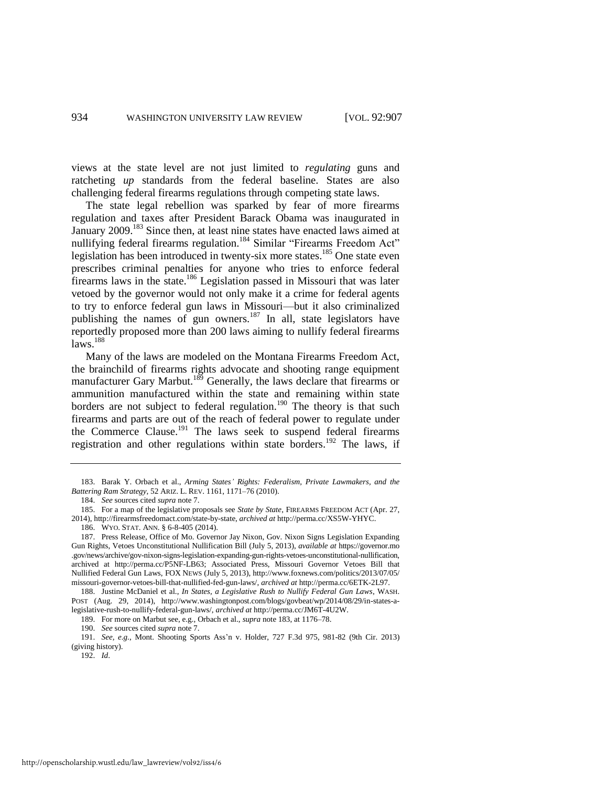views at the state level are not just limited to *regulating* guns and ratcheting *up* standards from the federal baseline. States are also challenging federal firearms regulations through competing state laws.

<span id="page-28-0"></span>The state legal rebellion was sparked by fear of more firearms regulation and taxes after President Barack Obama was inaugurated in January 2009.<sup>183</sup> Since then, at least nine states have enacted laws aimed at nullifying federal firearms regulation.<sup>184</sup> Similar "Firearms Freedom Act" legislation has been introduced in twenty-six more states.<sup>185</sup> One state even prescribes criminal penalties for anyone who tries to enforce federal firearms laws in the state.<sup>186</sup> Legislation passed in Missouri that was later vetoed by the governor would not only make it a crime for federal agents to try to enforce federal gun laws in Missouri—but it also criminalized publishing the names of gun owners.<sup>187</sup> In all, state legislators have reportedly proposed more than 200 laws aiming to nullify federal firearms  $laws.<sup>188</sup>$ 

Many of the laws are modeled on the Montana Firearms Freedom Act, the brainchild of firearms rights advocate and shooting range equipment manufacturer Gary Marbut.<sup>189</sup> Generally, the laws declare that firearms or ammunition manufactured within the state and remaining within state borders are not subject to federal regulation.<sup>190</sup> The theory is that such firearms and parts are out of the reach of federal power to regulate under the Commerce Clause.<sup>191</sup> The laws seek to suspend federal firearms registration and other regulations within state borders.<sup>192</sup> The laws, if

192. *Id*.

<sup>183.</sup> Barak Y. Orbach et al., *Arming States' Rights: Federalism, Private Lawmakers, and the Battering Ram Strategy*, 52 ARIZ. L. REV. 1161, 1171–76 (2010).

<sup>184.</sup> *See* sources cited *supra* not[e 7.](#page-3-2)

<sup>185.</sup> For a map of the legislative proposals see *State by State*, FIREARMS FREEDOM ACT (Apr. 27, 2014), http://firearmsfreedomact.com/state-by-state, *archived at* http://perma.cc/XS5W-YHYC.

<sup>186.</sup> WYO. STAT. ANN. § 6-8-405 (2014).

<sup>187.</sup> Press Release, Office of Mo. Governor Jay Nixon, Gov. Nixon Signs Legislation Expanding Gun Rights, Vetoes Unconstitutional Nullification Bill (July 5, 2013), *available at* https://governor.mo .gov/news/archive/gov-nixon-signs-legislation-expanding-gun-rights-vetoes-unconstitutional-nullification, archived at http://perma.cc/P5NF-LB63; Associated Press, Missouri Governor Vetoes Bill that Nullified Federal Gun Laws, FOX NEWS (July 5, 2013), http://www.foxnews.com/politics/2013/07/05/ missouri-governor-vetoes-bill-that-nullified-fed-gun-laws/, *archived at* http://perma.cc/6ETK-2L97.

<sup>188.</sup> Justine McDaniel et al., *In States, a Legislative Rush to Nullify Federal Gun Laws*, WASH. POST (Aug. 29, 2014), http://www.washingtonpost.com/blogs/govbeat/wp/2014/08/29/in-states-alegislative-rush-to-nullify-federal-gun-laws/, *archived at* http://perma.cc/JM6T-4U2W.

<sup>189.</sup> For more on Marbut see, e.g., Orbach et al., *supra* not[e 183,](#page-28-0) at 1176–78.

<sup>190.</sup> *See* sources cited *supra* not[e 7.](#page-3-2) 

<sup>191.</sup> *See, e.g.*, Mont. Shooting Sports Ass'n v. Holder, 727 F.3d 975, 981-82 (9th Cir. 2013) (giving history).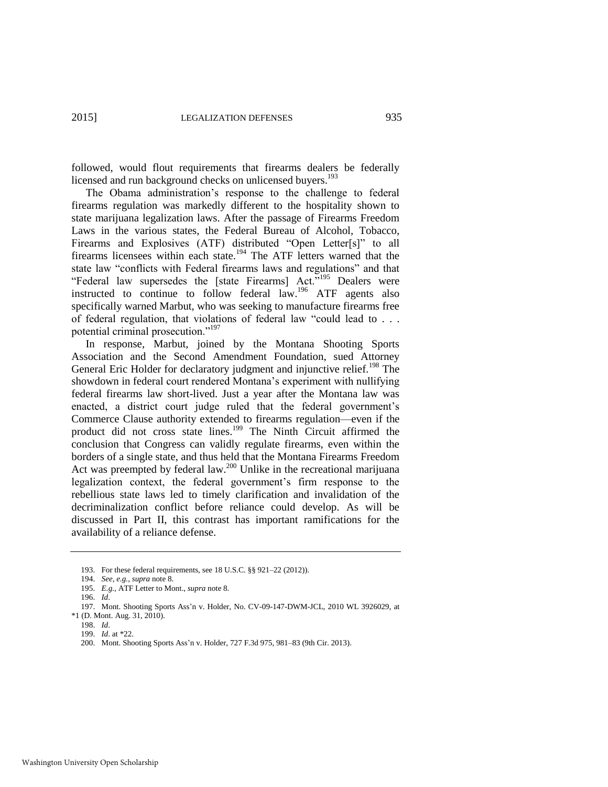followed, would flout requirements that firearms dealers be federally licensed and run background checks on unlicensed buyers.<sup>193</sup>

The Obama administration's response to the challenge to federal firearms regulation was markedly different to the hospitality shown to state marijuana legalization laws. After the passage of Firearms Freedom Laws in the various states, the Federal Bureau of Alcohol, Tobacco, Firearms and Explosives (ATF) distributed "Open Letter[s]" to all firearms licensees within each state.<sup>194</sup> The ATF letters warned that the state law "conflicts with Federal firearms laws and regulations" and that "Federal law supersedes the [state Firearms] Act."<sup>195</sup> Dealers were instructed to continue to follow federal law.<sup>196</sup> ATF agents also specifically warned Marbut, who was seeking to manufacture firearms free of federal regulation, that violations of federal law "could lead to . . . potential criminal prosecution."<sup>197</sup>

In response, Marbut, joined by the Montana Shooting Sports Association and the Second Amendment Foundation, sued Attorney General Eric Holder for declaratory judgment and injunctive relief.<sup>198</sup> The showdown in federal court rendered Montana's experiment with nullifying federal firearms law short-lived. Just a year after the Montana law was enacted, a district court judge ruled that the federal government's Commerce Clause authority extended to firearms regulation—even if the product did not cross state lines.<sup>199</sup> The Ninth Circuit affirmed the conclusion that Congress can validly regulate firearms, even within the borders of a single state, and thus held that the Montana Firearms Freedom Act was preempted by federal law.<sup>200</sup> Unlike in the recreational marijuana legalization context, the federal government's firm response to the rebellious state laws led to timely clarification and invalidation of the decriminalization conflict before reliance could develop. As will be discussed in Part II, this contrast has important ramifications for the availability of a reliance defense.

196. *Id*.

<sup>193.</sup> For these federal requirements, see 18 U.S.C. §§ 921–22 (2012)).

<sup>194.</sup> *See, e.g.*, *supra* not[e 8.](#page-4-1) 

<sup>195.</sup> *E.g.*, ATF Letter to Mont., *supra* not[e 8.](#page-4-1)

<sup>197.</sup> Mont. Shooting Sports Ass'n v. Holder, No. CV-09-147-DWM-JCL, 2010 WL 3926029, at \*1 (D. Mont. Aug. 31, 2010).

<sup>198.</sup> *Id*.

<sup>199.</sup> *Id*. at \*22.

<sup>200.</sup> Mont. Shooting Sports Ass'n v. Holder, 727 F.3d 975, 981–83 (9th Cir. 2013).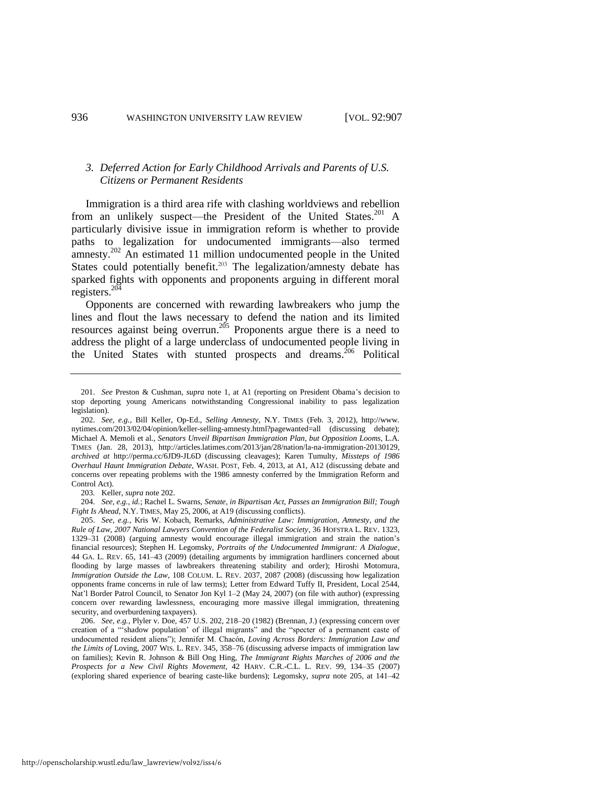#### *3. Deferred Action for Early Childhood Arrivals and Parents of U.S. Citizens or Permanent Residents*

<span id="page-30-0"></span>Immigration is a third area rife with clashing worldviews and rebellion from an unlikely suspect—the President of the United States.<sup>201</sup> A particularly divisive issue in immigration reform is whether to provide paths to legalization for undocumented immigrants—also termed amnesty.<sup>202</sup> An estimated 11 million undocumented people in the United States could potentially benefit.<sup>203</sup> The legalization/amnesty debate has sparked fights with opponents and proponents arguing in different moral registers. $^{204}$ 

<span id="page-30-1"></span>Opponents are concerned with rewarding lawbreakers who jump the lines and flout the laws necessary to defend the nation and its limited resources against being overrun.<sup>205</sup> Proponents argue there is a need to address the plight of a large underclass of undocumented people living in the United States with stunted prospects and dreams.<sup>206</sup> Political

203*.* Keller, *supra* not[e 202.](#page-30-0)

204. *See, e.g.*, *id.*; Rachel L. Swarns, *Senate, in Bipartisan Act, Passes an Immigration Bill; Tough Fight Is Ahead*, N.Y. TIMES, May 25, 2006, at A19 (discussing conflicts).

205. *See, e.g.*, Kris W. Kobach, Remarks, *Administrative Law: Immigration, Amnesty, and the Rule of Law, 2007 National Lawyers Convention of the Federalist Society*, 36 HOFSTRA L. REV. 1323, 1329–31 (2008) (arguing amnesty would encourage illegal immigration and strain the nation's financial resources); Stephen H. Legomsky, *Portraits of the Undocumented Immigrant: A Dialogue*, 44 GA. L. REV. 65, 141–43 (2009) (detailing arguments by immigration hardliners concerned about flooding by large masses of lawbreakers threatening stability and order); Hiroshi Motomura, *Immigration Outside the Law*, 108 COLUM. L. REV. 2037, 2087 (2008) (discussing how legalization opponents frame concerns in rule of law terms); Letter from Edward Tuffy II, President, Local 2544, Nat'l Border Patrol Council, to Senator Jon Kyl 1–2 (May 24, 2007) (on file with author) (expressing concern over rewarding lawlessness, encouraging more massive illegal immigration, threatening security, and overburdening taxpayers).

206. *See, e.g.*, Plyler v. Doe, 457 U.S. 202, 218–20 (1982) (Brennan, J.) (expressing concern over creation of a "'shadow population' of illegal migrants" and the "specter of a permanent caste of undocumented resident aliens"); Jennifer M. Chacón, *Loving Across Borders: Immigration Law and the Limits of* Loving, 2007 WIS. L. REV. 345, 358–76 (discussing adverse impacts of immigration law on families); Kevin R. Johnson & Bill Ong Hing, *The Immigrant Rights Marches of 2006 and the Prospects for a New Civil Rights Movement*, 42 HARV. C.R.-C.L. L. REV. 99, 134–35 (2007) (exploring shared experience of bearing caste-like burdens); Legomsky, *supra* note [205,](#page-30-1) at 141–42

<sup>201.</sup> *See* Preston & Cushman, *supra* note [1,](#page-2-0) at A1 (reporting on President Obama's decision to stop deporting young Americans notwithstanding Congressional inability to pass legalization legislation).

<sup>202.</sup> *See, e.g.*, Bill Keller, Op-Ed., *Selling Amnesty*, N.Y. TIMES (Feb. 3, 2012), http://www. nytimes.com/2013/02/04/opinion/keller-selling-amnesty.html?pagewanted=all (discussing debate); Michael A. Memoli et al., *Senators Unveil Bipartisan Immigration Plan, but Opposition Looms*, L.A. TIMES (Jan. 28, 2013), http://articles.latimes.com/2013/jan/28/nation/la-na-immigration-20130129, *archived at* http://perma.cc/6JD9-JL6D (discussing cleavages); Karen Tumulty, *Missteps of 1986 Overhaul Haunt Immigration Debate*, WASH. POST, Feb. 4, 2013, at A1, A12 (discussing debate and concerns over repeating problems with the 1986 amnesty conferred by the Immigration Reform and Control Act).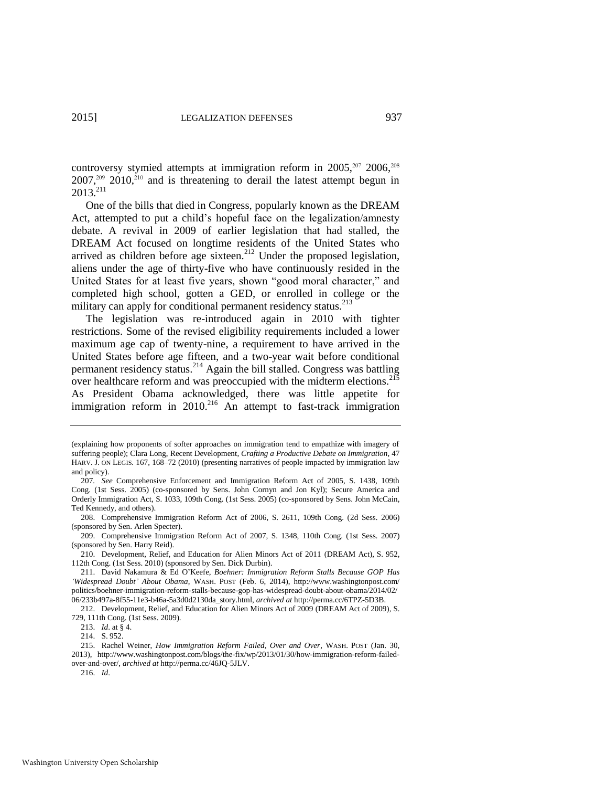controversy stymied attempts at immigration reform in  $2005$ ,  $2006$ ,  $208$  $2007$ ,<sup>209</sup> 2010,<sup>210</sup> and is threatening to derail the latest attempt begun in  $2013.<sup>211</sup>$ 

One of the bills that died in Congress, popularly known as the DREAM Act, attempted to put a child's hopeful face on the legalization/amnesty debate. A revival in 2009 of earlier legislation that had stalled, the DREAM Act focused on longtime residents of the United States who arrived as children before age sixteen.<sup>212</sup> Under the proposed legislation, aliens under the age of thirty-five who have continuously resided in the United States for at least five years, shown "good moral character," and completed high school, gotten a GED, or enrolled in college or the military can apply for conditional permanent residency status.<sup>213</sup>

The legislation was re-introduced again in 2010 with tighter restrictions. Some of the revised eligibility requirements included a lower maximum age cap of twenty-nine, a requirement to have arrived in the United States before age fifteen, and a two-year wait before conditional permanent residency status.<sup>214</sup> Again the bill stalled. Congress was battling over healthcare reform and was preoccupied with the midterm elections.<sup>215</sup> As President Obama acknowledged, there was little appetite for immigration reform in  $2010$ <sup>216</sup> An attempt to fast-track immigration

<sup>(</sup>explaining how proponents of softer approaches on immigration tend to empathize with imagery of suffering people); Clara Long, Recent Development, *Crafting a Productive Debate on Immigration*, 47 HARV. J. ON LEGIS. 167, 168–72 (2010) (presenting narratives of people impacted by immigration law and policy).

<sup>207</sup>*. See* Comprehensive Enforcement and Immigration Reform Act of 2005, S. 1438, 109th Cong. (1st Sess. 2005) (co-sponsored by Sens. John Cornyn and Jon Kyl); Secure America and Orderly Immigration Act, S. 1033, 109th Cong. (1st Sess. 2005) (co-sponsored by Sens. John McCain, Ted Kennedy, and others).

<sup>208.</sup> Comprehensive Immigration Reform Act of 2006, S. 2611, 109th Cong. (2d Sess. 2006) (sponsored by Sen. Arlen Specter).

<sup>209.</sup> Comprehensive Immigration Reform Act of 2007, S. 1348, 110th Cong. (1st Sess. 2007) (sponsored by Sen. Harry Reid).

<sup>210.</sup> Development, Relief, and Education for Alien Minors Act of 2011 (DREAM Act), S. 952, 112th Cong. (1st Sess. 2010) (sponsored by Sen. Dick Durbin).

<sup>211.</sup> David Nakamura & Ed O'Keefe, *Boehner: Immigration Reform Stalls Because GOP Has 'Widespread Doubt' About Obama*, WASH. POST (Feb. 6, 2014), http://www.washingtonpost.com/ politics/boehner-immigration-reform-stalls-because-gop-has-widespread-doubt-about-obama/2014/02/ 06/233b497a-8f55-11e3-b46a-5a3d0d2130da\_story.html, *archived at* http://perma.cc/6TPZ-5D3B.

<sup>212.</sup> Development, Relief, and Education for Alien Minors Act of 2009 (DREAM Act of 2009), S. 729, 111th Cong. (1st Sess. 2009).

<sup>213.</sup> *Id*. at § 4.

<sup>214.</sup> S. 952.

<sup>215.</sup> Rachel Weiner, *How Immigration Reform Failed, Over and Over*, WASH. POST (Jan. 30, 2013), http://www.washingtonpost.com/blogs/the-fix/wp/2013/01/30/how-immigration-reform-failedover-and-over/, *archived at* http://perma.cc/46JQ-5JLV.

<sup>216.</sup> *Id*.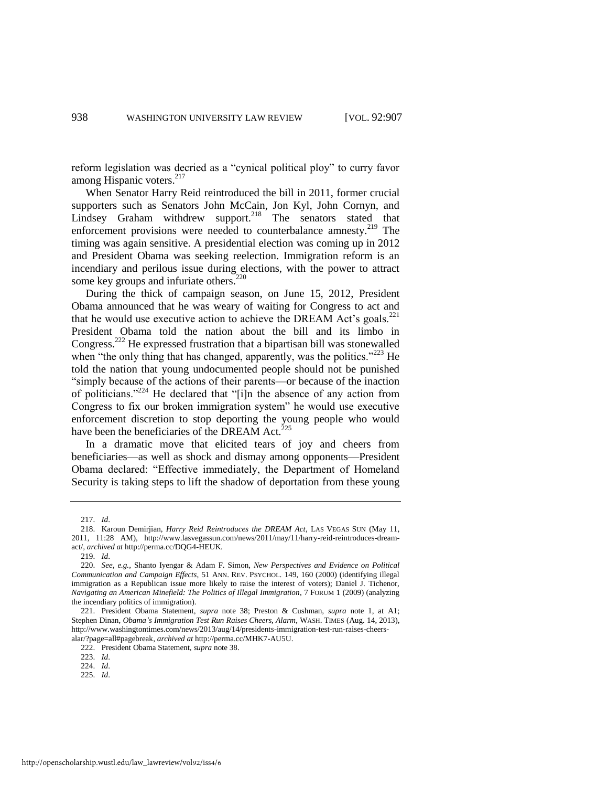reform legislation was decried as a "cynical political ploy" to curry favor among Hispanic voters.<sup>217</sup>

When Senator Harry Reid reintroduced the bill in 2011, former crucial supporters such as Senators John McCain, Jon Kyl, John Cornyn, and Lindsey Graham withdrew support.<sup>218</sup> The senators stated that enforcement provisions were needed to counterbalance amnesty.<sup>219</sup> The timing was again sensitive. A presidential election was coming up in 2012 and President Obama was seeking reelection. Immigration reform is an incendiary and perilous issue during elections, with the power to attract some key groups and infuriate others.<sup>220</sup>

During the thick of campaign season, on June 15, 2012, President Obama announced that he was weary of waiting for Congress to act and that he would use executive action to achieve the DREAM Act's goals.<sup>221</sup> President Obama told the nation about the bill and its limbo in Congress.<sup>222</sup> He expressed frustration that a bipartisan bill was stonewalled when "the only thing that has changed, apparently, was the politics."<sup>223</sup> He told the nation that young undocumented people should not be punished "simply because of the actions of their parents—or because of the inaction of politicians."<sup>224</sup> He declared that "[i]n the absence of any action from Congress to fix our broken immigration system" he would use executive enforcement discretion to stop deporting the young people who would have been the beneficiaries of the DREAM Act. $^{225}$ 

In a dramatic move that elicited tears of joy and cheers from beneficiaries—as well as shock and dismay among opponents—President Obama declared: "Effective immediately, the Department of Homeland Security is taking steps to lift the shadow of deportation from these young

225. *Id*.

<sup>217.</sup> *Id*.

<sup>218.</sup> Karoun Demirjian, *Harry Reid Reintroduces the DREAM Act*, LAS VEGAS SUN (May 11, 2011, 11:28 AM), http://www.lasvegassun.com/news/2011/may/11/harry-reid-reintroduces-dreamact/, *archived at* http://perma.cc/DQG4-HEUK.

<sup>219.</sup> *Id*.

<sup>220.</sup> *See, e.g.*, Shanto Iyengar & Adam F. Simon, *New Perspectives and Evidence on Political Communication and Campaign Effects*, 51 ANN. REV. PSYCHOL. 149, 160 (2000) (identifying illegal immigration as a Republican issue more likely to raise the interest of voters); Daniel J. Tichenor, *Navigating an American Minefield: The Politics of Illegal Immigration*, 7 FORUM 1 (2009) (analyzing the incendiary politics of immigration).

<sup>221.</sup> President Obama Statement, *supra* note [38;](#page-9-0) Preston & Cushman, *supra* note [1,](#page-2-0) at A1; Stephen Dinan, *Obama's Immigration Test Run Raises Cheers, Alarm*, WASH. TIMES (Aug. 14, 2013), http://www.washingtontimes.com/news/2013/aug/14/presidents-immigration-test-run-raises-cheersalar/?page=all#pagebreak, *archived at* http://perma.cc/MHK7-AU5U.

<sup>222.</sup> President Obama Statement, *supra* not[e 38.](#page-9-0)

<sup>223.</sup> *Id*.

<sup>224.</sup> *Id*.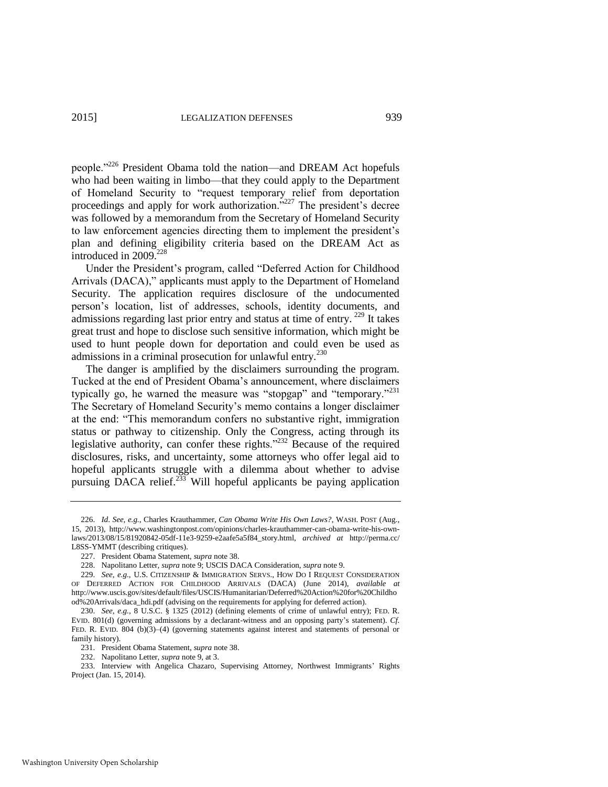<span id="page-33-0"></span>people."<sup>226</sup> President Obama told the nation—and DREAM Act hopefuls who had been waiting in limbo—that they could apply to the Department of Homeland Security to "request temporary relief from deportation proceedings and apply for work authorization."<sup>227</sup> The president's decree was followed by a memorandum from the Secretary of Homeland Security to law enforcement agencies directing them to implement the president's plan and defining eligibility criteria based on the DREAM Act as introduced in 2009.<sup>228</sup>

Under the President's program, called "Deferred Action for Childhood Arrivals (DACA)," applicants must apply to the Department of Homeland Security. The application requires disclosure of the undocumented person's location, list of addresses, schools, identity documents, and admissions regarding last prior entry and status at time of entry.<sup>229</sup> It takes great trust and hope to disclose such sensitive information, which might be used to hunt people down for deportation and could even be used as admissions in a criminal prosecution for unlawful entry.<sup>230</sup>

The danger is amplified by the disclaimers surrounding the program. Tucked at the end of President Obama's announcement, where disclaimers typically go, he warned the measure was "stopgap" and "temporary."<sup>231</sup> The Secretary of Homeland Security's memo contains a longer disclaimer at the end: "This memorandum confers no substantive right, immigration status or pathway to citizenship. Only the Congress, acting through its legislative authority, can confer these rights."<sup>232</sup> Because of the required disclosures, risks, and uncertainty, some attorneys who offer legal aid to hopeful applicants struggle with a dilemma about whether to advise pursuing DACA relief.<sup>233</sup> Will hopeful applicants be paying application

233. Interview with Angelica Chazaro, Supervising Attorney, Northwest Immigrants' Rights Project (Jan. 15, 2014).

<sup>226.</sup> *Id*. *See, e.g.*, Charles Krauthammer, *Can Obama Write His Own Laws?*, WASH. POST (Aug., 15, 2013), http://www.washingtonpost.com/opinions/charles-krauthammer-can-obama-write-his-ownlaws/2013/08/15/81920842-05df-11e3-9259-e2aafe5a5f84\_story.html, *archived at* http://perma.cc/ L8SS-YMMT (describing critiques).

<sup>227.</sup> President Obama Statement, *supra* not[e 38.](#page-9-0)

<sup>228.</sup> Napolitano Letter, *supra* not[e 9;](#page-4-2) USCIS DACA Consideration, *supra* not[e 9.](#page-4-2) 

<sup>229.</sup> *See*, *e.g.*, U.S. CITIZENSHIP & IMMIGRATION SERVS., HOW DO I REQUEST CONSIDERATION OF DEFERRED ACTION FOR CHILDHOOD ARRIVALS (DACA) (June 2014), *available at*  http://www.uscis.gov/sites/default/files/USCIS/Humanitarian/Deferred%20Action%20for%20Childho od%20Arrivals/daca\_hdi.pdf (advising on the requirements for applying for deferred action).

<sup>230.</sup> *See, e.g.*, 8 U.S.C. § 1325 (2012) (defining elements of crime of unlawful entry); FED. R. EVID. 801(d) (governing admissions by a declarant-witness and an opposing party's statement). *Cf.* FED. R. EVID. 804 (b)(3)–(4) (governing statements against interest and statements of personal or family history).

<sup>231.</sup> President Obama Statement, *supra* not[e 38.](#page-9-0)

<sup>232.</sup> Napolitano Letter, *supra* not[e 9,](#page-4-2) at 3.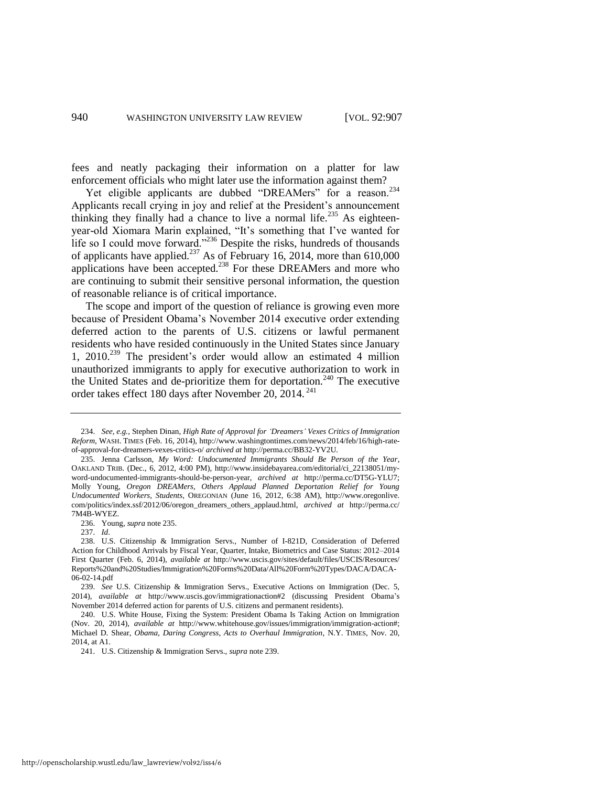fees and neatly packaging their information on a platter for law enforcement officials who might later use the information against them?

<span id="page-34-0"></span>Yet eligible applicants are dubbed "DREAMers" for a reason.<sup>234</sup> Applicants recall crying in joy and relief at the President's announcement thinking they finally had a chance to live a normal life.<sup>235</sup> As eighteenyear-old Xiomara Marin explained, "It's something that I've wanted for life so I could move forward."<sup>236</sup> Despite the risks, hundreds of thousands of applicants have applied.<sup>237</sup> As of February 16, 2014, more than 610,000 applications have been accepted.<sup>238</sup> For these DREAMers and more who are continuing to submit their sensitive personal information, the question of reasonable reliance is of critical importance.

<span id="page-34-1"></span>The scope and import of the question of reliance is growing even more because of President Obama's November 2014 executive order extending deferred action to the parents of U.S. citizens or lawful permanent residents who have resided continuously in the United States since January 1, 2010.<sup>239</sup> The president's order would allow an estimated 4 million unauthorized immigrants to apply for executive authorization to work in the United States and de-prioritize them for deportation.<sup>240</sup> The executive order takes effect 180 days after November 20, 2014. <sup>241</sup>

<sup>234.</sup> *See, e.g.*, Stephen Dinan, *High Rate of Approval for 'Dreamers' Vexes Critics of Immigration Reform*, WASH. TIMES (Feb. 16, 2014), http://www.washingtontimes.com/news/2014/feb/16/high-rateof-approval-for-dreamers-vexes-critics-o/ *archived at* http://perma.cc/BB32-YV2U.

<sup>235.</sup> Jenna Carlsson, *My Word: Undocumented Immigrants Should Be Person of the Year*, OAKLAND TRIB. (Dec., 6, 2012, 4:00 PM), http://www.insidebayarea.com/editorial/ci\_22138051/myword-undocumented-immigrants-should-be-person-year, *archived at* http://perma.cc/DT5G-YLU7; Molly Young, *Oregon DREAMers, Others Applaud Planned Deportation Relief for Young Undocumented Workers, Students*, OREGONIAN (June 16, 2012, 6:38 AM), http://www.oregonlive. com/politics/index.ssf/2012/06/oregon\_dreamers\_others\_applaud.html, *archived at* http://perma.cc/ 7M4B-WYEZ.

<sup>236.</sup> Young, *supra* not[e 235.](#page-34-0)

<sup>237.</sup> *Id*.

<sup>238.</sup> U.S. Citizenship & Immigration Servs., Number of I-821D, Consideration of Deferred Action for Childhood Arrivals by Fiscal Year, Quarter, Intake, Biometrics and Case Status: 2012–2014 First Quarter (Feb. 6, 2014), *available at* http://www.uscis.gov/sites/default/files/USCIS/Resources/ Reports%20and%20Studies/Immigration%20Forms%20Data/All%20Form%20Types/DACA/DACA-06-02-14.pdf

<sup>239.</sup> *See* U.S. Citizenship & Immigration Servs., Executive Actions on Immigration (Dec. 5, 2014), *available at* http://www.uscis.gov/immigrationaction#2 (discussing President Obama's November 2014 deferred action for parents of U.S. citizens and permanent residents).

<sup>240.</sup> U.S. White House, Fixing the System: President Obama Is Taking Action on Immigration (Nov. 20, 2014), *available at* http://www.whitehouse.gov/issues/immigration/immigration-action#; Michael D. Shear, *Obama, Daring Congress, Acts to Overhaul Immigration*, N.Y. TIMES, Nov. 20, 2014, at A1.

<sup>241.</sup> U.S. Citizenship & Immigration Servs., *supra* not[e 239.](#page-34-1)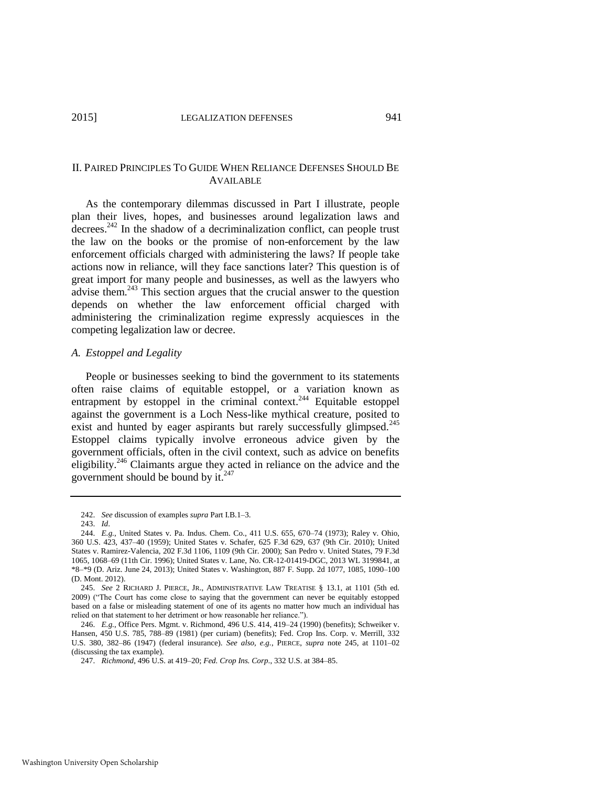#### II. PAIRED PRINCIPLES TO GUIDE WHEN RELIANCE DEFENSES SHOULD BE AVAILABLE

As the contemporary dilemmas discussed in Part I illustrate, people plan their lives, hopes, and businesses around legalization laws and decrees.<sup>242</sup> In the shadow of a decriminalization conflict, can people trust the law on the books or the promise of non-enforcement by the law enforcement officials charged with administering the laws? If people take actions now in reliance, will they face sanctions later? This question is of great import for many people and businesses, as well as the lawyers who advise them.<sup>243</sup> This section argues that the crucial answer to the question depends on whether the law enforcement official charged with administering the criminalization regime expressly acquiesces in the competing legalization law or decree.

#### *A. Estoppel and Legality*

People or businesses seeking to bind the government to its statements often raise claims of equitable estoppel, or a variation known as entrapment by estoppel in the criminal context.<sup>244</sup> Equitable estoppel against the government is a Loch Ness-like mythical creature, posited to exist and hunted by eager aspirants but rarely successfully glimpsed.<sup>245</sup> Estoppel claims typically involve erroneous advice given by the government officials, often in the civil context, such as advice on benefits eligibility.<sup>246</sup> Claimants argue they acted in reliance on the advice and the government should be bound by it.<sup>247</sup>

<span id="page-35-0"></span><sup>242.</sup> *See* discussion of examples *supra* Part I.B.1–3.

<sup>243.</sup> *Id*.

<sup>244.</sup> *E.g.*, United States v. Pa. Indus. Chem. Co., 411 U.S. 655, 670–74 (1973); Raley v. Ohio, 360 U.S. 423, 437–40 (1959); United States v. Schafer, 625 F.3d 629, 637 (9th Cir. 2010); United States v. Ramirez-Valencia, 202 F.3d 1106, 1109 (9th Cir. 2000); San Pedro v. United States, 79 F.3d 1065, 1068–69 (11th Cir. 1996); United States v. Lane, No. CR-12-01419-DGC, 2013 WL 3199841, at \*8–\*9 (D. Ariz. June 24, 2013); United States v. Washington, 887 F. Supp. 2d 1077, 1085, 1090–100 (D. Mont. 2012).

<sup>245.</sup> *See* 2 RICHARD J. PIERCE, JR., ADMINISTRATIVE LAW TREATISE § 13.1, at 1101 (5th ed. 2009) ("The Court has come close to saying that the government can never be equitably estopped based on a false or misleading statement of one of its agents no matter how much an individual has relied on that statement to her detriment or how reasonable her reliance.").

<sup>246.</sup> *E.g.*, Office Pers. Mgmt. v. Richmond, 496 U.S. 414, 419–24 (1990) (benefits); Schweiker v. Hansen, 450 U.S. 785, 788–89 (1981) (per curiam) (benefits); Fed. Crop Ins. Corp. v. Merrill, 332 U.S. 380, 382–86 (1947) (federal insurance). *See also, e.g.*, PIERCE, *supra* note [245,](#page-35-0) at 1101–02 (discussing the tax example).

<sup>247.</sup> *Richmond*, 496 U.S. at 419–20; *Fed. Crop Ins. Corp*., 332 U.S. at 384–85.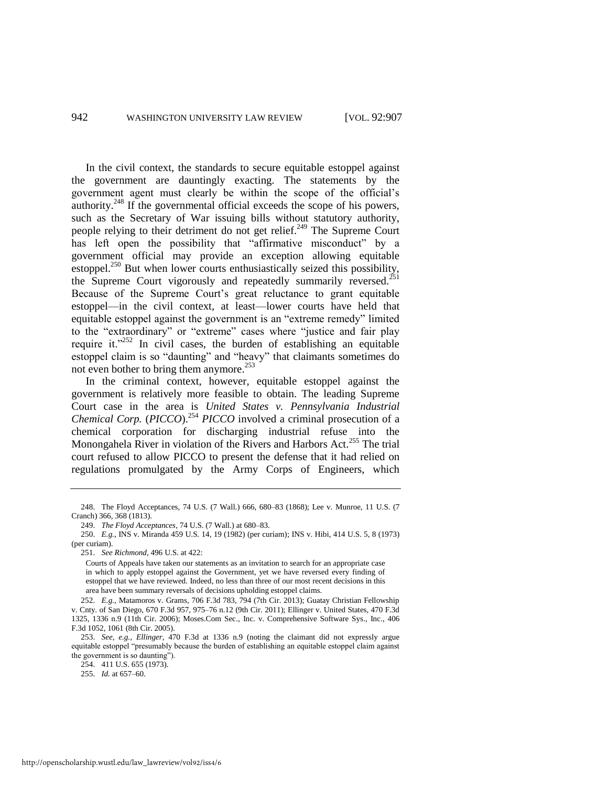In the civil context, the standards to secure equitable estoppel against the government are dauntingly exacting. The statements by the government agent must clearly be within the scope of the official's authority.<sup>248</sup> If the governmental official exceeds the scope of his powers, such as the Secretary of War issuing bills without statutory authority, people relying to their detriment do not get relief.<sup>249</sup> The Supreme Court has left open the possibility that "affirmative misconduct" by a government official may provide an exception allowing equitable estoppel.<sup>250</sup> But when lower courts enthusiastically seized this possibility, the Supreme Court vigorously and repeatedly summarily reversed.<sup>251</sup> Because of the Supreme Court's great reluctance to grant equitable estoppel—in the civil context, at least—lower courts have held that equitable estoppel against the government is an "extreme remedy" limited to the "extraordinary" or "extreme" cases where "justice and fair play require it." $252$  In civil cases, the burden of establishing an equitable estoppel claim is so "daunting" and "heavy" that claimants sometimes do not even bother to bring them anymore.<sup>253</sup>

In the criminal context, however, equitable estoppel against the government is relatively more feasible to obtain. The leading Supreme Court case in the area is *United States v. Pennsylvania Industrial Chemical Corp.* (*PICCO*).<sup>254</sup> *PICCO* involved a criminal prosecution of a chemical corporation for discharging industrial refuse into the Monongahela River in violation of the Rivers and Harbors Act.<sup>255</sup> The trial court refused to allow PICCO to present the defense that it had relied on regulations promulgated by the Army Corps of Engineers, which

252. *E.g.*, Matamoros v. Grams, 706 F.3d 783, 794 (7th Cir. 2013); Guatay Christian Fellowship v. Cnty. of San Diego, 670 F.3d 957, 975–76 n.12 (9th Cir. 2011); Ellinger v. United States, 470 F.3d 1325, 1336 n.9 (11th Cir. 2006); Moses.Com Sec., Inc. v. Comprehensive Software Sys., Inc., 406 F.3d 1052, 1061 (8th Cir. 2005).

253. *See, e.g.*, *Ellinger*, 470 F.3d at 1336 n.9 (noting the claimant did not expressly argue equitable estoppel "presumably because the burden of establishing an equitable estoppel claim against the government is so daunting").

254. 411 U.S. 655 (1973).

255. *Id.* at 657–60.

<sup>248.</sup> The Floyd Acceptances, 74 U.S. (7 Wall.) 666, 680–83 (1868); Lee v. Munroe, 11 U.S. (7 Cranch) 366, 368 (1813).

<sup>249.</sup> *The Floyd Acceptances*, 74 U.S. (7 Wall.) at 680–83.

<sup>250.</sup> *E.g.*, INS v. Miranda 459 U.S. 14, 19 (1982) (per curiam); INS v. Hibi, 414 U.S. 5, 8 (1973) (per curiam).

<sup>251.</sup> *See Richmond*, 496 U.S. at 422:

Courts of Appeals have taken our statements as an invitation to search for an appropriate case in which to apply estoppel against the Government, yet we have reversed every finding of estoppel that we have reviewed. Indeed, no less than three of our most recent decisions in this area have been summary reversals of decisions upholding estoppel claims.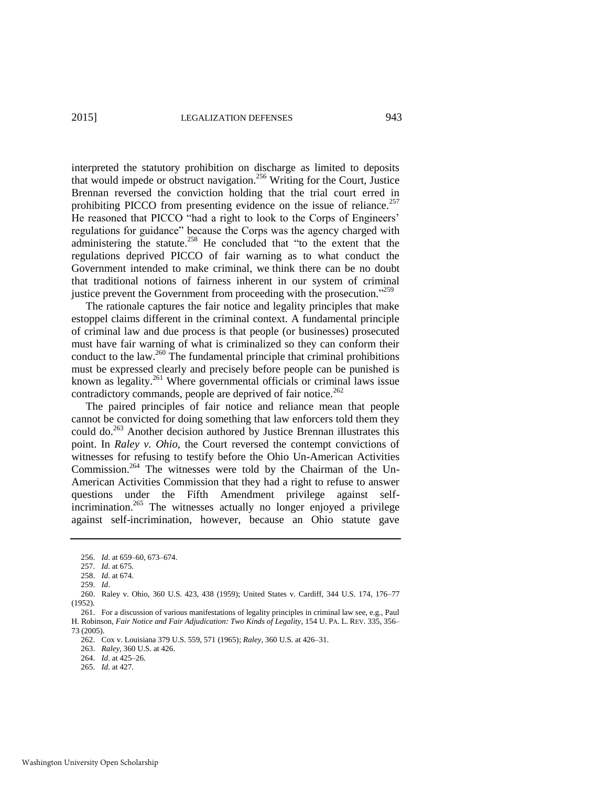interpreted the statutory prohibition on discharge as limited to deposits that would impede or obstruct navigation.<sup>256</sup> Writing for the Court, Justice Brennan reversed the conviction holding that the trial court erred in prohibiting PICCO from presenting evidence on the issue of reliance. $257$ He reasoned that PICCO "had a right to look to the Corps of Engineers' regulations for guidance" because the Corps was the agency charged with administering the statute.<sup>258</sup> He concluded that "to the extent that the regulations deprived PICCO of fair warning as to what conduct the Government intended to make criminal, we think there can be no doubt that traditional notions of fairness inherent in our system of criminal justice prevent the Government from proceeding with the prosecution."<sup>259</sup>

The rationale captures the fair notice and legality principles that make estoppel claims different in the criminal context. A fundamental principle of criminal law and due process is that people (or businesses) prosecuted must have fair warning of what is criminalized so they can conform their conduct to the law.<sup>260</sup> The fundamental principle that criminal prohibitions must be expressed clearly and precisely before people can be punished is known as legality.<sup>261</sup> Where governmental officials or criminal laws issue contradictory commands, people are deprived of fair notice.<sup>262</sup>

The paired principles of fair notice and reliance mean that people cannot be convicted for doing something that law enforcers told them they could do.<sup>263</sup> Another decision authored by Justice Brennan illustrates this point. In *Raley v. Ohio*, the Court reversed the contempt convictions of witnesses for refusing to testify before the Ohio Un-American Activities Commission.<sup>264</sup> The witnesses were told by the Chairman of the Un-American Activities Commission that they had a right to refuse to answer questions under the Fifth Amendment privilege against selfincrimination.<sup>265</sup> The witnesses actually no longer enjoyed a privilege against self-incrimination, however, because an Ohio statute gave

258. *Id*. at 674.

263. *Raley*, 360 U.S. at 426.

<sup>256.</sup> *Id*. at 659–60, 673–674.

<sup>257.</sup> *Id*. at 675.

<sup>259.</sup> *Id*.

<sup>260.</sup> Raley v. Ohio, 360 U.S. 423, 438 (1959); United States v. Cardiff, 344 U.S. 174, 176–77 (1952).

<sup>261.</sup> For a discussion of various manifestations of legality principles in criminal law see, e.g., Paul H. Robinson, *Fair Notice and Fair Adjudication: Two Kinds of Legality*, 154 U. PA. L. REV. 335, 356– 73 (2005).

<sup>262.</sup> Cox v. Louisiana 379 U.S. 559, 571 (1965); *Raley*, 360 U.S. at 426–31.

<sup>264.</sup> *Id*. at 425–26.

<sup>265.</sup> *Id*. at 427.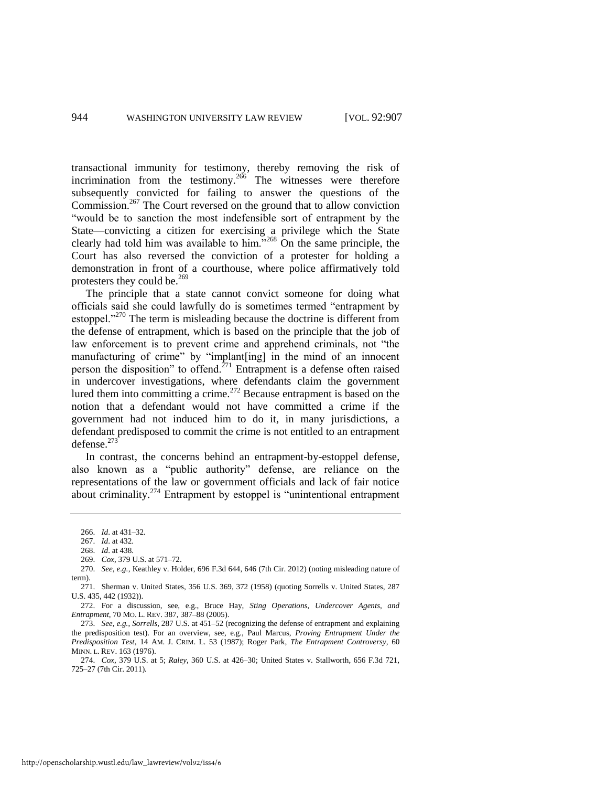transactional immunity for testimony, thereby removing the risk of incrimination from the testimony.<sup>266</sup> The witnesses were therefore subsequently convicted for failing to answer the questions of the Commission.<sup>267</sup> The Court reversed on the ground that to allow conviction "would be to sanction the most indefensible sort of entrapment by the State—convicting a citizen for exercising a privilege which the State clearly had told him was available to him. $268$  On the same principle, the Court has also reversed the conviction of a protester for holding a demonstration in front of a courthouse, where police affirmatively told protesters they could be.<sup>269</sup>

The principle that a state cannot convict someone for doing what officials said she could lawfully do is sometimes termed "entrapment by estoppel."<sup>270</sup> The term is misleading because the doctrine is different from the defense of entrapment, which is based on the principle that the job of law enforcement is to prevent crime and apprehend criminals, not "the manufacturing of crime" by "implant[ing] in the mind of an innocent person the disposition" to offend.<sup> $271$ </sup> Entrapment is a defense often raised in undercover investigations, where defendants claim the government lured them into committing a crime.<sup>272</sup> Because entrapment is based on the notion that a defendant would not have committed a crime if the government had not induced him to do it, in many jurisdictions, a defendant predisposed to commit the crime is not entitled to an entrapment defense.<sup>273</sup>

In contrast, the concerns behind an entrapment-by-estoppel defense, also known as a "public authority" defense, are reliance on the representations of the law or government officials and lack of fair notice about criminality.<sup>274</sup> Entrapment by estoppel is "unintentional entrapment

http://openscholarship.wustl.edu/law\_lawreview/vol92/iss4/6

<sup>266.</sup> *Id*. at 431–32.

<sup>267.</sup> *Id*. at 432.

<sup>268.</sup> *Id*. at 438.

<sup>269.</sup> *Cox*, 379 U.S. at 571–72.

<sup>270.</sup> *See, e.g.*, Keathley v. Holder, 696 F.3d 644, 646 (7th Cir. 2012) (noting misleading nature of term).

<sup>271.</sup> Sherman v. United States, 356 U.S. 369, 372 (1958) (quoting Sorrells v. United States, 287 U.S. 435, 442 (1932)).

<sup>272.</sup> For a discussion, see, e.g., Bruce Hay, *Sting Operations, Undercover Agents, and Entrapment*, 70 MO. L. REV. 387, 387–88 (2005).

<sup>273.</sup> *See, e.g.*, *Sorrells*, 287 U.S. at 451–52 (recognizing the defense of entrapment and explaining the predisposition test). For an overview, see, e.g., Paul Marcus, *Proving Entrapment Under the Predisposition Test*, 14 AM. J. CRIM. L. 53 (1987); Roger Park, *The Entrapment Controversy*, 60 MINN. L. REV. 163 (1976).

<sup>274.</sup> *Cox*, 379 U.S. at 5; *Raley*, 360 U.S. at 426–30; United States v. Stallworth, 656 F.3d 721, 725–27 (7th Cir. 2011).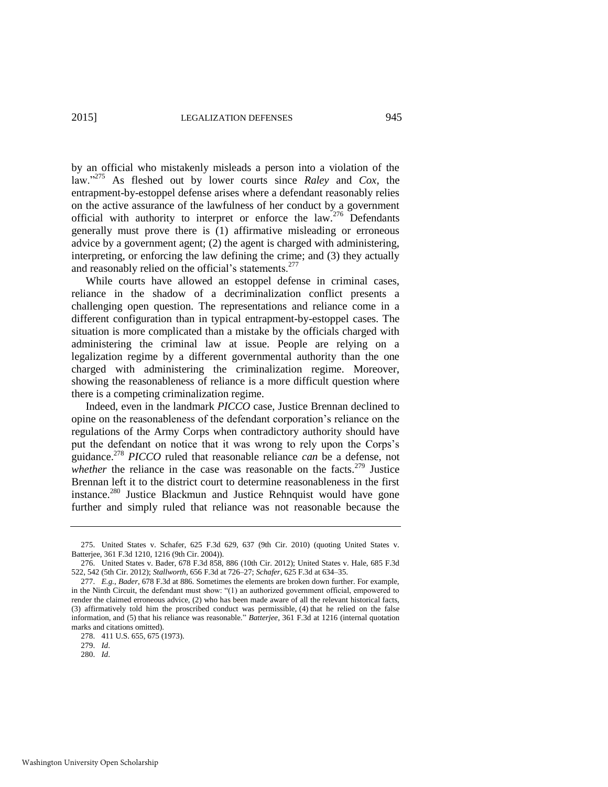by an official who mistakenly misleads a person into a violation of the law."<sup>275</sup> As fleshed out by lower courts since *Raley* and *Cox*, the entrapment-by-estoppel defense arises where a defendant reasonably relies on the active assurance of the lawfulness of her conduct by a government official with authority to interpret or enforce the law.<sup>276</sup> Defendants generally must prove there is (1) affirmative misleading or erroneous advice by a government agent; (2) the agent is charged with administering, interpreting, or enforcing the law defining the crime; and (3) they actually and reasonably relied on the official's statements.<sup>277</sup>

While courts have allowed an estoppel defense in criminal cases, reliance in the shadow of a decriminalization conflict presents a challenging open question. The representations and reliance come in a different configuration than in typical entrapment-by-estoppel cases. The situation is more complicated than a mistake by the officials charged with administering the criminal law at issue. People are relying on a legalization regime by a different governmental authority than the one charged with administering the criminalization regime. Moreover, showing the reasonableness of reliance is a more difficult question where there is a competing criminalization regime.

Indeed, even in the landmark *PICCO* case, Justice Brennan declined to opine on the reasonableness of the defendant corporation's reliance on the regulations of the Army Corps when contradictory authority should have put the defendant on notice that it was wrong to rely upon the Corps's guidance.<sup>278</sup> *PICCO* ruled that reasonable reliance *can* be a defense, not *whether* the reliance in the case was reasonable on the facts.<sup>279</sup> Justice Brennan left it to the district court to determine reasonableness in the first instance.<sup>280</sup> Justice Blackmun and Justice Rehnquist would have gone further and simply ruled that reliance was not reasonable because the

278. 411 U.S. 655, 675 (1973).

279. *Id*.

<sup>275.</sup> United States v. Schafer, 625 F.3d 629, 637 (9th Cir. 2010) (quoting United States v. Batterjee, 361 F.3d 1210, 1216 (9th Cir. 2004)).

<sup>276.</sup> United States v. Bader, 678 F.3d 858, 886 (10th Cir. 2012); United States v. Hale, 685 F.3d 522, 542 (5th Cir. 2012); *Stallworth*, 656 F.3d at 726–27; *Schafer*, 625 F.3d at 634–35.

<sup>277.</sup> *E.g.*, *Bader*, 678 F.3d at 886. Sometimes the elements are broken down further. For example, in the Ninth Circuit, the defendant must show: "(1) an authorized government official, empowered to render the claimed erroneous advice, (2) who has been made aware of all the relevant historical facts, (3) affirmatively told him the proscribed conduct was permissible, (4) that he relied on the false information, and (5) that his reliance was reasonable." *Batterjee*, 361 F.3d at 1216 (internal quotation marks and citations omitted).

<sup>280.</sup> *Id*.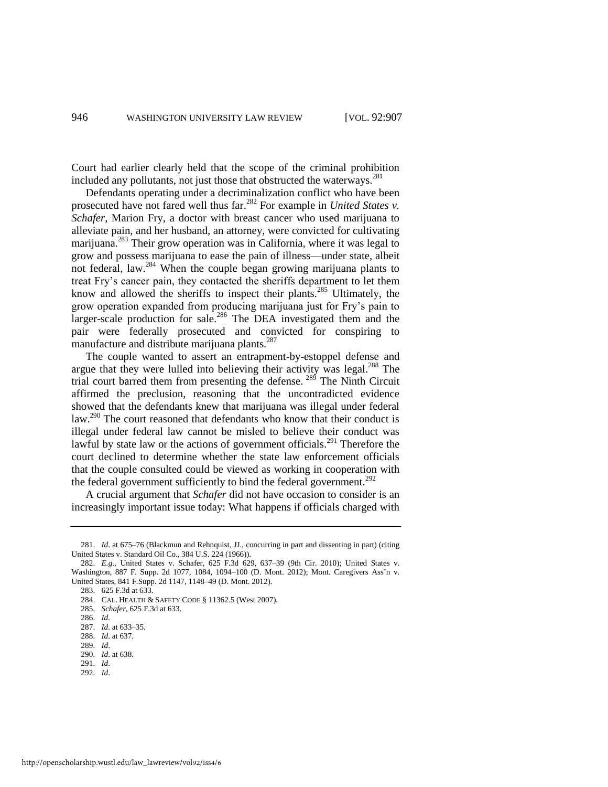Court had earlier clearly held that the scope of the criminal prohibition included any pollutants, not just those that obstructed the waterways.<sup>281</sup>

Defendants operating under a decriminalization conflict who have been prosecuted have not fared well thus far.<sup>282</sup> For example in *United States v. Schafer*, Marion Fry, a doctor with breast cancer who used marijuana to alleviate pain, and her husband, an attorney, were convicted for cultivating marijuana.<sup>283</sup> Their grow operation was in California, where it was legal to grow and possess marijuana to ease the pain of illness—under state, albeit not federal, law.<sup>284</sup> When the couple began growing marijuana plants to treat Fry's cancer pain, they contacted the sheriffs department to let them know and allowed the sheriffs to inspect their plants.<sup>285</sup> Ultimately, the grow operation expanded from producing marijuana just for Fry's pain to larger-scale production for sale.<sup>286</sup> The DEA investigated them and the pair were federally prosecuted and convicted for conspiring to manufacture and distribute marijuana plants.<sup>287</sup>

The couple wanted to assert an entrapment-by-estoppel defense and argue that they were lulled into believing their activity was legal.<sup>288</sup> The trial court barred them from presenting the defense. <sup>289</sup> The Ninth Circuit affirmed the preclusion, reasoning that the uncontradicted evidence showed that the defendants knew that marijuana was illegal under federal law.<sup>290</sup> The court reasoned that defendants who know that their conduct is illegal under federal law cannot be misled to believe their conduct was lawful by state law or the actions of government officials.<sup>291</sup> Therefore the court declined to determine whether the state law enforcement officials that the couple consulted could be viewed as working in cooperation with the federal government sufficiently to bind the federal government.<sup>292</sup>

A crucial argument that *Schafer* did not have occasion to consider is an increasingly important issue today: What happens if officials charged with

- 290. *Id*. at 638.
- 291. *Id*.
- 292. *Id*.

<sup>281.</sup> *Id*. at 675–76 (Blackmun and Rehnquist, JJ., concurring in part and dissenting in part) (citing United States v. Standard Oil Co., 384 U.S. 224 (1966)).

<sup>282.</sup> *E.g*., United States v. Schafer, 625 F.3d 629, 637–39 (9th Cir. 2010); United States v. Washington, 887 F. Supp. 2d 1077, 1084, 1094–100 (D. Mont. 2012); Mont. Caregivers Ass'n v. United States, 841 F.Supp. 2d 1147, 1148–49 (D. Mont. 2012).

<sup>283. 625</sup> F.3d at 633.

<sup>284.</sup> CAL. HEALTH & SAFETY CODE § 11362.5 (West 2007).

<sup>285.</sup> *Schafer*, 625 F.3d at 633.

<sup>286.</sup> *Id*.

<sup>287.</sup> *Id*. at 633–35.

<sup>288.</sup> *Id*. at 637.

<sup>289.</sup> *Id*.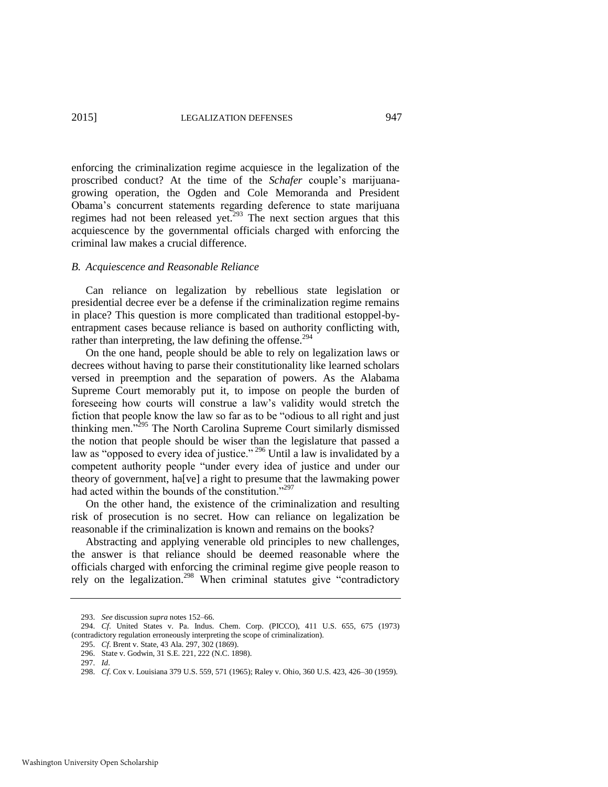enforcing the criminalization regime acquiesce in the legalization of the proscribed conduct? At the time of the *Schafer* couple's marijuanagrowing operation, the Ogden and Cole Memoranda and President Obama's concurrent statements regarding deference to state marijuana regimes had not been released yet.<sup>293</sup> The next section argues that this acquiescence by the governmental officials charged with enforcing the criminal law makes a crucial difference.

#### *B. Acquiescence and Reasonable Reliance*

Can reliance on legalization by rebellious state legislation or presidential decree ever be a defense if the criminalization regime remains in place? This question is more complicated than traditional estoppel-byentrapment cases because reliance is based on authority conflicting with, rather than interpreting, the law defining the offense.<sup>294</sup>

On the one hand, people should be able to rely on legalization laws or decrees without having to parse their constitutionality like learned scholars versed in preemption and the separation of powers. As the Alabama Supreme Court memorably put it, to impose on people the burden of foreseeing how courts will construe a law's validity would stretch the fiction that people know the law so far as to be "odious to all right and just thinking men."<sup>295</sup> The North Carolina Supreme Court similarly dismissed the notion that people should be wiser than the legislature that passed a law as "opposed to every idea of justice."<sup>296</sup> Until a law is invalidated by a competent authority people "under every idea of justice and under our theory of government, ha[ve] a right to presume that the lawmaking power had acted within the bounds of the constitution."<sup>297</sup>

On the other hand, the existence of the criminalization and resulting risk of prosecution is no secret. How can reliance on legalization be reasonable if the criminalization is known and remains on the books?

Abstracting and applying venerable old principles to new challenges, the answer is that reliance should be deemed reasonable where the officials charged with enforcing the criminal regime give people reason to rely on the legalization.<sup>298</sup> When criminal statutes give "contradictory"

<sup>293.</sup> *See* discussion *supra* notes [152–](#page-24-0)66.

<sup>294.</sup> *Cf*. United States v. Pa. Indus. Chem. Corp. (PICCO), 411 U.S. 655, 675 (1973) (contradictory regulation erroneously interpreting the scope of criminalization).

<sup>295.</sup> *Cf*. Brent v. State, 43 Ala. 297, 302 (1869).

<sup>296.</sup> State v. Godwin, 31 S.E. 221, 222 (N.C. 1898).

<sup>297.</sup> *Id*.

<sup>298.</sup> *Cf*. Cox v. Louisiana 379 U.S. 559, 571 (1965); Raley v. Ohio, 360 U.S. 423, 426–30 (1959).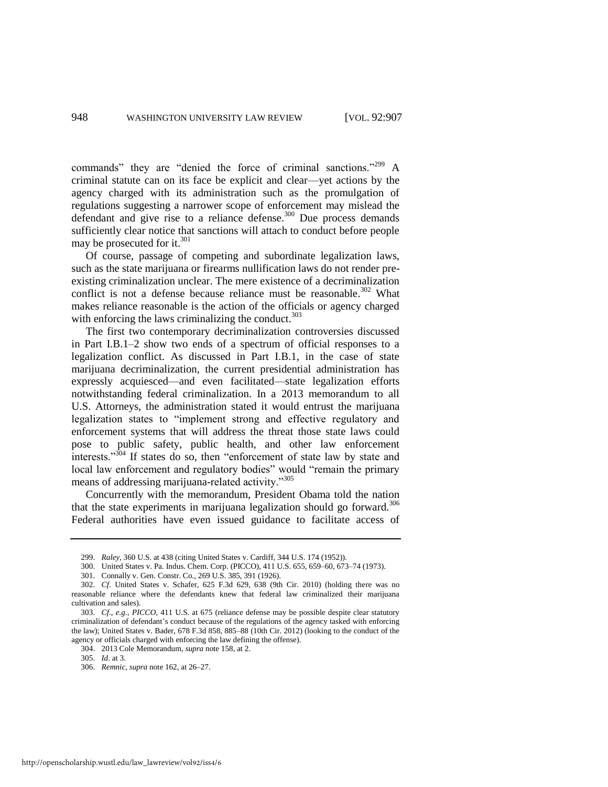commands" they are "denied the force of criminal sanctions."<sup>299</sup> A criminal statute can on its face be explicit and clear—yet actions by the agency charged with its administration such as the promulgation of regulations suggesting a narrower scope of enforcement may mislead the defendant and give rise to a reliance defense.<sup>300</sup> Due process demands sufficiently clear notice that sanctions will attach to conduct before people may be prosecuted for it.<sup>301</sup>

Of course, passage of competing and subordinate legalization laws, such as the state marijuana or firearms nullification laws do not render preexisting criminalization unclear. The mere existence of a decriminalization conflict is not a defense because reliance must be reasonable.<sup>302</sup> What makes reliance reasonable is the action of the officials or agency charged with enforcing the laws criminalizing the conduct. $303$ 

The first two contemporary decriminalization controversies discussed in Part I.B.1–2 show two ends of a spectrum of official responses to a legalization conflict. As discussed in Part I.B.1, in the case of state marijuana decriminalization, the current presidential administration has expressly acquiesced—and even facilitated—state legalization efforts notwithstanding federal criminalization. In a 2013 memorandum to all U.S. Attorneys, the administration stated it would entrust the marijuana legalization states to "implement strong and effective regulatory and enforcement systems that will address the threat those state laws could pose to public safety, public health, and other law enforcement interests." $304$  If states do so, then "enforcement of state law by state and local law enforcement and regulatory bodies" would "remain the primary means of addressing marijuana-related activity."<sup>305</sup>

Concurrently with the memorandum, President Obama told the nation that the state experiments in marijuana legalization should go forward.<sup>306</sup> Federal authorities have even issued guidance to facilitate access of

<sup>299.</sup> *Raley*, 360 U.S. at 438 (citing United States v. Cardiff, 344 U.S. 174 (1952)).

<sup>300.</sup> United States v. Pa. Indus. Chem. Corp. (PICCO), 411 U.S. 655, 659–60, 673–74 (1973).

<sup>301.</sup> Connally v. Gen. Constr. Co., 269 U.S. 385, 391 (1926).

<sup>302.</sup> *Cf*. United States v. Schafer, 625 F.3d 629, 638 (9th Cir. 2010) (holding there was no reasonable reliance where the defendants knew that federal law criminalized their marijuana cultivation and sales).

<sup>303.</sup> *Cf*.*, e.g.*, *PICCO*, 411 U.S. at 675 (reliance defense may be possible despite clear statutory criminalization of defendant's conduct because of the regulations of the agency tasked with enforcing the law); United States v. Bader, 678 F.3d 858, 885–88 (10th Cir. 2012) (looking to the conduct of the agency or officials charged with enforcing the law defining the offense).

<sup>304. 2013</sup> Cole Memorandum, *supra* not[e 158,](#page-24-1) at 2.

<sup>305.</sup> *Id*. at 3.

<sup>306.</sup> *Remnic*, *supra* not[e 162,](#page-25-0) at 26–27.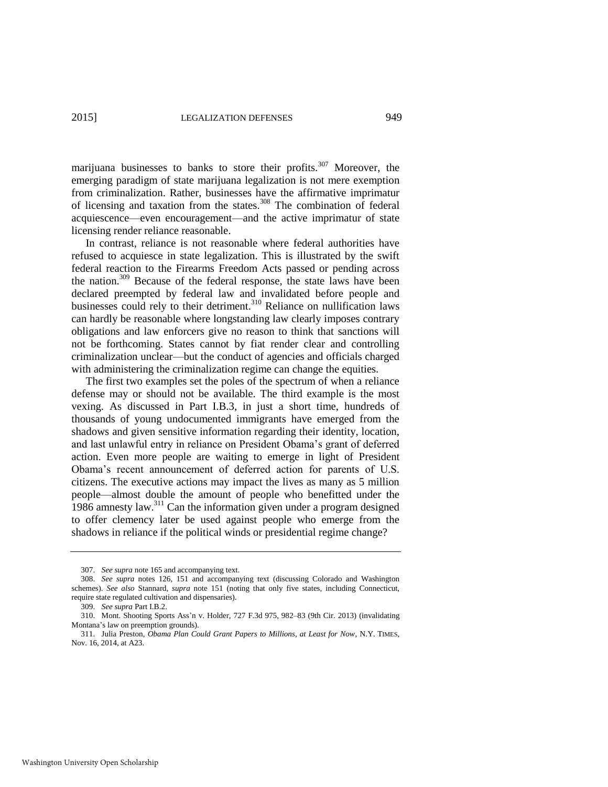marijuana businesses to banks to store their profits.<sup>307</sup> Moreover, the emerging paradigm of state marijuana legalization is not mere exemption from criminalization. Rather, businesses have the affirmative imprimatur of licensing and taxation from the states.<sup>308</sup> The combination of federal acquiescence—even encouragement—and the active imprimatur of state licensing render reliance reasonable.

In contrast, reliance is not reasonable where federal authorities have refused to acquiesce in state legalization. This is illustrated by the swift federal reaction to the Firearms Freedom Acts passed or pending across the nation.<sup>309</sup> Because of the federal response, the state laws have been declared preempted by federal law and invalidated before people and businesses could rely to their detriment.<sup>310</sup> Reliance on nullification laws can hardly be reasonable where longstanding law clearly imposes contrary obligations and law enforcers give no reason to think that sanctions will not be forthcoming. States cannot by fiat render clear and controlling criminalization unclear—but the conduct of agencies and officials charged with administering the criminalization regime can change the equities.

The first two examples set the poles of the spectrum of when a reliance defense may or should not be available. The third example is the most vexing. As discussed in Part I.B.3, in just a short time, hundreds of thousands of young undocumented immigrants have emerged from the shadows and given sensitive information regarding their identity, location, and last unlawful entry in reliance on President Obama's grant of deferred action. Even more people are waiting to emerge in light of President Obama's recent announcement of deferred action for parents of U.S. citizens. The executive actions may impact the lives as many as 5 million people—almost double the amount of people who benefitted under the 1986 amnesty law.<sup>311</sup> Can the information given under a program designed to offer clemency later be used against people who emerge from the shadows in reliance if the political winds or presidential regime change?

<span id="page-43-0"></span><sup>307.</sup> *See supra* not[e 165 a](#page-25-1)nd accompanying text.

<sup>308.</sup> *See supra* notes [126,](#page-20-0) [151](#page-23-1) and accompanying text (discussing Colorado and Washington schemes). *See also* Stannard, *supra* note [151](#page-23-1) (noting that only five states, including Connecticut, require state regulated cultivation and dispensaries).

<sup>309.</sup> *See supra* Part I.B.2.

<sup>310.</sup> Mont. Shooting Sports Ass'n v. Holder, 727 F.3d 975, 982–83 (9th Cir. 2013) (invalidating Montana's law on preemption grounds).

<sup>311.</sup> Julia Preston, *Obama Plan Could Grant Papers to Millions, at Least for Now*, N.Y. TIMES, Nov. 16, 2014, at A23.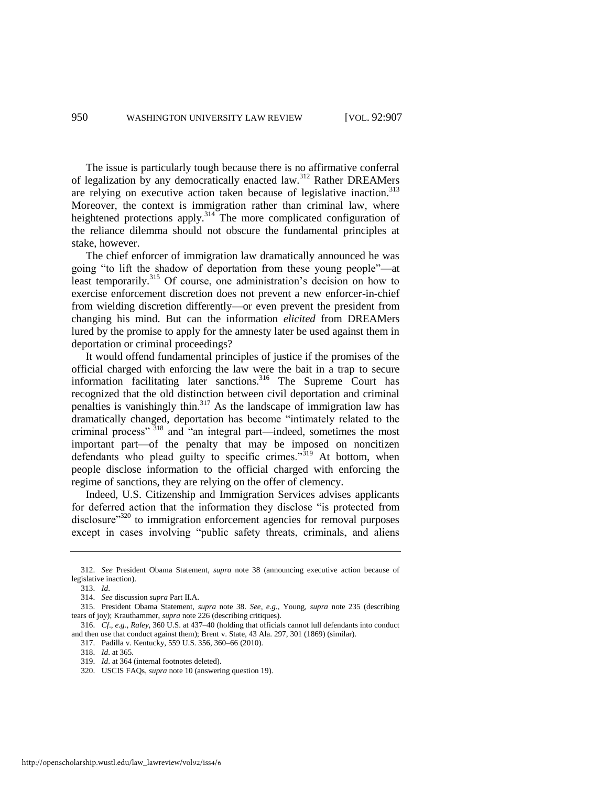The issue is particularly tough because there is no affirmative conferral of legalization by any democratically enacted law.<sup>312</sup> Rather DREAMers are relying on executive action taken because of legislative inaction.<sup>313</sup> Moreover, the context is immigration rather than criminal law, where heightened protections apply.<sup>314</sup> The more complicated configuration of the reliance dilemma should not obscure the fundamental principles at stake, however.

The chief enforcer of immigration law dramatically announced he was going "to lift the shadow of deportation from these young people"—at least temporarily.<sup>315</sup> Of course, one administration's decision on how to exercise enforcement discretion does not prevent a new enforcer-in-chief from wielding discretion differently—or even prevent the president from changing his mind. But can the information *elicited* from DREAMers lured by the promise to apply for the amnesty later be used against them in deportation or criminal proceedings?

It would offend fundamental principles of justice if the promises of the official charged with enforcing the law were the bait in a trap to secure information facilitating later sanctions.<sup>316</sup> The Supreme Court has recognized that the old distinction between civil deportation and criminal penalties is vanishingly thin.<sup>317</sup> As the landscape of immigration law has dramatically changed, deportation has become "intimately related to the criminal process" <sup>318</sup> and "an integral part—indeed, sometimes the most important part—of the penalty that may be imposed on noncitizen defendants who plead guilty to specific crimes."<sup>319</sup> At bottom, when people disclose information to the official charged with enforcing the regime of sanctions, they are relying on the offer of clemency.

Indeed, U.S. Citizenship and Immigration Services advises applicants for deferred action that the information they disclose "is protected from disclosure<sup>3320</sup> to immigration enforcement agencies for removal purposes except in cases involving "public safety threats, criminals, and aliens

317. Padilla v. Kentucky, 559 U.S. 356, 360–66 (2010).

<sup>312.</sup> *See* President Obama Statement, *supra* note [38](#page-9-0) (announcing executive action because of legislative inaction).

<sup>313.</sup> *Id*.

<sup>314.</sup> *See* discussion *supra* Part II.A.

<sup>315.</sup> President Obama Statement, *supra* note [38.](#page-9-0) *See, e.g.*, Young, *supra* note [235](#page-34-0) (describing tears of joy); Krauthammer, *supra* not[e 226 \(](#page-33-0)describing critiques).

<sup>316.</sup> *Cf*., *e.g.*, *Raley*, 360 U.S. at 437–40 (holding that officials cannot lull defendants into conduct and then use that conduct against them); Brent v. State, 43 Ala. 297, 301 (1869) (similar).

<sup>318.</sup> *Id*. at 365.

<sup>319.</sup> *Id*. at 364 (internal footnotes deleted).

<sup>320.</sup> USCIS FAQs, *supra* not[e 10](#page-4-0) (answering question 19).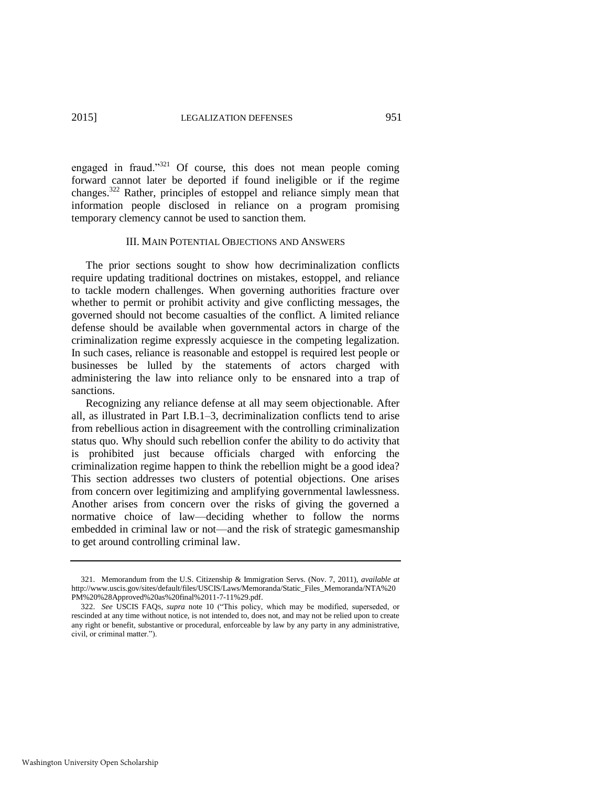engaged in fraud."<sup>321</sup> Of course, this does not mean people coming forward cannot later be deported if found ineligible or if the regime changes.<sup>322</sup> Rather, principles of estoppel and reliance simply mean that information people disclosed in reliance on a program promising temporary clemency cannot be used to sanction them.

#### III. MAIN POTENTIAL OBJECTIONS AND ANSWERS

The prior sections sought to show how decriminalization conflicts require updating traditional doctrines on mistakes, estoppel, and reliance to tackle modern challenges. When governing authorities fracture over whether to permit or prohibit activity and give conflicting messages, the governed should not become casualties of the conflict. A limited reliance defense should be available when governmental actors in charge of the criminalization regime expressly acquiesce in the competing legalization. In such cases, reliance is reasonable and estoppel is required lest people or businesses be lulled by the statements of actors charged with administering the law into reliance only to be ensnared into a trap of sanctions.

Recognizing any reliance defense at all may seem objectionable. After all, as illustrated in Part I.B.1–3, decriminalization conflicts tend to arise from rebellious action in disagreement with the controlling criminalization status quo. Why should such rebellion confer the ability to do activity that is prohibited just because officials charged with enforcing the criminalization regime happen to think the rebellion might be a good idea? This section addresses two clusters of potential objections. One arises from concern over legitimizing and amplifying governmental lawlessness. Another arises from concern over the risks of giving the governed a normative choice of law—deciding whether to follow the norms embedded in criminal law or not—and the risk of strategic gamesmanship to get around controlling criminal law.

<sup>321.</sup> Memorandum from the U.S. Citizenship & Immigration Servs. (Nov. 7, 2011), *available at* http://www.uscis.gov/sites/default/files/USCIS/Laws/Memoranda/Static\_Files\_Memoranda/NTA%20 PM%20%28Approved%20as%20final%2011-7-11%29.pdf.

<sup>322.</sup> *See* USCIS FAQS, *supra* note [10](#page-4-0) ("This policy, which may be modified, superseded, or rescinded at any time without notice, is not intended to, does not, and may not be relied upon to create any right or benefit, substantive or procedural, enforceable by law by any party in any administrative, civil, or criminal matter.").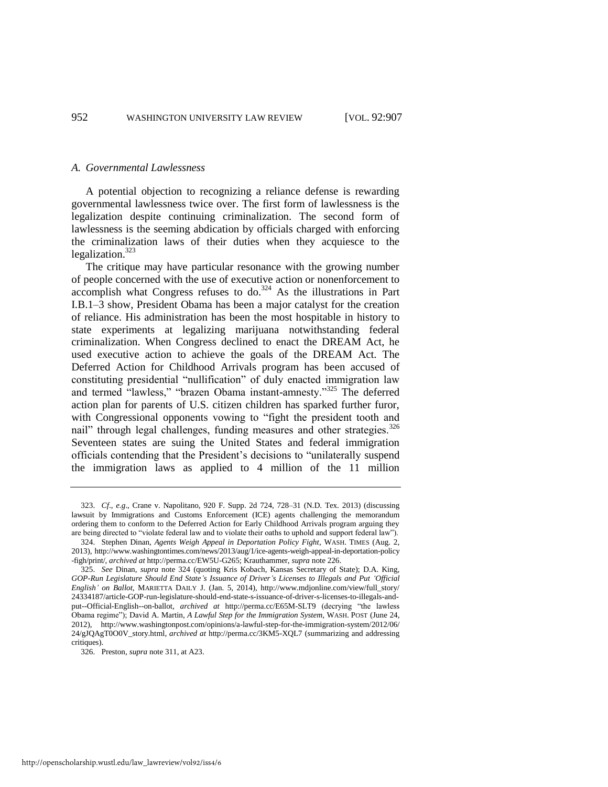#### *A. Governmental Lawlessness*

A potential objection to recognizing a reliance defense is rewarding governmental lawlessness twice over. The first form of lawlessness is the legalization despite continuing criminalization. The second form of lawlessness is the seeming abdication by officials charged with enforcing the criminalization laws of their duties when they acquiesce to the legalization.<sup>323</sup>

<span id="page-46-0"></span>The critique may have particular resonance with the growing number of people concerned with the use of executive action or nonenforcement to accomplish what Congress refuses to do. $324$  As the illustrations in Part I.B.1–3 show, President Obama has been a major catalyst for the creation of reliance. His administration has been the most hospitable in history to state experiments at legalizing marijuana notwithstanding federal criminalization. When Congress declined to enact the DREAM Act, he used executive action to achieve the goals of the DREAM Act. The Deferred Action for Childhood Arrivals program has been accused of constituting presidential "nullification" of duly enacted immigration law and termed "lawless," "brazen Obama instant-amnesty."<sup>325</sup> The deferred action plan for parents of U.S. citizen children has sparked further furor, with Congressional opponents vowing to "fight the president tooth and nail" through legal challenges, funding measures and other strategies.<sup>326</sup> Seventeen states are suing the United States and federal immigration officials contending that the President's decisions to "unilaterally suspend the immigration laws as applied to 4 million of the 11 million

<sup>323.</sup> *Cf*., *e.g*., Crane v. Napolitano, 920 F. Supp. 2d 724, 728–31 (N.D. Tex. 2013) (discussing lawsuit by Immigrations and Customs Enforcement (ICE) agents challenging the memorandum ordering them to conform to the Deferred Action for Early Childhood Arrivals program arguing they are being directed to "violate federal law and to violate their oaths to uphold and support federal law").

<sup>324.</sup> Stephen Dinan, *Agents Weigh Appeal in Deportation Policy Fight*, WASH. TIMES (Aug. 2, 2013), http://www.washingtontimes.com/news/2013/aug/1/ice-agents-weigh-appeal-in-deportation-policy -figh/print/, *archived at* http://perma.cc/EW5U-G265; Krauthammer, *supra* note [226.](#page-33-0) 

<sup>325.</sup> *See* Dinan, *supra* note [324](#page-46-0) (quoting Kris Kobach, Kansas Secretary of State); D.A. King, *GOP-Run Legislature Should End State's Issuance of Driver's Licenses to Illegals and Put 'Official English' on Ballot*, MARIETTA DAILY J. (Jan. 5, 2014), http://www.mdjonline.com/view/full\_story/ 24334187/article-GOP-run-legislature-should-end-state-s-issuance-of-driver-s-licenses-to-illegals-andput--Official-English--on-ballot, *archived at* http://perma.cc/E65M-SLT9 (decrying "the lawless Obama regime"); David A. Martin, *A Lawful Step for the Immigration System*, WASH. POST (June 24, 2012), http://www.washingtonpost.com/opinions/a-lawful-step-for-the-immigration-system/2012/06/ 24/gJQAgT0O0V\_story.html, *archived at* http://perma.cc/3KM5-XQL7 (summarizing and addressing critiques).

<sup>326.</sup> Preston, *supra* not[e 311,](#page-43-0) at A23.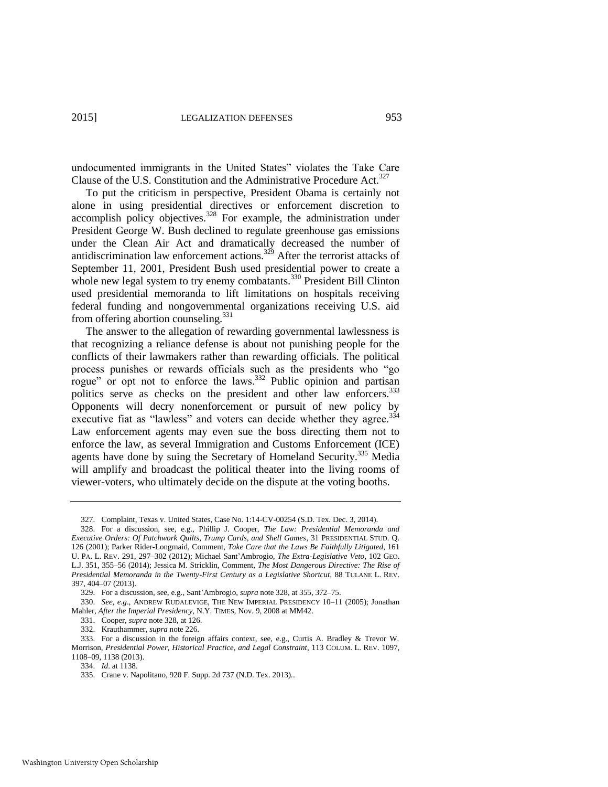undocumented immigrants in the United States" violates the Take Care Clause of the U.S. Constitution and the Administrative Procedure Act.<sup>327</sup>

<span id="page-47-1"></span><span id="page-47-0"></span>To put the criticism in perspective, President Obama is certainly not alone in using presidential directives or enforcement discretion to accomplish policy objectives. $328$  For example, the administration under President George W. Bush declined to regulate greenhouse gas emissions under the Clean Air Act and dramatically decreased the number of antidiscrimination law enforcement actions.<sup>329</sup> After the terrorist attacks of September 11, 2001, President Bush used presidential power to create a whole new legal system to try enemy combatants.<sup>330</sup> President Bill Clinton used presidential memoranda to lift limitations on hospitals receiving federal funding and nongovernmental organizations receiving U.S. aid from offering abortion counseling.<sup>331</sup>

The answer to the allegation of rewarding governmental lawlessness is that recognizing a reliance defense is about not punishing people for the conflicts of their lawmakers rather than rewarding officials. The political process punishes or rewards officials such as the presidents who "go rogue" or opt not to enforce the laws. $332$  Public opinion and partisan politics serve as checks on the president and other law enforcers.<sup>333</sup> Opponents will decry nonenforcement or pursuit of new policy by executive fiat as "lawless" and voters can decide whether they agree.<sup>334</sup> Law enforcement agents may even sue the boss directing them not to enforce the law, as several Immigration and Customs Enforcement (ICE) agents have done by suing the Secretary of Homeland Security.<sup>335</sup> Media will amplify and broadcast the political theater into the living rooms of viewer-voters, who ultimately decide on the dispute at the voting booths.

333. For a discussion in the foreign affairs context, see, e.g., Curtis A. Bradley & Trevor W. Morrison, *Presidential Power, Historical Practice, and Legal Constraint*, 113 COLUM. L. REV. 1097, 1108–09, 1138 (2013).

<sup>327.</sup> Complaint, Texas v. United States, Case No. 1:14-CV-00254 (S.D. Tex. Dec. 3, 2014).

<sup>328.</sup> For a discussion, see, e.g., Phillip J. Cooper, *The Law: Presidential Memoranda and Executive Orders: Of Patchwork Quilts, Trump Cards, and Shell Games*, 31 PRESIDENTIAL STUD. Q. 126 (2001); Parker Rider-Longmaid, Comment, *Take Care that the Laws Be Faithfully Litigated*, 161 U. PA. L. REV. 291, 297–302 (2012); Michael Sant'Ambrogio, *The Extra-Legislative Veto*, 102 GEO. L.J. 351, 355–56 (2014); Jessica M. Stricklin, Comment, *The Most Dangerous Directive: The Rise of Presidential Memoranda in the Twenty-First Century as a Legislative Shortcut*, 88 TULANE L. REV. 397, 404–07 (2013).

<sup>329.</sup> For a discussion, see, e.g., Sant'Ambrogio, *supra* not[e 328,](#page-47-0) at 355, 372–75.

<sup>330.</sup> *See, e.g*., ANDREW RUDALEVIGE, THE NEW IMPERIAL PRESIDENCY 10–11 (2005); Jonathan Mahler, *After the Imperial Presidency*, N.Y. TIMES, Nov. 9, 2008 at MM42.

<sup>331.</sup> Cooper, *supra* note [328,](#page-47-1) at 126.

<sup>332.</sup> Krauthammer, *supra* not[e 226.](#page-33-0) 

<sup>334.</sup> *Id*. at 1138.

<sup>335.</sup> Crane v. Napolitano, 920 F. Supp. 2d 737 (N.D. Tex. 2013)..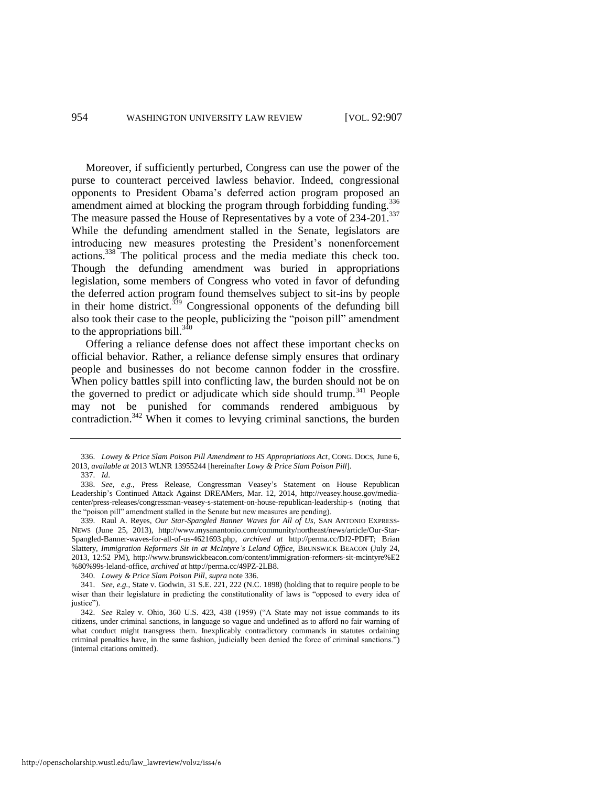<span id="page-48-0"></span>Moreover, if sufficiently perturbed, Congress can use the power of the purse to counteract perceived lawless behavior. Indeed, congressional opponents to President Obama's deferred action program proposed an amendment aimed at blocking the program through forbidding funding.<sup>336</sup> The measure passed the House of Representatives by a vote of 234-201.<sup>337</sup> While the defunding amendment stalled in the Senate, legislators are introducing new measures protesting the President's nonenforcement actions.<sup>338</sup> The political process and the media mediate this check too. Though the defunding amendment was buried in appropriations legislation, some members of Congress who voted in favor of defunding the deferred action program found themselves subject to sit-ins by people in their home district.<sup>339</sup> Congressional opponents of the defunding bill also took their case to the people, publicizing the "poison pill" amendment to the appropriations bill. $340$ 

Offering a reliance defense does not affect these important checks on official behavior. Rather, a reliance defense simply ensures that ordinary people and businesses do not become cannon fodder in the crossfire. When policy battles spill into conflicting law, the burden should not be on the governed to predict or adjudicate which side should trump.<sup>341</sup> People may not be punished for commands rendered ambiguous by contradiction.<sup>342</sup> When it comes to levying criminal sanctions, the burden

<sup>336.</sup> *Lowey & Price Slam Poison Pill Amendment to HS Appropriations Act*, CONG. DOCS, June 6, 2013, *available at* 2013 WLNR 13955244 [hereinafter *Lowy & Price Slam Poison Pill*].

<sup>337.</sup> *Id*.

<sup>338.</sup> *See, e.g.*, Press Release, Congressman Veasey's Statement on House Republican Leadership's Continued Attack Against DREAMers, Mar. 12, 2014, [http://veasey.house.gov/media](http://veasey.house.gov/media-center/press-releases/congressman-veasey-s-statement-on-house-republican-leadership-s)[center/press-releases/congressman-veasey-s-statement-on-house-republican-leadership-s](http://veasey.house.gov/media-center/press-releases/congressman-veasey-s-statement-on-house-republican-leadership-s) (noting that the "poison pill" amendment stalled in the Senate but new measures are pending).

<sup>339.</sup> Raul A. Reyes, *Our Star-Spangled Banner Waves for All of Us*, SAN ANTONIO EXPRESS-NEWS (June 25, 2013), http://www.mysanantonio.com/community/northeast/news/article/Our-Star-Spangled-Banner-waves-for-all-of-us-4621693.php, *archived at* http://perma.cc/DJ2-PDFT; Brian Slattery, *Immigration Reformers Sit in at McIntyre's Leland Office*, BRUNSWICK BEACON (July 24, 2013, 12:52 PM), http://www.brunswickbeacon.com/content/immigration-reformers-sit-mcintyre%E2 %80%99s-leland-office, *archived at* http://perma.cc/49PZ-2LB8.

<sup>340.</sup> *Lowey & Price Slam Poison Pill*, *supra* not[e 336.](#page-48-0) 

<sup>341.</sup> *See*, *e.g.*, State v. Godwin, 31 S.E. 221, 222 (N.C. 1898) (holding that to require people to be wiser than their legislature in predicting the constitutionality of laws is "opposed to every idea of justice").

<sup>342.</sup> *See* Raley v. Ohio, 360 U.S. 423, 438 (1959) ("A State may not issue commands to its citizens, under criminal sanctions, in language so vague and undefined as to afford no fair warning of what conduct might transgress them. Inexplicably contradictory commands in statutes ordaining criminal penalties have, in the same fashion, judicially been denied the force of criminal sanctions.") (internal citations omitted).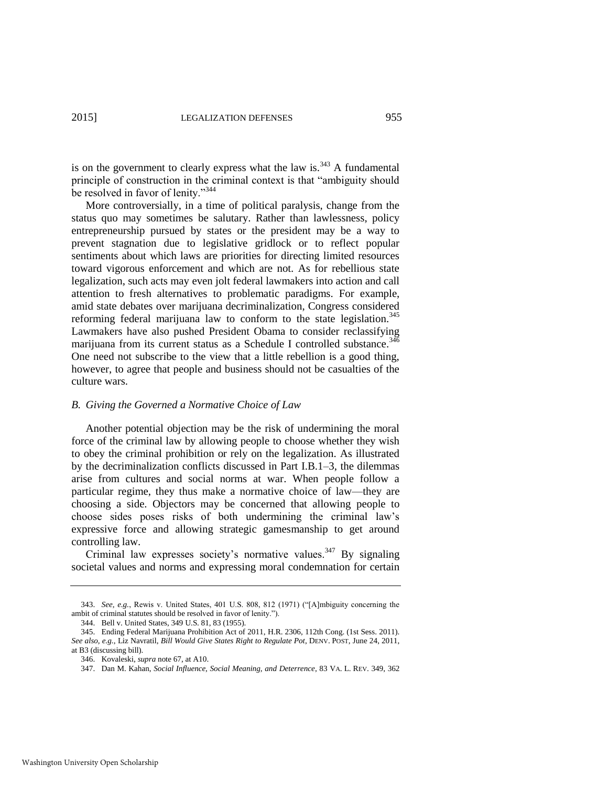is on the government to clearly express what the law is. $343$  A fundamental principle of construction in the criminal context is that "ambiguity should be resolved in favor of lenity."<sup>344</sup>

More controversially, in a time of political paralysis, change from the status quo may sometimes be salutary. Rather than lawlessness, policy entrepreneurship pursued by states or the president may be a way to prevent stagnation due to legislative gridlock or to reflect popular sentiments about which laws are priorities for directing limited resources toward vigorous enforcement and which are not. As for rebellious state legalization, such acts may even jolt federal lawmakers into action and call attention to fresh alternatives to problematic paradigms. For example, amid state debates over marijuana decriminalization, Congress considered reforming federal marijuana law to conform to the state legislation.<sup>345</sup> Lawmakers have also pushed President Obama to consider reclassifying marijuana from its current status as a Schedule I controlled substance.<sup>346</sup> One need not subscribe to the view that a little rebellion is a good thing, however, to agree that people and business should not be casualties of the culture wars.

#### *B. Giving the Governed a Normative Choice of Law*

Another potential objection may be the risk of undermining the moral force of the criminal law by allowing people to choose whether they wish to obey the criminal prohibition or rely on the legalization. As illustrated by the decriminalization conflicts discussed in Part I.B.1–3, the dilemmas arise from cultures and social norms at war. When people follow a particular regime, they thus make a normative choice of law—they are choosing a side. Objectors may be concerned that allowing people to choose sides poses risks of both undermining the criminal law's expressive force and allowing strategic gamesmanship to get around controlling law.

<span id="page-49-0"></span>Criminal law expresses society's normative values.<sup>347</sup> By signaling societal values and norms and expressing moral condemnation for certain

<sup>343.</sup> *See, e.g.*, Rewis v. United States, 401 U.S. 808, 812 (1971) ("[A]mbiguity concerning the ambit of criminal statutes should be resolved in favor of lenity.").

<sup>344.</sup> Bell v. United States, 349 U.S. 81, 83 (1955).

<sup>345.</sup> Ending Federal Marijuana Prohibition Act of 2011, H.R. 2306, 112th Cong. (1st Sess. 2011). *See also, e.g.*, Liz Navratil, *Bill Would Give States Right to Regulate Pot*, DENV. POST, June 24, 2011, at B3 (discussing bill).

<sup>346.</sup> Kovaleski, *supra* not[e 67,](#page-13-1) at A10.

<sup>347.</sup> Dan M. Kahan, *Social Influence, Social Meaning, and Deterrence*, 83 VA. L. REV. 349, 362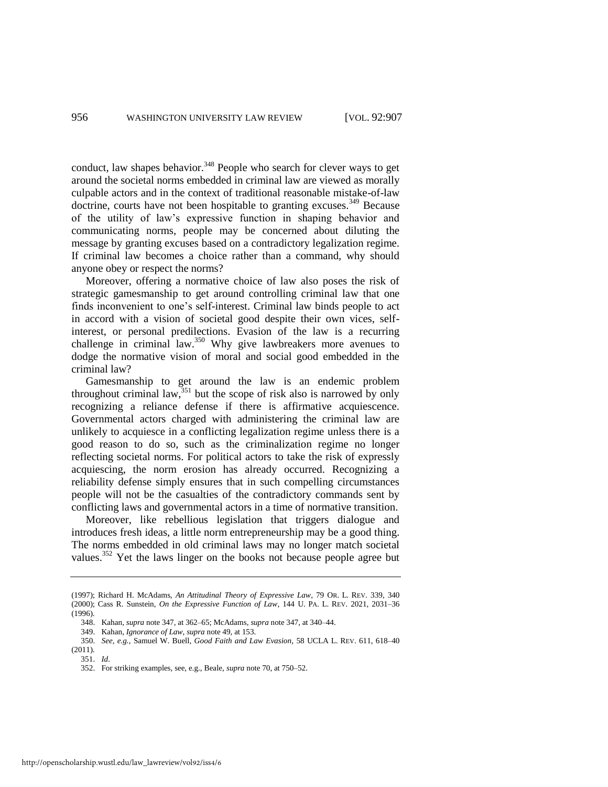conduct, law shapes behavior.<sup>348</sup> People who search for clever ways to get around the societal norms embedded in criminal law are viewed as morally culpable actors and in the context of traditional reasonable mistake-of-law doctrine, courts have not been hospitable to granting excuses.<sup>349</sup> Because of the utility of law's expressive function in shaping behavior and communicating norms, people may be concerned about diluting the message by granting excuses based on a contradictory legalization regime. If criminal law becomes a choice rather than a command, why should anyone obey or respect the norms?

Moreover, offering a normative choice of law also poses the risk of strategic gamesmanship to get around controlling criminal law that one finds inconvenient to one's self-interest. Criminal law binds people to act in accord with a vision of societal good despite their own vices, selfinterest, or personal predilections. Evasion of the law is a recurring challenge in criminal law.<sup>350</sup> Why give lawbreakers more avenues to dodge the normative vision of moral and social good embedded in the criminal law?

Gamesmanship to get around the law is an endemic problem throughout criminal law,  $351$  but the scope of risk also is narrowed by only recognizing a reliance defense if there is affirmative acquiescence. Governmental actors charged with administering the criminal law are unlikely to acquiesce in a conflicting legalization regime unless there is a good reason to do so, such as the criminalization regime no longer reflecting societal norms. For political actors to take the risk of expressly acquiescing, the norm erosion has already occurred. Recognizing a reliability defense simply ensures that in such compelling circumstances people will not be the casualties of the contradictory commands sent by conflicting laws and governmental actors in a time of normative transition.

Moreover, like rebellious legislation that triggers dialogue and introduces fresh ideas, a little norm entrepreneurship may be a good thing. The norms embedded in old criminal laws may no longer match societal values.<sup>352</sup> Yet the laws linger on the books not because people agree but

351. *Id*.

<sup>(1997);</sup> Richard H. McAdams, *An Attitudinal Theory of Expressive Law*, 79 OR. L. REV. 339, 340 (2000); Cass R. Sunstein, *On the Expressive Function of Law*, 144 U. PA. L. REV. 2021, 2031–36 (1996).

<sup>348.</sup> Kahan, *supra* not[e 347,](#page-49-0) at 362–65; McAdams, *supra* not[e 347,](#page-49-0) at 340–44.

<sup>349.</sup> Kahan, *Ignorance of Law*, *supra* not[e 49,](#page-10-0) at 153.

<sup>350.</sup> *See, e.g.*, Samuel W. Buell, *Good Faith and Law Evasion*, 58 UCLA L. REV. 611, 618–40 (2011).

<sup>352.</sup> For striking examples, see, e.g., Beale, *supra* not[e 70,](#page-13-0) at 750–52.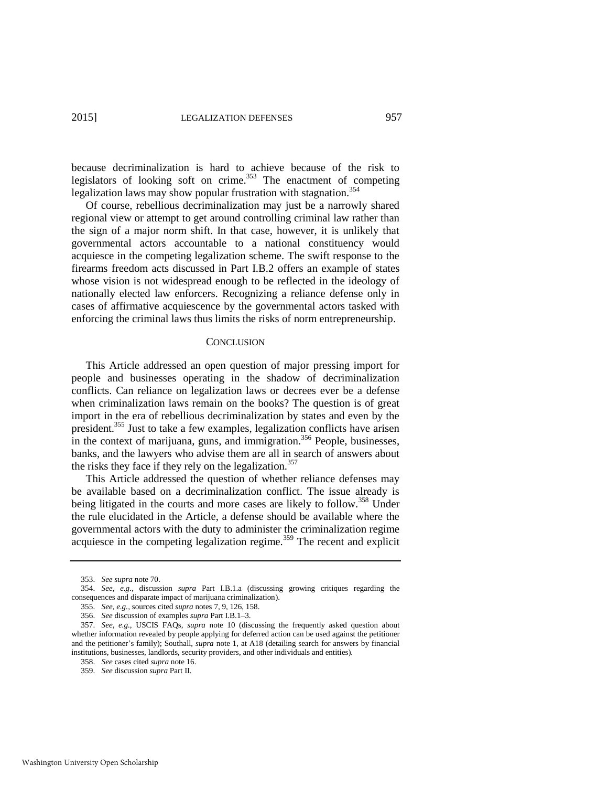because decriminalization is hard to achieve because of the risk to legislators of looking soft on crime.<sup>353</sup> The enactment of competing legalization laws may show popular frustration with stagnation.<sup>354</sup>

Of course, rebellious decriminalization may just be a narrowly shared regional view or attempt to get around controlling criminal law rather than the sign of a major norm shift. In that case, however, it is unlikely that governmental actors accountable to a national constituency would acquiesce in the competing legalization scheme. The swift response to the firearms freedom acts discussed in Part I.B.2 offers an example of states whose vision is not widespread enough to be reflected in the ideology of nationally elected law enforcers. Recognizing a reliance defense only in cases of affirmative acquiescence by the governmental actors tasked with enforcing the criminal laws thus limits the risks of norm entrepreneurship.

#### **CONCLUSION**

This Article addressed an open question of major pressing import for people and businesses operating in the shadow of decriminalization conflicts. Can reliance on legalization laws or decrees ever be a defense when criminalization laws remain on the books? The question is of great import in the era of rebellious decriminalization by states and even by the president.<sup>355</sup> Just to take a few examples, legalization conflicts have arisen in the context of marijuana, guns, and immigration.<sup>356</sup> People, businesses, banks, and the lawyers who advise them are all in search of answers about the risks they face if they rely on the legalization.<sup>357</sup>

This Article addressed the question of whether reliance defenses may be available based on a decriminalization conflict. The issue already is being litigated in the courts and more cases are likely to follow.<sup>358</sup> Under the rule elucidated in the Article, a defense should be available where the governmental actors with the duty to administer the criminalization regime acquiesce in the competing legalization regime.<sup>359</sup> The recent and explicit

<sup>353.</sup> *See supra* not[e 70.](#page-13-0) 

<sup>354.</sup> *See, e.g.*, discussion *supra* Part I.B.1.a (discussing growing critiques regarding the consequences and disparate impact of marijuana criminalization).

<sup>355.</sup> *See, e.g.,* sources cited *supra* note[s 7,](#page-3-2) [9,](#page-4-2) [126,](#page-20-0) [158.](#page-24-1) 

<sup>356.</sup> *See* discussion of examples *supra* Part I.B.1–3.

<sup>357.</sup> *See, e.g.*, USCIS FAQs, *supra* note [10](#page-4-0) (discussing the frequently asked question about whether information revealed by people applying for deferred action can be used against the petitioner and the petitioner's family); Southall, *supra* note [1,](#page-2-0) at A18 (detailing search for answers by financial institutions, businesses, landlords, security providers, and other individuals and entities).

<sup>358.</sup> *See* cases cited *supra* note [16.](#page-5-2) 

<sup>359.</sup> *See* discussion *supra* Part II.